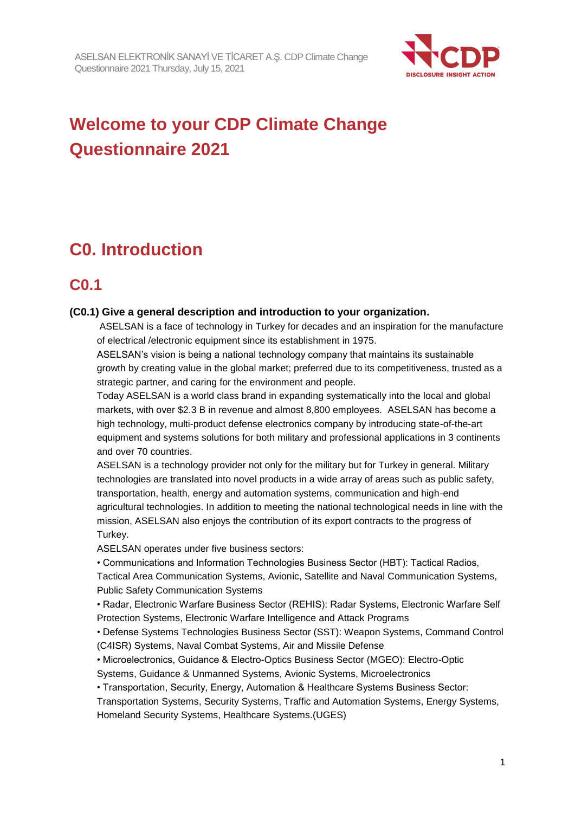

# **Welcome to your CDP Climate Change Questionnaire 2021**

# **C0. Introduction**

### **C0.1**

### **(C0.1) Give a general description and introduction to your organization.**

ASELSAN is a face of technology in Turkey for decades and an inspiration for the manufacture of electrical /electronic equipment since its establishment in 1975.

ASELSAN's vision is being a national technology company that maintains its sustainable growth by creating value in the global market; preferred due to its competitiveness, trusted as a strategic partner, and caring for the environment and people.

Today ASELSAN is a world class brand in expanding systematically into the local and global markets, with over \$2.3 B in revenue and almost 8,800 employees. ASELSAN has become a high technology, multi-product defense electronics company by introducing state-of-the-art equipment and systems solutions for both military and professional applications in 3 continents and over 70 countries.

ASELSAN is a technology provider not only for the military but for Turkey in general. Military technologies are translated into novel products in a wide array of areas such as public safety, transportation, health, energy and automation systems, communication and high-end agricultural technologies. In addition to meeting the national technological needs in line with the mission, ASELSAN also enjoys the contribution of its export contracts to the progress of Turkey.

ASELSAN operates under five business sectors:

• Communications and Information Technologies Business Sector (HBT): Tactical Radios,

Tactical Area Communication Systems, Avionic, Satellite and Naval Communication Systems, Public Safety Communication Systems

• Radar, Electronic Warfare Business Sector (REHIS): Radar Systems, Electronic Warfare Self Protection Systems, Electronic Warfare Intelligence and Attack Programs

• Defense Systems Technologies Business Sector (SST): Weapon Systems, Command Control (C4ISR) Systems, Naval Combat Systems, Air and Missile Defense

• Microelectronics, Guidance & Electro-Optics Business Sector (MGEO): Electro-Optic Systems, Guidance & Unmanned Systems, Avionic Systems, Microelectronics

• Transportation, Security, Energy, Automation & Healthcare Systems Business Sector:

Transportation Systems, Security Systems, Traffic and Automation Systems, Energy Systems, Homeland Security Systems, Healthcare Systems.(UGES)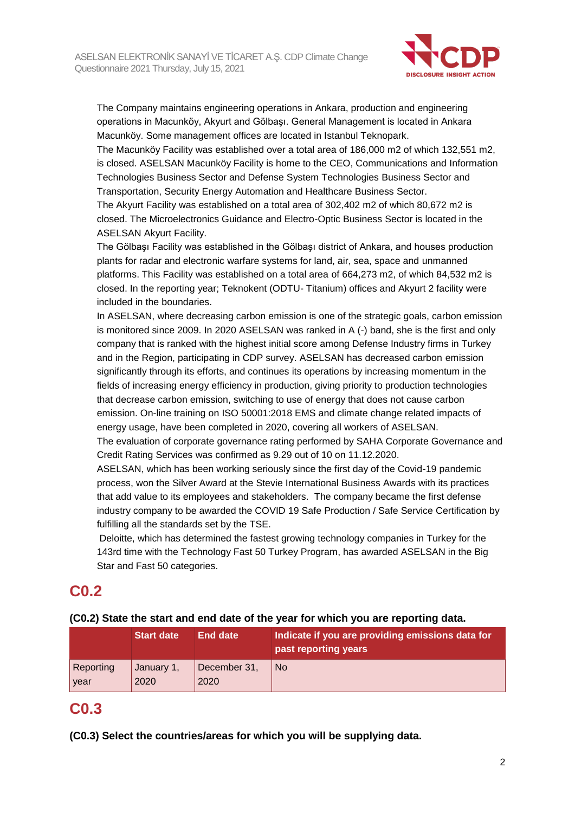

The Company maintains engineering operations in Ankara, production and engineering operations in Macunköy, Akyurt and Gölbaşı. General Management is located in Ankara Macunköy. Some management offices are located in Istanbul Teknopark.

The Macunköy Facility was established over a total area of 186,000 m2 of which 132,551 m2, is closed. ASELSAN Macunköy Facility is home to the CEO, Communications and Information Technologies Business Sector and Defense System Technologies Business Sector and Transportation, Security Energy Automation and Healthcare Business Sector.

The Akyurt Facility was established on a total area of 302,402 m2 of which 80,672 m2 is closed. The Microelectronics Guidance and Electro-Optic Business Sector is located in the ASELSAN Akyurt Facility.

The Gölbaşı Facility was established in the Gölbaşı district of Ankara, and houses production plants for radar and electronic warfare systems for land, air, sea, space and unmanned platforms. This Facility was established on a total area of 664,273 m2, of which 84,532 m2 is closed. In the reporting year; Teknokent (ODTU- Titanium) offices and Akyurt 2 facility were included in the boundaries.

In ASELSAN, where decreasing carbon emission is one of the strategic goals, carbon emission is monitored since 2009. In 2020 ASELSAN was ranked in A (-) band, she is the first and only company that is ranked with the highest initial score among Defense Industry firms in Turkey and in the Region, participating in CDP survey. ASELSAN has decreased carbon emission significantly through its efforts, and continues its operations by increasing momentum in the fields of increasing energy efficiency in production, giving priority to production technologies that decrease carbon emission, switching to use of energy that does not cause carbon emission. On-line training on ISO 50001:2018 EMS and climate change related impacts of energy usage, have been completed in 2020, covering all workers of ASELSAN.

The evaluation of corporate governance rating performed by SAHA Corporate Governance and Credit Rating Services was confirmed as 9.29 out of 10 on 11.12.2020.

ASELSAN, which has been working seriously since the first day of the Covid-19 pandemic process, won the Silver Award at the Stevie International Business Awards with its practices that add value to its employees and stakeholders. The company became the first defense industry company to be awarded the COVID 19 Safe Production / Safe Service Certification by fulfilling all the standards set by the TSE.

Deloitte, which has determined the fastest growing technology companies in Turkey for the 143rd time with the Technology Fast 50 Turkey Program, has awarded ASELSAN in the Big Star and Fast 50 categories.

### **C0.2**

#### **(C0.2) State the start and end date of the year for which you are reporting data.**

|           | <b>Start date</b> | <b>End date</b> | Indicate if you are providing emissions data for<br>past reporting years |
|-----------|-------------------|-----------------|--------------------------------------------------------------------------|
| Reporting | January 1,        | December 31,    | No.                                                                      |
| year      | 2020              | 2020            |                                                                          |

### **C0.3**

**(C0.3) Select the countries/areas for which you will be supplying data.**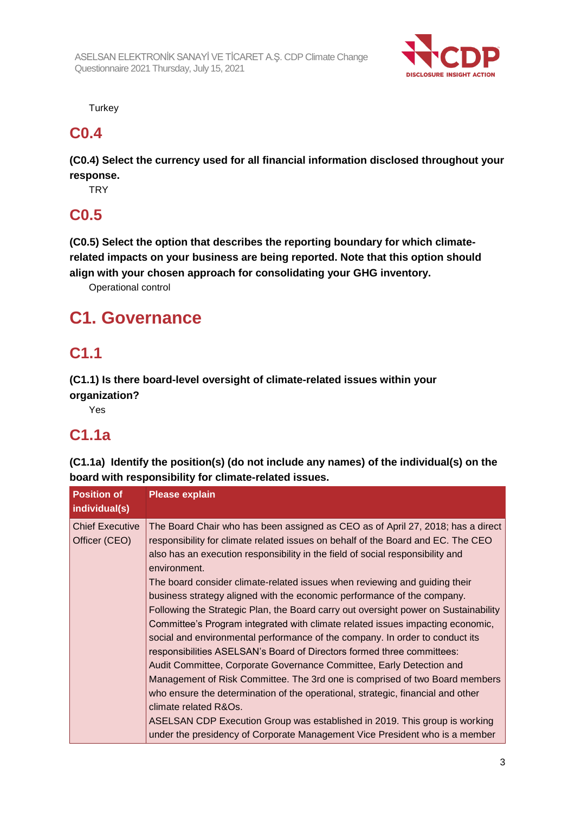

**Turkey** 

### **C0.4**

**(C0.4) Select the currency used for all financial information disclosed throughout your response.**

**TRY** 

# **C0.5**

**(C0.5) Select the option that describes the reporting boundary for which climaterelated impacts on your business are being reported. Note that this option should align with your chosen approach for consolidating your GHG inventory.**

Operational control

# **C1. Governance**

### **C1.1**

**(C1.1) Is there board-level oversight of climate-related issues within your organization?**

Yes

# **C1.1a**

**(C1.1a) Identify the position(s) (do not include any names) of the individual(s) on the board with responsibility for climate-related issues.**

| <b>Position of</b><br>individual(s)     | <b>Please explain</b>                                                                                                                                                                                                                                                                                                                                                                                                                                                                                                                                                                                                                                                                                                                                                                                                                                                                                                                                                                                                                                                                                                                                                                             |
|-----------------------------------------|---------------------------------------------------------------------------------------------------------------------------------------------------------------------------------------------------------------------------------------------------------------------------------------------------------------------------------------------------------------------------------------------------------------------------------------------------------------------------------------------------------------------------------------------------------------------------------------------------------------------------------------------------------------------------------------------------------------------------------------------------------------------------------------------------------------------------------------------------------------------------------------------------------------------------------------------------------------------------------------------------------------------------------------------------------------------------------------------------------------------------------------------------------------------------------------------------|
| <b>Chief Executive</b><br>Officer (CEO) | The Board Chair who has been assigned as CEO as of April 27, 2018; has a direct<br>responsibility for climate related issues on behalf of the Board and EC. The CEO<br>also has an execution responsibility in the field of social responsibility and<br>environment.<br>The board consider climate-related issues when reviewing and guiding their<br>business strategy aligned with the economic performance of the company.<br>Following the Strategic Plan, the Board carry out oversight power on Sustainability<br>Committee's Program integrated with climate related issues impacting economic,<br>social and environmental performance of the company. In order to conduct its<br>responsibilities ASELSAN's Board of Directors formed three committees:<br>Audit Committee, Corporate Governance Committee, Early Detection and<br>Management of Risk Committee. The 3rd one is comprised of two Board members<br>who ensure the determination of the operational, strategic, financial and other<br>climate related R&Os.<br>ASELSAN CDP Execution Group was established in 2019. This group is working<br>under the presidency of Corporate Management Vice President who is a member |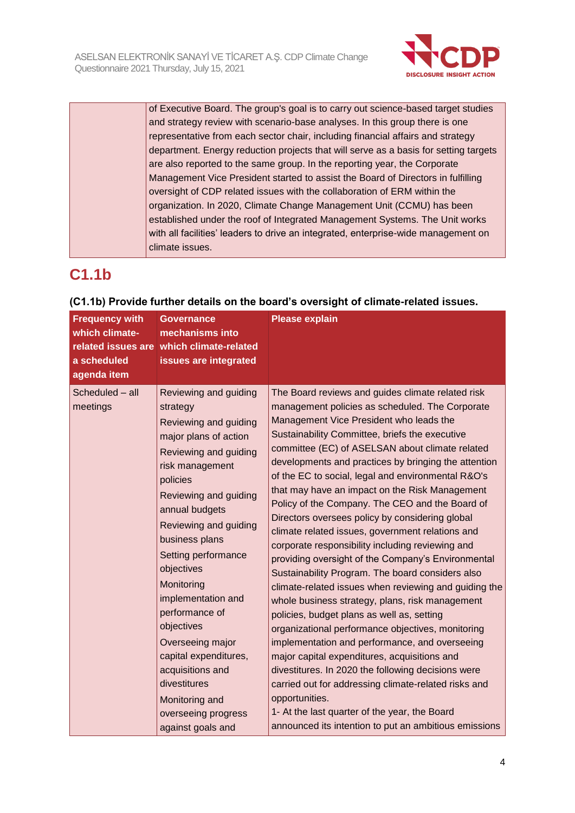

of Executive Board. The group's goal is to carry out science-based target studies and strategy review with scenario-base analyses. In this group there is one representative from each sector chair, including financial affairs and strategy department. Energy reduction projects that will serve as a basis for setting targets are also reported to the same group. In the reporting year, the Corporate Management Vice President started to assist the Board of Directors in fulfilling oversight of CDP related issues with the collaboration of ERM within the organization. In 2020, Climate Change Management Unit (CCMU) has been established under the roof of Integrated Management Systems. The Unit works with all facilities' leaders to drive an integrated, enterprise-wide management on climate issues.

# **C1.1b**

| <b>Frequency with</b><br>which climate-<br>a scheduled<br>agenda item | <b>Governance</b><br>mechanisms into<br>related issues are which climate-related<br>issues are integrated                                                                                                                                                                                                                                                                                                                                                                                 | <b>Please explain</b>                                                                                                                                                                                                                                                                                                                                                                                                                                                                                                                                                                                                                                                                                                                                                                                                                                                                                                                                                                                                                                                                                                                                                                                                                                                                                   |
|-----------------------------------------------------------------------|-------------------------------------------------------------------------------------------------------------------------------------------------------------------------------------------------------------------------------------------------------------------------------------------------------------------------------------------------------------------------------------------------------------------------------------------------------------------------------------------|---------------------------------------------------------------------------------------------------------------------------------------------------------------------------------------------------------------------------------------------------------------------------------------------------------------------------------------------------------------------------------------------------------------------------------------------------------------------------------------------------------------------------------------------------------------------------------------------------------------------------------------------------------------------------------------------------------------------------------------------------------------------------------------------------------------------------------------------------------------------------------------------------------------------------------------------------------------------------------------------------------------------------------------------------------------------------------------------------------------------------------------------------------------------------------------------------------------------------------------------------------------------------------------------------------|
| Scheduled - all<br>meetings                                           | Reviewing and guiding<br>strategy<br>Reviewing and guiding<br>major plans of action<br>Reviewing and guiding<br>risk management<br>policies<br>Reviewing and guiding<br>annual budgets<br>Reviewing and guiding<br>business plans<br>Setting performance<br>objectives<br>Monitoring<br>implementation and<br>performance of<br>objectives<br>Overseeing major<br>capital expenditures,<br>acquisitions and<br>divestitures<br>Monitoring and<br>overseeing progress<br>against goals and | The Board reviews and guides climate related risk<br>management policies as scheduled. The Corporate<br>Management Vice President who leads the<br>Sustainability Committee, briefs the executive<br>committee (EC) of ASELSAN about climate related<br>developments and practices by bringing the attention<br>of the EC to social, legal and environmental R&O's<br>that may have an impact on the Risk Management<br>Policy of the Company. The CEO and the Board of<br>Directors oversees policy by considering global<br>climate related issues, government relations and<br>corporate responsibility including reviewing and<br>providing oversight of the Company's Environmental<br>Sustainability Program. The board considers also<br>climate-related issues when reviewing and guiding the<br>whole business strategy, plans, risk management<br>policies, budget plans as well as, setting<br>organizational performance objectives, monitoring<br>implementation and performance, and overseeing<br>major capital expenditures, acquisitions and<br>divestitures. In 2020 the following decisions were<br>carried out for addressing climate-related risks and<br>opportunities.<br>1- At the last quarter of the year, the Board<br>announced its intention to put an ambitious emissions |

### **(C1.1b) Provide further details on the board's oversight of climate-related issues.**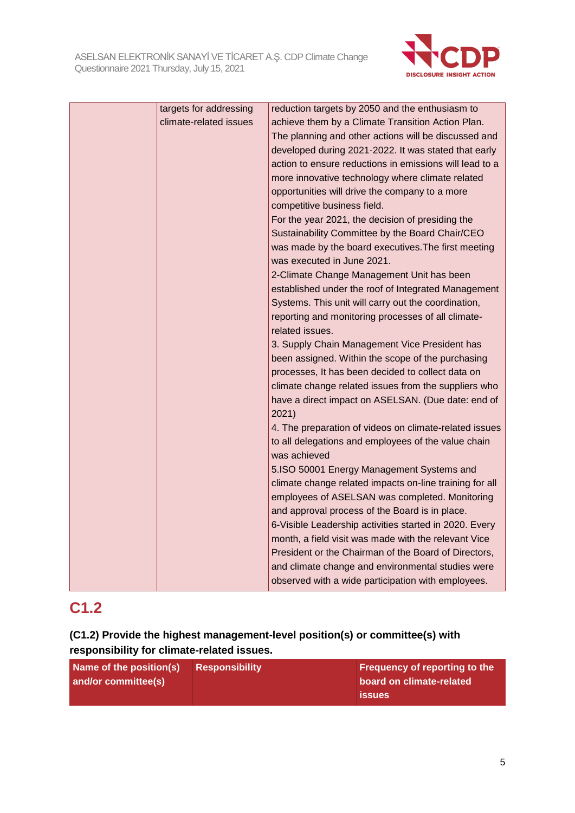

| targets for addressing | reduction targets by 2050 and the enthusiasm to         |
|------------------------|---------------------------------------------------------|
| climate-related issues | achieve them by a Climate Transition Action Plan.       |
|                        | The planning and other actions will be discussed and    |
|                        | developed during 2021-2022. It was stated that early    |
|                        | action to ensure reductions in emissions will lead to a |
|                        | more innovative technology where climate related        |
|                        | opportunities will drive the company to a more          |
|                        | competitive business field.                             |
|                        | For the year 2021, the decision of presiding the        |
|                        | Sustainability Committee by the Board Chair/CEO         |
|                        | was made by the board executives. The first meeting     |
|                        | was executed in June 2021.                              |
|                        | 2-Climate Change Management Unit has been               |
|                        | established under the roof of Integrated Management     |
|                        | Systems. This unit will carry out the coordination,     |
|                        | reporting and monitoring processes of all climate-      |
|                        | related issues.                                         |
|                        | 3. Supply Chain Management Vice President has           |
|                        | been assigned. Within the scope of the purchasing       |
|                        | processes, It has been decided to collect data on       |
|                        | climate change related issues from the suppliers who    |
|                        | have a direct impact on ASELSAN. (Due date: end of      |
|                        | 2021)                                                   |
|                        | 4. The preparation of videos on climate-related issues  |
|                        | to all delegations and employees of the value chain     |
|                        | was achieved                                            |
|                        | 5.ISO 50001 Energy Management Systems and               |
|                        | climate change related impacts on-line training for all |
|                        | employees of ASELSAN was completed. Monitoring          |
|                        | and approval process of the Board is in place.          |
|                        | 6-Visible Leadership activities started in 2020. Every  |
|                        | month, a field visit was made with the relevant Vice    |
|                        | President or the Chairman of the Board of Directors,    |
|                        | and climate change and environmental studies were       |
|                        | observed with a wide participation with employees.      |

## **C1.2**

**(C1.2) Provide the highest management-level position(s) or committee(s) with responsibility for climate-related issues.**

| Name of the position(s) | ∣ Responsibility ˈ | Frequency of reporting to the |
|-------------------------|--------------------|-------------------------------|
| and/or committee(s)     |                    | board on climate-related      |
|                         |                    | <b>issues</b>                 |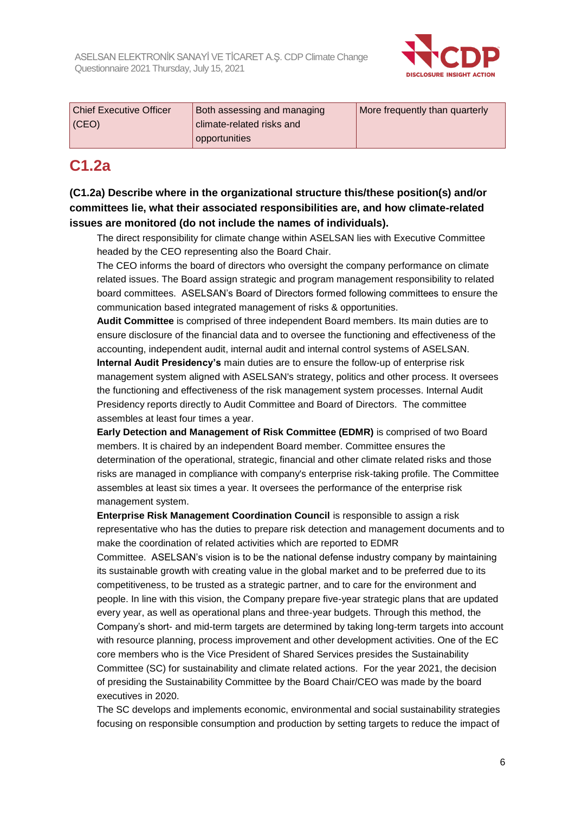

| <b>Chief Executive Officer</b> | Both assessing and managing | More frequently than quarterly |
|--------------------------------|-----------------------------|--------------------------------|
| (CEO)                          | climate-related risks and   |                                |
|                                | opportunities               |                                |

### **C1.2a**

**(C1.2a) Describe where in the organizational structure this/these position(s) and/or committees lie, what their associated responsibilities are, and how climate-related issues are monitored (do not include the names of individuals).**

The direct responsibility for climate change within ASELSAN lies with Executive Committee headed by the CEO representing also the Board Chair.

The CEO informs the board of directors who oversight the company performance on climate related issues. The Board assign strategic and program management responsibility to related board committees. ASELSAN's Board of Directors formed following committees to ensure the communication based integrated management of risks & opportunities.

**Audit Committee** is comprised of three independent Board members. Its main duties are to ensure disclosure of the financial data and to oversee the functioning and effectiveness of the accounting, independent audit, internal audit and internal control systems of ASELSAN. **Internal Audit Presidency's** main duties are to ensure the follow-up of enterprise risk management system aligned with ASELSAN's strategy, politics and other process. It oversees the functioning and effectiveness of the risk management system processes. Internal Audit Presidency reports directly to Audit Committee and Board of Directors. The committee assembles at least four times a year.

**Early Detection and Management of Risk Committee (EDMR)** is comprised of two Board members. It is chaired by an independent Board member. Committee ensures the determination of the operational, strategic, financial and other climate related risks and those risks are managed in compliance with company's enterprise risk-taking profile. The Committee assembles at least six times a year. It oversees the performance of the enterprise risk management system.

**Enterprise Risk Management Coordination Council** is responsible to assign a risk representative who has the duties to prepare risk detection and management documents and to make the coordination of related activities which are reported to EDMR

Committee. ASELSAN's vision is to be the national defense industry company by maintaining its sustainable growth with creating value in the global market and to be preferred due to its competitiveness, to be trusted as a strategic partner, and to care for the environment and people. In line with this vision, the Company prepare five-year strategic plans that are updated every year, as well as operational plans and three-year budgets. Through this method, the Company's short- and mid-term targets are determined by taking long-term targets into account with resource planning, process improvement and other development activities. One of the EC core members who is the Vice President of Shared Services presides the Sustainability Committee (SC) for sustainability and climate related actions. For the year 2021, the decision of presiding the Sustainability Committee by the Board Chair/CEO was made by the board executives in 2020.

The SC develops and implements economic, environmental and social sustainability strategies focusing on responsible consumption and production by setting targets to reduce the impact of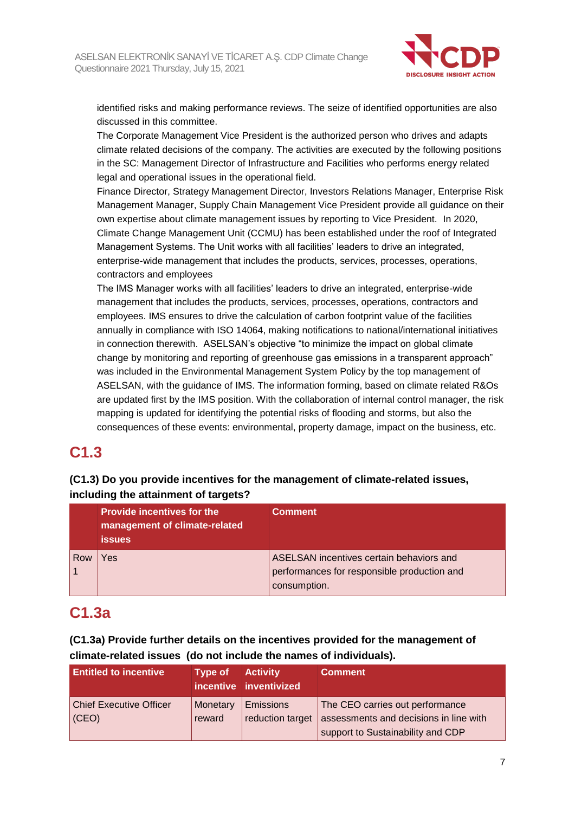

identified risks and making performance reviews. The seize of identified opportunities are also discussed in this committee.

The Corporate Management Vice President is the authorized person who drives and adapts climate related decisions of the company. The activities are executed by the following positions in the SC: Management Director of Infrastructure and Facilities who performs energy related legal and operational issues in the operational field.

Finance Director, Strategy Management Director, Investors Relations Manager, Enterprise Risk Management Manager, Supply Chain Management Vice President provide all guidance on their own expertise about climate management issues by reporting to Vice President. In 2020, Climate Change Management Unit (CCMU) has been established under the roof of Integrated Management Systems. The Unit works with all facilities' leaders to drive an integrated, enterprise-wide management that includes the products, services, processes, operations, contractors and employees

The IMS Manager works with all facilities' leaders to drive an integrated, enterprise-wide management that includes the products, services, processes, operations, contractors and employees. IMS ensures to drive the calculation of carbon footprint value of the facilities annually in compliance with ISO 14064, making notifications to national/international initiatives in connection therewith. ASELSAN's objective "to minimize the impact on global climate change by monitoring and reporting of greenhouse gas emissions in a transparent approach" was included in the Environmental Management System Policy by the top management of ASELSAN, with the guidance of IMS. The information forming, based on climate related R&Os are updated first by the IMS position. With the collaboration of internal control manager, the risk mapping is updated for identifying the potential risks of flooding and storms, but also the consequences of these events: environmental, property damage, impact on the business, etc.

### **C1.3**

### **(C1.3) Do you provide incentives for the management of climate-related issues, including the attainment of targets?**

|     | <b>Provide incentives for the</b><br>management of climate-related<br><b>issues</b> | <b>Comment</b>                                                                                          |
|-----|-------------------------------------------------------------------------------------|---------------------------------------------------------------------------------------------------------|
| Row | Yes                                                                                 | ASELSAN incentives certain behaviors and<br>performances for responsible production and<br>consumption. |

### **C1.3a**

### **(C1.3a) Provide further details on the incentives provided for the management of climate-related issues (do not include the names of individuals).**

| <b>Entitled to incentive</b>   | Type of  | <b>Activity</b><br>incentive inventivized | <b>Comment</b>                         |
|--------------------------------|----------|-------------------------------------------|----------------------------------------|
| <b>Chief Executive Officer</b> | Monetary | Emissions                                 | The CEO carries out performance        |
| (CEO)                          | reward   | reduction target                          | assessments and decisions in line with |
|                                |          |                                           | support to Sustainability and CDP      |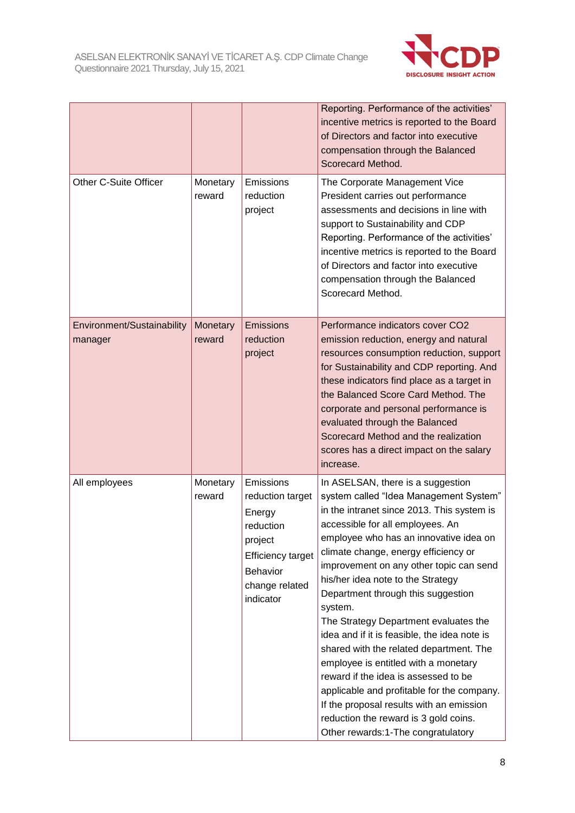

|                                       |                    |                                                                                                                                        | Reporting. Performance of the activities'<br>incentive metrics is reported to the Board<br>of Directors and factor into executive<br>compensation through the Balanced<br>Scorecard Method.                                                                                                                                                                                                                                                                                                                                                                                                                                                                                                                                                                                   |
|---------------------------------------|--------------------|----------------------------------------------------------------------------------------------------------------------------------------|-------------------------------------------------------------------------------------------------------------------------------------------------------------------------------------------------------------------------------------------------------------------------------------------------------------------------------------------------------------------------------------------------------------------------------------------------------------------------------------------------------------------------------------------------------------------------------------------------------------------------------------------------------------------------------------------------------------------------------------------------------------------------------|
| <b>Other C-Suite Officer</b>          | Monetary<br>reward | Emissions<br>reduction<br>project                                                                                                      | The Corporate Management Vice<br>President carries out performance<br>assessments and decisions in line with<br>support to Sustainability and CDP<br>Reporting. Performance of the activities'<br>incentive metrics is reported to the Board<br>of Directors and factor into executive<br>compensation through the Balanced<br>Scorecard Method.                                                                                                                                                                                                                                                                                                                                                                                                                              |
| Environment/Sustainability<br>manager | Monetary<br>reward | <b>Emissions</b><br>reduction<br>project                                                                                               | Performance indicators cover CO2<br>emission reduction, energy and natural<br>resources consumption reduction, support<br>for Sustainability and CDP reporting. And<br>these indicators find place as a target in<br>the Balanced Score Card Method. The<br>corporate and personal performance is<br>evaluated through the Balanced<br>Scorecard Method and the realization<br>scores has a direct impact on the salary<br>increase.                                                                                                                                                                                                                                                                                                                                          |
| All employees                         | Monetary<br>reward | Emissions<br>reduction target<br>Energy<br>reduction<br>project<br><b>Efficiency target</b><br>Behavior<br>change related<br>indicator | In ASELSAN, there is a suggestion<br>system called "Idea Management System"<br>in the intranet since 2013. This system is<br>accessible for all employees. An<br>employee who has an innovative idea on<br>climate change, energy efficiency or<br>improvement on any other topic can send<br>his/her idea note to the Strategy<br>Department through this suggestion<br>system.<br>The Strategy Department evaluates the<br>idea and if it is feasible, the idea note is<br>shared with the related department. The<br>employee is entitled with a monetary<br>reward if the idea is assessed to be<br>applicable and profitable for the company.<br>If the proposal results with an emission<br>reduction the reward is 3 gold coins.<br>Other rewards:1-The congratulatory |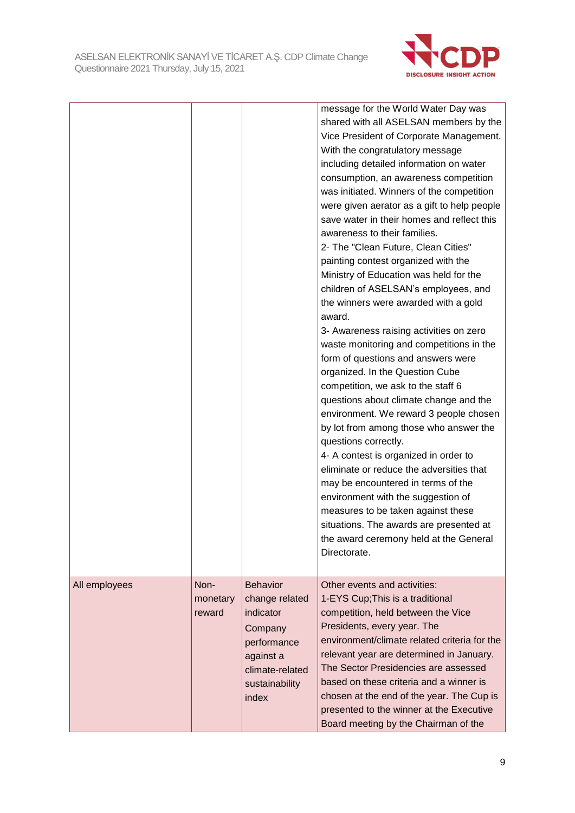

|               |                            |                                                                                                                                     | message for the World Water Day was<br>shared with all ASELSAN members by the<br>Vice President of Corporate Management.<br>With the congratulatory message<br>including detailed information on water<br>consumption, an awareness competition<br>was initiated. Winners of the competition<br>were given aerator as a gift to help people<br>save water in their homes and reflect this<br>awareness to their families.<br>2- The "Clean Future, Clean Cities"<br>painting contest organized with the<br>Ministry of Education was held for the<br>children of ASELSAN's employees, and<br>the winners were awarded with a gold<br>award.<br>3- Awareness raising activities on zero<br>waste monitoring and competitions in the<br>form of questions and answers were<br>organized. In the Question Cube<br>competition, we ask to the staff 6<br>questions about climate change and the<br>environment. We reward 3 people chosen<br>by lot from among those who answer the<br>questions correctly.<br>4- A contest is organized in order to<br>eliminate or reduce the adversities that<br>may be encountered in terms of the<br>environment with the suggestion of<br>measures to be taken against these<br>situations. The awards are presented at<br>the award ceremony held at the General<br>Directorate. |
|---------------|----------------------------|-------------------------------------------------------------------------------------------------------------------------------------|---------------------------------------------------------------------------------------------------------------------------------------------------------------------------------------------------------------------------------------------------------------------------------------------------------------------------------------------------------------------------------------------------------------------------------------------------------------------------------------------------------------------------------------------------------------------------------------------------------------------------------------------------------------------------------------------------------------------------------------------------------------------------------------------------------------------------------------------------------------------------------------------------------------------------------------------------------------------------------------------------------------------------------------------------------------------------------------------------------------------------------------------------------------------------------------------------------------------------------------------------------------------------------------------------------------------|
| All employees | Non-<br>monetary<br>reward | <b>Behavior</b><br>change related<br>indicator<br>Company<br>performance<br>against a<br>climate-related<br>sustainability<br>index | Other events and activities:<br>1-EYS Cup; This is a traditional<br>competition, held between the Vice<br>Presidents, every year. The<br>environment/climate related criteria for the<br>relevant year are determined in January.<br>The Sector Presidencies are assessed<br>based on these criteria and a winner is<br>chosen at the end of the year. The Cup is<br>presented to the winner at the Executive<br>Board meeting by the Chairman of the                                                                                                                                                                                                                                                                                                                                                                                                                                                                                                                                                                                                                                                                                                                                                                                                                                                               |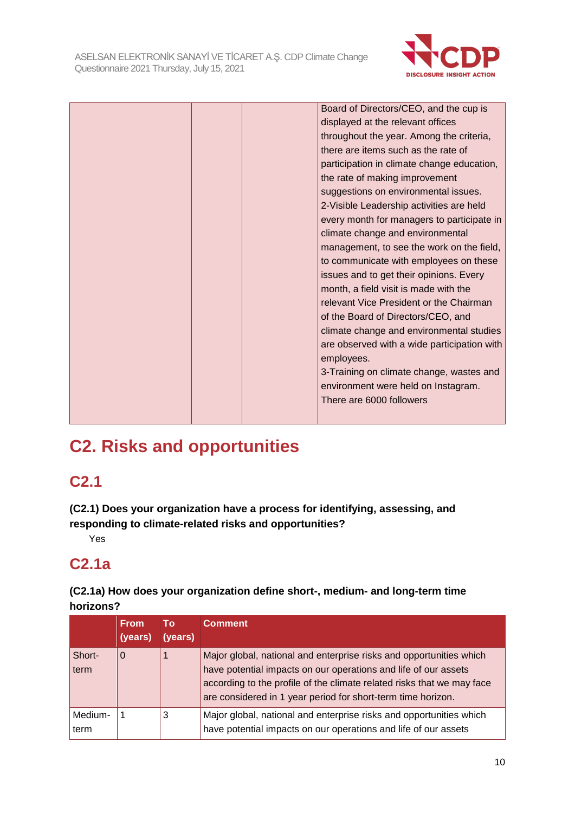

|  | Board of Directors/CEO, and the cup is      |
|--|---------------------------------------------|
|  | displayed at the relevant offices           |
|  | throughout the year. Among the criteria,    |
|  | there are items such as the rate of         |
|  | participation in climate change education,  |
|  | the rate of making improvement              |
|  | suggestions on environmental issues.        |
|  | 2-Visible Leadership activities are held    |
|  | every month for managers to participate in  |
|  | climate change and environmental            |
|  | management, to see the work on the field,   |
|  | to communicate with employees on these      |
|  | issues and to get their opinions. Every     |
|  | month, a field visit is made with the       |
|  | relevant Vice President or the Chairman     |
|  | of the Board of Directors/CEO, and          |
|  | climate change and environmental studies    |
|  | are observed with a wide participation with |
|  | employees.                                  |
|  | 3-Training on climate change, wastes and    |
|  | environment were held on Instagram.         |
|  | There are 6000 followers                    |
|  |                                             |

# **C2. Risks and opportunities**

# **C2.1**

**(C2.1) Does your organization have a process for identifying, assessing, and responding to climate-related risks and opportunities?**

Yes

# **C2.1a**

### **(C2.1a) How does your organization define short-, medium- and long-term time horizons?**

|                 | <b>From</b><br>(years) | То<br>(years) | <b>Comment</b>                                                                                                                                                                                                                                                                   |
|-----------------|------------------------|---------------|----------------------------------------------------------------------------------------------------------------------------------------------------------------------------------------------------------------------------------------------------------------------------------|
| Short-<br>term  | $\Omega$               | 1             | Major global, national and enterprise risks and opportunities which<br>have potential impacts on our operations and life of our assets<br>according to the profile of the climate related risks that we may face<br>are considered in 1 year period for short-term time horizon. |
| Medium-<br>term |                        | 3             | Major global, national and enterprise risks and opportunities which<br>have potential impacts on our operations and life of our assets                                                                                                                                           |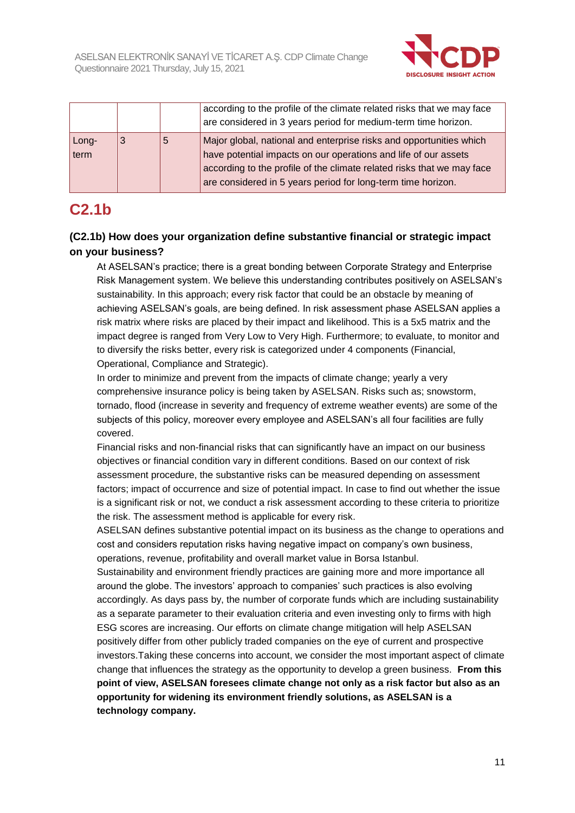

|               |   |   | according to the profile of the climate related risks that we may face<br>are considered in 3 years period for medium-term time horizon.                                                                                                                                         |
|---------------|---|---|----------------------------------------------------------------------------------------------------------------------------------------------------------------------------------------------------------------------------------------------------------------------------------|
| Long-<br>term | 3 | 5 | Major global, national and enterprise risks and opportunities which<br>have potential impacts on our operations and life of our assets<br>according to the profile of the climate related risks that we may face<br>are considered in 5 years period for long-term time horizon. |

# **C2.1b**

### **(C2.1b) How does your organization define substantive financial or strategic impact on your business?**

At ASELSAN's practice; there is a great bonding between Corporate Strategy and Enterprise Risk Management system. We believe this understanding contributes positively on ASELSAN's sustainability. In this approach; every risk factor that could be an obstacle by meaning of achieving ASELSAN's goals, are being defined. In risk assessment phase ASELSAN applies a risk matrix where risks are placed by their impact and likelihood. This is a 5x5 matrix and the impact degree is ranged from Very Low to Very High. Furthermore; to evaluate, to monitor and to diversify the risks better, every risk is categorized under 4 components (Financial, Operational, Compliance and Strategic).

In order to minimize and prevent from the impacts of climate change; yearly a very comprehensive insurance policy is being taken by ASELSAN. Risks such as; snowstorm, tornado, flood (increase in severity and frequency of extreme weather events) are some of the subjects of this policy, moreover every employee and ASELSAN's all four facilities are fully covered.

Financial risks and non-financial risks that can significantly have an impact on our business objectives or financial condition vary in different conditions. Based on our context of risk assessment procedure, the substantive risks can be measured depending on assessment factors; impact of occurrence and size of potential impact. In case to find out whether the issue is a significant risk or not, we conduct a risk assessment according to these criteria to prioritize the risk. The assessment method is applicable for every risk.

ASELSAN defines substantive potential impact on its business as the change to operations and cost and considers reputation risks having negative impact on company's own business, operations, revenue, profitability and overall market value in Borsa Istanbul.

Sustainability and environment friendly practices are gaining more and more importance all around the globe. The investors' approach to companies' such practices is also evolving accordingly. As days pass by, the number of corporate funds which are including sustainability as a separate parameter to their evaluation criteria and even investing only to firms with high ESG scores are increasing. Our efforts on climate change mitigation will help ASELSAN positively differ from other publicly traded companies on the eye of current and prospective investors.Taking these concerns into account, we consider the most important aspect of climate change that influences the strategy as the opportunity to develop a green business. **From this point of view, ASELSAN foresees climate change not only as a risk factor but also as an opportunity for widening its environment friendly solutions, as ASELSAN is a technology company.**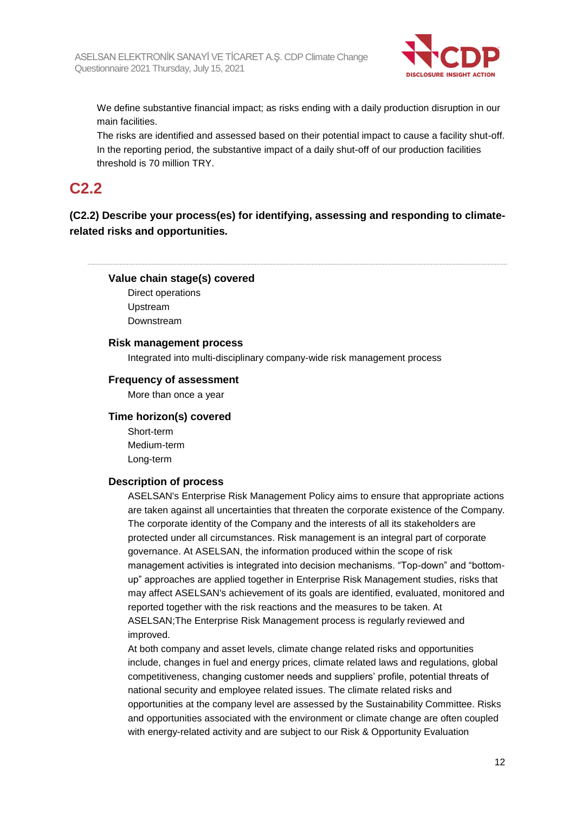

We define substantive financial impact; as risks ending with a daily production disruption in our main facilities.

The risks are identified and assessed based on their potential impact to cause a facility shut-off. In the reporting period, the substantive impact of a daily shut-off of our production facilities threshold is 70 million TRY.

# **C2.2**

**(C2.2) Describe your process(es) for identifying, assessing and responding to climaterelated risks and opportunities.**

#### **Value chain stage(s) covered**

Direct operations Upstream Downstream

#### **Risk management process**

Integrated into multi-disciplinary company-wide risk management process

#### **Frequency of assessment**

More than once a year

#### **Time horizon(s) covered**

Short-term Medium-term Long-term

#### **Description of process**

ASELSAN's Enterprise Risk Management Policy aims to ensure that appropriate actions are taken against all uncertainties that threaten the corporate existence of the Company. The corporate identity of the Company and the interests of all its stakeholders are protected under all circumstances. Risk management is an integral part of corporate governance. At ASELSAN, the information produced within the scope of risk management activities is integrated into decision mechanisms. "Top-down" and "bottomup" approaches are applied together in Enterprise Risk Management studies, risks that may affect ASELSAN's achievement of its goals are identified, evaluated, monitored and reported together with the risk reactions and the measures to be taken. At ASELSAN;The Enterprise Risk Management process is regularly reviewed and improved.

At both company and asset levels, climate change related risks and opportunities include, changes in fuel and energy prices, climate related laws and regulations, global competitiveness, changing customer needs and suppliers' profile, potential threats of national security and employee related issues. The climate related risks and opportunities at the company level are assessed by the Sustainability Committee. Risks and opportunities associated with the environment or climate change are often coupled with energy-related activity and are subject to our Risk & Opportunity Evaluation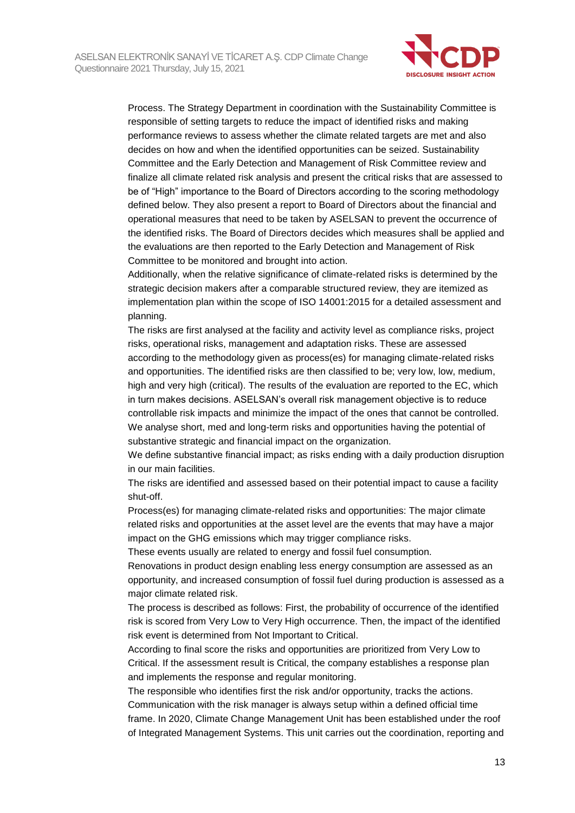

Process. The Strategy Department in coordination with the Sustainability Committee is responsible of setting targets to reduce the impact of identified risks and making performance reviews to assess whether the climate related targets are met and also decides on how and when the identified opportunities can be seized. Sustainability Committee and the Early Detection and Management of Risk Committee review and finalize all climate related risk analysis and present the critical risks that are assessed to be of "High" importance to the Board of Directors according to the scoring methodology defined below. They also present a report to Board of Directors about the financial and operational measures that need to be taken by ASELSAN to prevent the occurrence of the identified risks. The Board of Directors decides which measures shall be applied and the evaluations are then reported to the Early Detection and Management of Risk Committee to be monitored and brought into action.

Additionally, when the relative significance of climate-related risks is determined by the strategic decision makers after a comparable structured review, they are itemized as implementation plan within the scope of ISO 14001:2015 for a detailed assessment and planning.

The risks are first analysed at the facility and activity level as compliance risks, project risks, operational risks, management and adaptation risks. These are assessed according to the methodology given as process(es) for managing climate-related risks and opportunities. The identified risks are then classified to be; very low, low, medium, high and very high (critical). The results of the evaluation are reported to the EC, which in turn makes decisions. ASELSAN's overall risk management objective is to reduce controllable risk impacts and minimize the impact of the ones that cannot be controlled. We analyse short, med and long-term risks and opportunities having the potential of substantive strategic and financial impact on the organization.

We define substantive financial impact; as risks ending with a daily production disruption in our main facilities.

The risks are identified and assessed based on their potential impact to cause a facility shut-off.

Process(es) for managing climate-related risks and opportunities: The major climate related risks and opportunities at the asset level are the events that may have a major impact on the GHG emissions which may trigger compliance risks.

These events usually are related to energy and fossil fuel consumption.

Renovations in product design enabling less energy consumption are assessed as an opportunity, and increased consumption of fossil fuel during production is assessed as a major climate related risk.

The process is described as follows: First, the probability of occurrence of the identified risk is scored from Very Low to Very High occurrence. Then, the impact of the identified risk event is determined from Not Important to Critical.

According to final score the risks and opportunities are prioritized from Very Low to Critical. If the assessment result is Critical, the company establishes a response plan and implements the response and regular monitoring.

The responsible who identifies first the risk and/or opportunity, tracks the actions. Communication with the risk manager is always setup within a defined official time frame. In 2020, Climate Change Management Unit has been established under the roof of Integrated Management Systems. This unit carries out the coordination, reporting and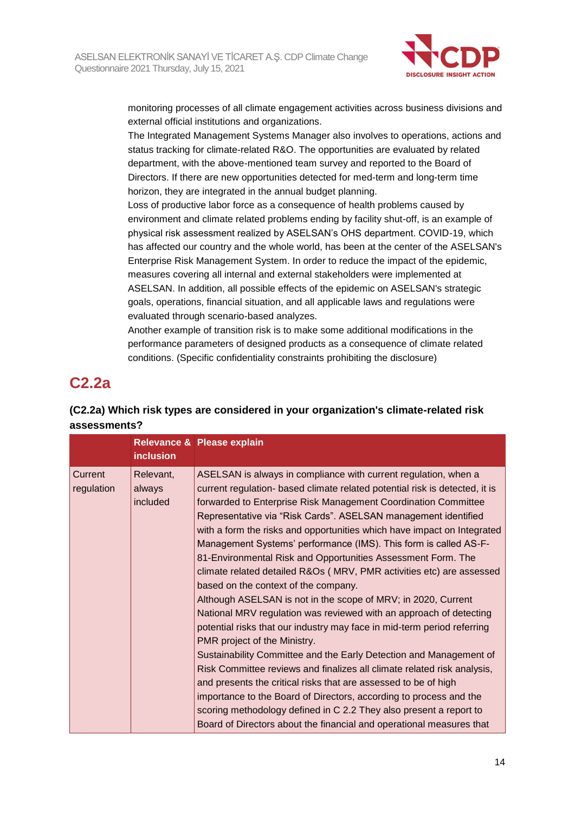

monitoring processes of all climate engagement activities across business divisions and external official institutions and organizations.

The Integrated Management Systems Manager also involves to operations, actions and status tracking for climate-related R&O. The opportunities are evaluated by related department, with the above-mentioned team survey and reported to the Board of Directors. If there are new opportunities detected for med-term and long-term time horizon, they are integrated in the annual budget planning.

Loss of productive labor force as a consequence of health problems caused by environment and climate related problems ending by facility shut-off, is an example of physical risk assessment realized by ASELSAN's OHS department. COVID-19, which has affected our country and the whole world, has been at the center of the ASELSAN's Enterprise Risk Management System. In order to reduce the impact of the epidemic, measures covering all internal and external stakeholders were implemented at ASELSAN. In addition, all possible effects of the epidemic on ASELSAN's strategic goals, operations, financial situation, and all applicable laws and regulations were evaluated through scenario-based analyzes.

Another example of transition risk is to make some additional modifications in the performance parameters of designed products as a consequence of climate related conditions. (Specific confidentiality constraints prohibiting the disclosure)

## **C2.2a**

### **(C2.2a) Which risk types are considered in your organization's climate-related risk assessments?**

|                       | <b>inclusion</b>                | Relevance & Please explain                                                                                                                                                                                                                                                                                                                                                                                                                                                                                                                                                                                                                                                                                                                                                                                                                                                                                                                                                                                                                                                                                                                                                                                                                                                                                  |
|-----------------------|---------------------------------|-------------------------------------------------------------------------------------------------------------------------------------------------------------------------------------------------------------------------------------------------------------------------------------------------------------------------------------------------------------------------------------------------------------------------------------------------------------------------------------------------------------------------------------------------------------------------------------------------------------------------------------------------------------------------------------------------------------------------------------------------------------------------------------------------------------------------------------------------------------------------------------------------------------------------------------------------------------------------------------------------------------------------------------------------------------------------------------------------------------------------------------------------------------------------------------------------------------------------------------------------------------------------------------------------------------|
| Current<br>regulation | Relevant,<br>always<br>included | ASELSAN is always in compliance with current regulation, when a<br>current regulation- based climate related potential risk is detected, it is<br>forwarded to Enterprise Risk Management Coordination Committee<br>Representative via "Risk Cards". ASELSAN management identified<br>with a form the risks and opportunities which have impact on Integrated<br>Management Systems' performance (IMS). This form is called AS-F-<br>81-Environmental Risk and Opportunities Assessment Form. The<br>climate related detailed R&Os (MRV, PMR activities etc) are assessed<br>based on the context of the company.<br>Although ASELSAN is not in the scope of MRV; in 2020, Current<br>National MRV regulation was reviewed with an approach of detecting<br>potential risks that our industry may face in mid-term period referring<br>PMR project of the Ministry.<br>Sustainability Committee and the Early Detection and Management of<br>Risk Committee reviews and finalizes all climate related risk analysis,<br>and presents the critical risks that are assessed to be of high<br>importance to the Board of Directors, according to process and the<br>scoring methodology defined in C 2.2 They also present a report to<br>Board of Directors about the financial and operational measures that |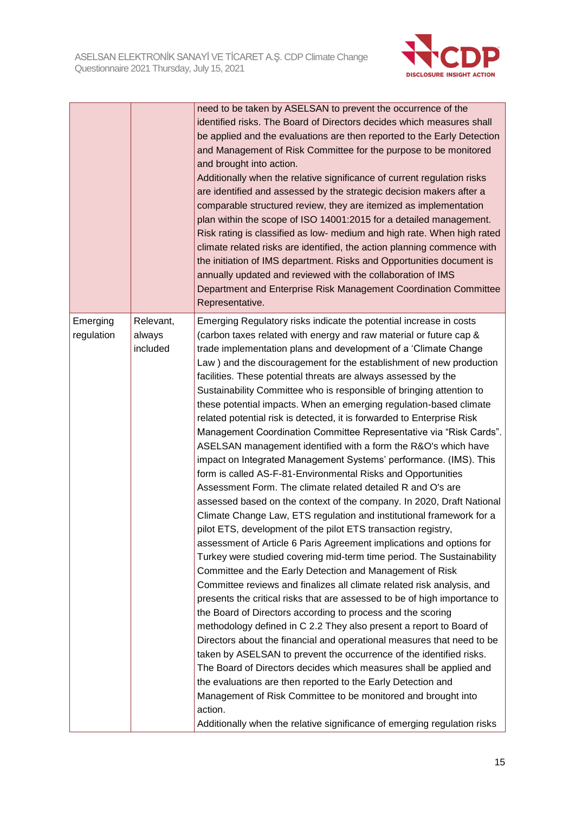

|            |           | need to be taken by ASELSAN to prevent the occurrence of the              |
|------------|-----------|---------------------------------------------------------------------------|
|            |           | identified risks. The Board of Directors decides which measures shall     |
|            |           | be applied and the evaluations are then reported to the Early Detection   |
|            |           | and Management of Risk Committee for the purpose to be monitored          |
|            |           | and brought into action.                                                  |
|            |           | Additionally when the relative significance of current regulation risks   |
|            |           | are identified and assessed by the strategic decision makers after a      |
|            |           | comparable structured review, they are itemized as implementation         |
|            |           | plan within the scope of ISO 14001:2015 for a detailed management.        |
|            |           | Risk rating is classified as low- medium and high rate. When high rated   |
|            |           | climate related risks are identified, the action planning commence with   |
|            |           | the initiation of IMS department. Risks and Opportunities document is     |
|            |           | annually updated and reviewed with the collaboration of IMS               |
|            |           | Department and Enterprise Risk Management Coordination Committee          |
|            |           | Representative.                                                           |
| Emerging   | Relevant, | Emerging Regulatory risks indicate the potential increase in costs        |
| regulation | always    | (carbon taxes related with energy and raw material or future cap &        |
|            | included  | trade implementation plans and development of a 'Climate Change           |
|            |           | Law) and the discouragement for the establishment of new production       |
|            |           | facilities. These potential threats are always assessed by the            |
|            |           | Sustainability Committee who is responsible of bringing attention to      |
|            |           | these potential impacts. When an emerging regulation-based climate        |
|            |           | related potential risk is detected, it is forwarded to Enterprise Risk    |
|            |           | Management Coordination Committee Representative via "Risk Cards".        |
|            |           | ASELSAN management identified with a form the R&O's which have            |
|            |           | impact on Integrated Management Systems' performance. (IMS). This         |
|            |           | form is called AS-F-81-Environmental Risks and Opportunities              |
|            |           | Assessment Form. The climate related detailed R and O's are               |
|            |           | assessed based on the context of the company. In 2020, Draft National     |
|            |           | Climate Change Law, ETS regulation and institutional framework for a      |
|            |           | pilot ETS, development of the pilot ETS transaction registry,             |
|            |           | assessment of Article 6 Paris Agreement implications and options for      |
|            |           | Turkey were studied covering mid-term time period. The Sustainability     |
|            |           | Committee and the Early Detection and Management of Risk                  |
|            |           | Committee reviews and finalizes all climate related risk analysis, and    |
|            |           | presents the critical risks that are assessed to be of high importance to |
|            |           | the Board of Directors according to process and the scoring               |
|            |           | methodology defined in C 2.2 They also present a report to Board of       |
|            |           | Directors about the financial and operational measures that need to be    |
|            |           | taken by ASELSAN to prevent the occurrence of the identified risks.       |
|            |           | The Board of Directors decides which measures shall be applied and        |
|            |           | the evaluations are then reported to the Early Detection and              |
|            |           | Management of Risk Committee to be monitored and brought into             |
|            |           | action.                                                                   |
|            |           | Additionally when the relative significance of emerging regulation risks  |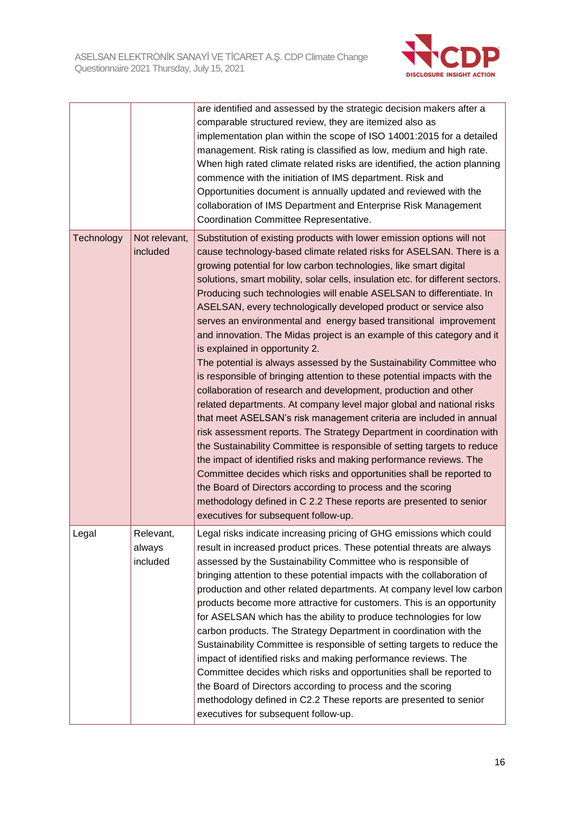

|            |                                 | are identified and assessed by the strategic decision makers after a<br>comparable structured review, they are itemized also as<br>implementation plan within the scope of ISO 14001:2015 for a detailed<br>management. Risk rating is classified as low, medium and high rate.<br>When high rated climate related risks are identified, the action planning<br>commence with the initiation of IMS department. Risk and<br>Opportunities document is annually updated and reviewed with the<br>collaboration of IMS Department and Enterprise Risk Management<br>Coordination Committee Representative.                                                                                                                                                                                                                                                                                                                                                                                                                                                                                                                                                                                                                                                                                                                                                                                                                                                                                   |
|------------|---------------------------------|--------------------------------------------------------------------------------------------------------------------------------------------------------------------------------------------------------------------------------------------------------------------------------------------------------------------------------------------------------------------------------------------------------------------------------------------------------------------------------------------------------------------------------------------------------------------------------------------------------------------------------------------------------------------------------------------------------------------------------------------------------------------------------------------------------------------------------------------------------------------------------------------------------------------------------------------------------------------------------------------------------------------------------------------------------------------------------------------------------------------------------------------------------------------------------------------------------------------------------------------------------------------------------------------------------------------------------------------------------------------------------------------------------------------------------------------------------------------------------------------|
| Technology | Not relevant,<br>included       | Substitution of existing products with lower emission options will not<br>cause technology-based climate related risks for ASELSAN. There is a<br>growing potential for low carbon technologies, like smart digital<br>solutions, smart mobility, solar cells, insulation etc. for different sectors.<br>Producing such technologies will enable ASELSAN to differentiate. In<br>ASELSAN, every technologically developed product or service also<br>serves an environmental and energy based transitional improvement<br>and innovation. The Midas project is an example of this category and it<br>is explained in opportunity 2.<br>The potential is always assessed by the Sustainability Committee who<br>is responsible of bringing attention to these potential impacts with the<br>collaboration of research and development, production and other<br>related departments. At company level major global and national risks<br>that meet ASELSAN's risk management criteria are included in annual<br>risk assessment reports. The Strategy Department in coordination with<br>the Sustainability Committee is responsible of setting targets to reduce<br>the impact of identified risks and making performance reviews. The<br>Committee decides which risks and opportunities shall be reported to<br>the Board of Directors according to process and the scoring<br>methodology defined in C 2.2 These reports are presented to senior<br>executives for subsequent follow-up. |
| Legal      | Relevant,<br>always<br>included | Legal risks indicate increasing pricing of GHG emissions which could<br>result in increased product prices. These potential threats are always<br>assessed by the Sustainability Committee who is responsible of<br>bringing attention to these potential impacts with the collaboration of<br>production and other related departments. At company level low carbon<br>products become more attractive for customers. This is an opportunity<br>for ASELSAN which has the ability to produce technologies for low<br>carbon products. The Strategy Department in coordination with the<br>Sustainability Committee is responsible of setting targets to reduce the<br>impact of identified risks and making performance reviews. The<br>Committee decides which risks and opportunities shall be reported to<br>the Board of Directors according to process and the scoring<br>methodology defined in C2.2 These reports are presented to senior<br>executives for subsequent follow-up.                                                                                                                                                                                                                                                                                                                                                                                                                                                                                                  |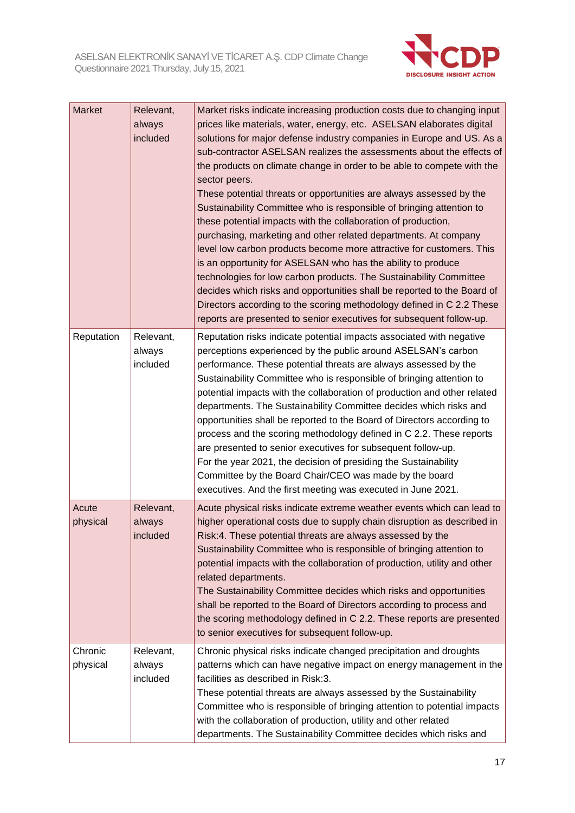

| Market              | Relevant,<br>always<br>included | Market risks indicate increasing production costs due to changing input<br>prices like materials, water, energy, etc. ASELSAN elaborates digital<br>solutions for major defense industry companies in Europe and US. As a<br>sub-contractor ASELSAN realizes the assessments about the effects of<br>the products on climate change in order to be able to compete with the<br>sector peers.<br>These potential threats or opportunities are always assessed by the<br>Sustainability Committee who is responsible of bringing attention to<br>these potential impacts with the collaboration of production,<br>purchasing, marketing and other related departments. At company<br>level low carbon products become more attractive for customers. This<br>is an opportunity for ASELSAN who has the ability to produce<br>technologies for low carbon products. The Sustainability Committee<br>decides which risks and opportunities shall be reported to the Board of |
|---------------------|---------------------------------|--------------------------------------------------------------------------------------------------------------------------------------------------------------------------------------------------------------------------------------------------------------------------------------------------------------------------------------------------------------------------------------------------------------------------------------------------------------------------------------------------------------------------------------------------------------------------------------------------------------------------------------------------------------------------------------------------------------------------------------------------------------------------------------------------------------------------------------------------------------------------------------------------------------------------------------------------------------------------|
|                     |                                 | Directors according to the scoring methodology defined in C 2.2 These<br>reports are presented to senior executives for subsequent follow-up.                                                                                                                                                                                                                                                                                                                                                                                                                                                                                                                                                                                                                                                                                                                                                                                                                            |
| Reputation          | Relevant,<br>always<br>included | Reputation risks indicate potential impacts associated with negative<br>perceptions experienced by the public around ASELSAN's carbon<br>performance. These potential threats are always assessed by the<br>Sustainability Committee who is responsible of bringing attention to<br>potential impacts with the collaboration of production and other related<br>departments. The Sustainability Committee decides which risks and<br>opportunities shall be reported to the Board of Directors according to<br>process and the scoring methodology defined in C 2.2. These reports<br>are presented to senior executives for subsequent follow-up.<br>For the year 2021, the decision of presiding the Sustainability<br>Committee by the Board Chair/CEO was made by the board<br>executives. And the first meeting was executed in June 2021.                                                                                                                          |
| Acute<br>physical   | Relevant,<br>always<br>included | Acute physical risks indicate extreme weather events which can lead to<br>higher operational costs due to supply chain disruption as described in<br>Risk:4. These potential threats are always assessed by the<br>Sustainability Committee who is responsible of bringing attention to<br>potential impacts with the collaboration of production, utility and other<br>related departments.<br>The Sustainability Committee decides which risks and opportunities<br>shall be reported to the Board of Directors according to process and<br>the scoring methodology defined in C 2.2. These reports are presented<br>to senior executives for subsequent follow-up.                                                                                                                                                                                                                                                                                                    |
| Chronic<br>physical | Relevant,<br>always<br>included | Chronic physical risks indicate changed precipitation and droughts<br>patterns which can have negative impact on energy management in the<br>facilities as described in Risk:3.<br>These potential threats are always assessed by the Sustainability<br>Committee who is responsible of bringing attention to potential impacts<br>with the collaboration of production, utility and other related<br>departments. The Sustainability Committee decides which risks and                                                                                                                                                                                                                                                                                                                                                                                                                                                                                                  |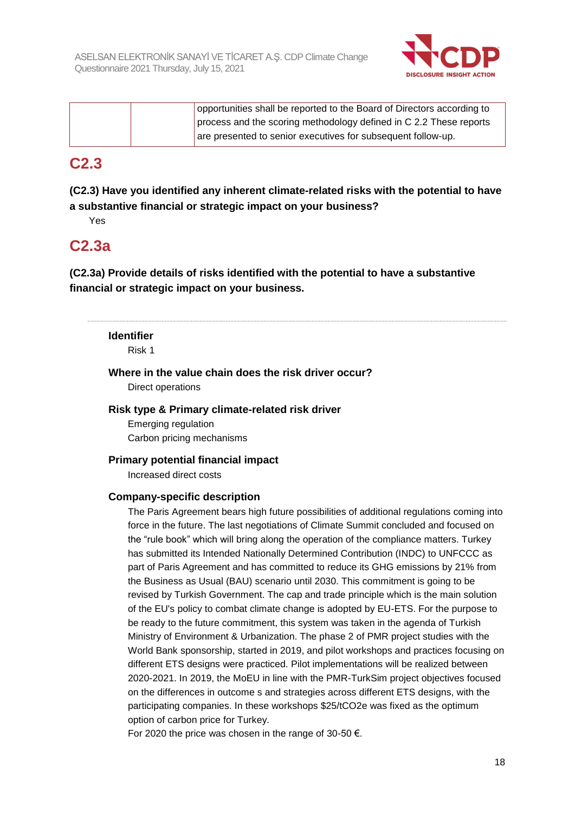

|  | opportunities shall be reported to the Board of Directors according to |
|--|------------------------------------------------------------------------|
|  | process and the scoring methodology defined in C 2.2 These reports     |
|  | are presented to senior executives for subsequent follow-up.           |

### **C2.3**

**(C2.3) Have you identified any inherent climate-related risks with the potential to have a substantive financial or strategic impact on your business?**

Yes

### **C2.3a**

**(C2.3a) Provide details of risks identified with the potential to have a substantive financial or strategic impact on your business.**

### **Identifier**

Risk 1

**Where in the value chain does the risk driver occur?** Direct operations

### **Risk type & Primary climate-related risk driver**

Emerging regulation Carbon pricing mechanisms

### **Primary potential financial impact**

Increased direct costs

#### **Company-specific description**

The Paris Agreement bears high future possibilities of additional regulations coming into force in the future. The last negotiations of Climate Summit concluded and focused on the "rule book" which will bring along the operation of the compliance matters. Turkey has submitted its Intended Nationally Determined Contribution (INDC) to UNFCCC as part of Paris Agreement and has committed to reduce its GHG emissions by 21% from the Business as Usual (BAU) scenario until 2030. This commitment is going to be revised by Turkish Government. The cap and trade principle which is the main solution of the EU's policy to combat climate change is adopted by EU-ETS. For the purpose to be ready to the future commitment, this system was taken in the agenda of Turkish Ministry of Environment & Urbanization. The phase 2 of PMR project studies with the World Bank sponsorship, started in 2019, and pilot workshops and practices focusing on different ETS designs were practiced. Pilot implementations will be realized between 2020-2021. In 2019, the MoEU in line with the PMR-TurkSim project objectives focused on the differences in outcome s and strategies across different ETS designs, with the participating companies. In these workshops \$25/tCO2e was fixed as the optimum option of carbon price for Turkey.

For 2020 the price was chosen in the range of 30-50  $\epsilon$ .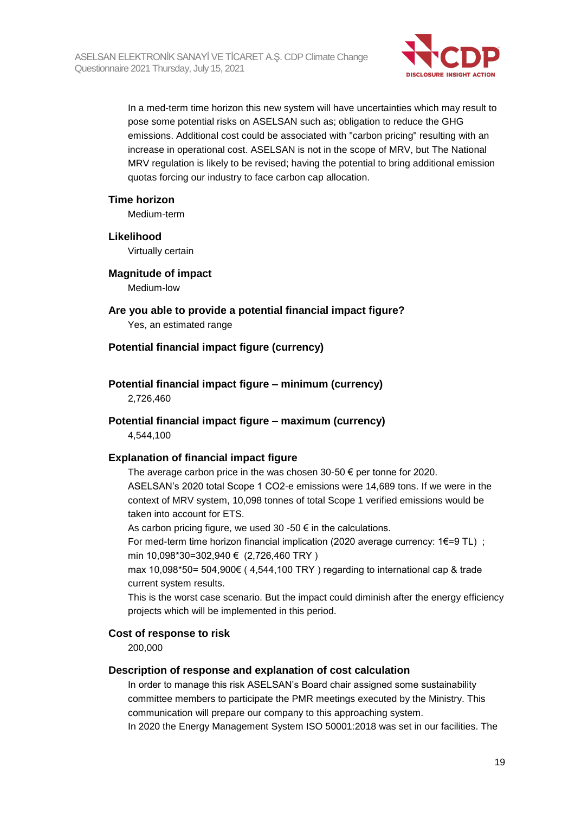

In a med-term time horizon this new system will have uncertainties which may result to pose some potential risks on ASELSAN such as; obligation to reduce the GHG emissions. Additional cost could be associated with "carbon pricing" resulting with an increase in operational cost. ASELSAN is not in the scope of MRV, but The National MRV regulation is likely to be revised; having the potential to bring additional emission quotas forcing our industry to face carbon cap allocation.

#### **Time horizon**

Medium-term

#### **Likelihood**

Virtually certain

#### **Magnitude of impact**

Medium-low

**Are you able to provide a potential financial impact figure?** Yes, an estimated range

#### **Potential financial impact figure (currency)**

# **Potential financial impact figure – minimum (currency)**

2,726,460

#### **Potential financial impact figure – maximum (currency)**

4,544,100

#### **Explanation of financial impact figure**

The average carbon price in the was chosen 30-50  $\epsilon$  per tonne for 2020. ASELSAN's 2020 total Scope 1 CO2-e emissions were 14,689 tons. If we were in the context of MRV system, 10,098 tonnes of total Scope 1 verified emissions would be taken into account for ETS.

As carbon pricing figure, we used 30 -50  $\epsilon$  in the calculations.

For med-term time horizon financial implication (2020 average currency: 1€=9 TL) ; min 10,098\*30=302,940 € (2,726,460 TRY )

max 10,098\*50= 504,900€ ( 4,544,100 TRY ) regarding to international cap & trade current system results.

This is the worst case scenario. But the impact could diminish after the energy efficiency projects which will be implemented in this period.

#### **Cost of response to risk**

200,000

#### **Description of response and explanation of cost calculation**

In order to manage this risk ASELSAN's Board chair assigned some sustainability committee members to participate the PMR meetings executed by the Ministry. This communication will prepare our company to this approaching system.

In 2020 the Energy Management System ISO 50001:2018 was set in our facilities. The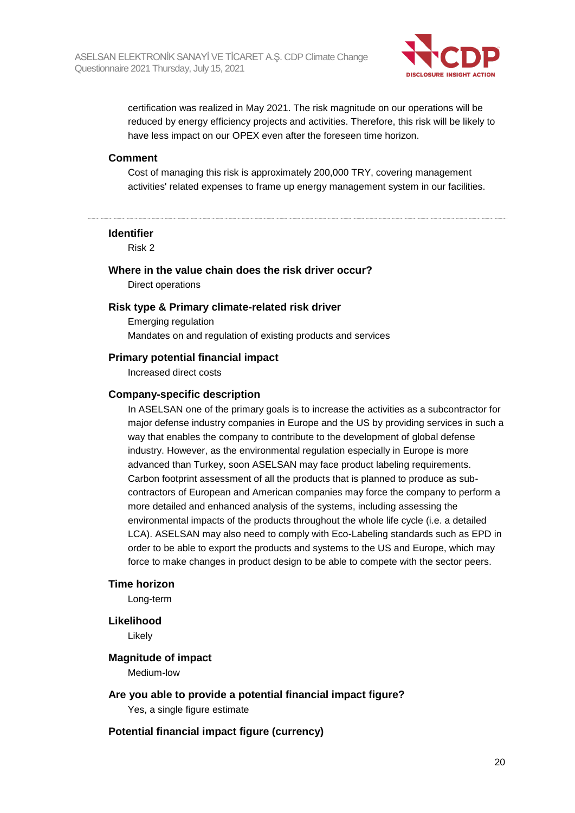

certification was realized in May 2021. The risk magnitude on our operations will be reduced by energy efficiency projects and activities. Therefore, this risk will be likely to have less impact on our OPEX even after the foreseen time horizon.

#### **Comment**

Cost of managing this risk is approximately 200,000 TRY, covering management activities' related expenses to frame up energy management system in our facilities.

#### **Identifier**

Risk 2

#### **Where in the value chain does the risk driver occur?**

Direct operations

#### **Risk type & Primary climate-related risk driver**

Emerging regulation Mandates on and regulation of existing products and services

#### **Primary potential financial impact**

Increased direct costs

#### **Company-specific description**

In ASELSAN one of the primary goals is to increase the activities as a subcontractor for major defense industry companies in Europe and the US by providing services in such a way that enables the company to contribute to the development of global defense industry. However, as the environmental regulation especially in Europe is more advanced than Turkey, soon ASELSAN may face product labeling requirements. Carbon footprint assessment of all the products that is planned to produce as subcontractors of European and American companies may force the company to perform a more detailed and enhanced analysis of the systems, including assessing the environmental impacts of the products throughout the whole life cycle (i.e. a detailed LCA). ASELSAN may also need to comply with Eco-Labeling standards such as EPD in order to be able to export the products and systems to the US and Europe, which may force to make changes in product design to be able to compete with the sector peers.

#### **Time horizon**

Long-term

#### **Likelihood**

Likely

#### **Magnitude of impact**

Medium-low

#### **Are you able to provide a potential financial impact figure?**

Yes, a single figure estimate

#### **Potential financial impact figure (currency)**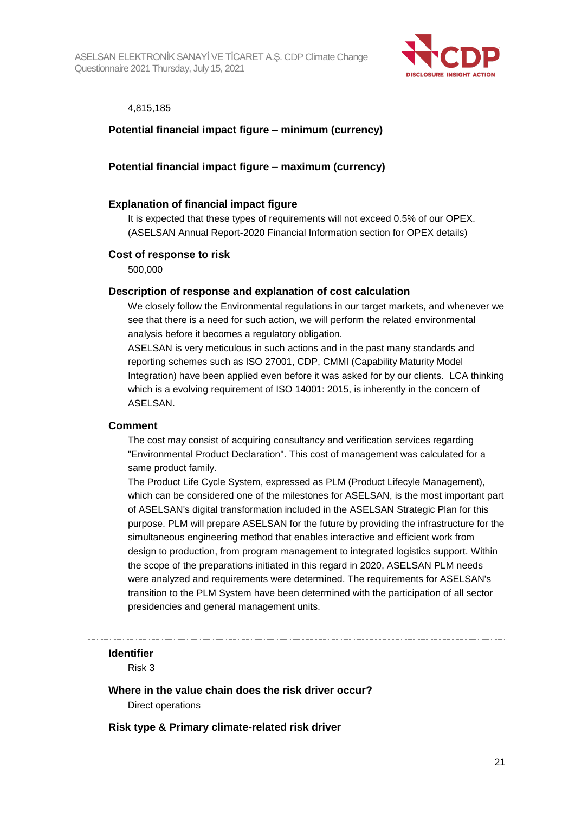

#### 4,815,185

### **Potential financial impact figure – minimum (currency)**

#### **Potential financial impact figure – maximum (currency)**

#### **Explanation of financial impact figure**

It is expected that these types of requirements will not exceed 0.5% of our OPEX. (ASELSAN Annual Report-2020 Financial Information section for OPEX details)

#### **Cost of response to risk**

500,000

#### **Description of response and explanation of cost calculation**

We closely follow the Environmental regulations in our target markets, and whenever we see that there is a need for such action, we will perform the related environmental analysis before it becomes a regulatory obligation.

ASELSAN is very meticulous in such actions and in the past many standards and reporting schemes such as ISO 27001, CDP, CMMI (Capability Maturity Model Integration) have been applied even before it was asked for by our clients. LCA thinking which is a evolving requirement of ISO 14001: 2015, is inherently in the concern of ASELSAN.

#### **Comment**

The cost may consist of acquiring consultancy and verification services regarding "Environmental Product Declaration". This cost of management was calculated for a same product family.

The Product Life Cycle System, expressed as PLM (Product Lifecyle Management), which can be considered one of the milestones for ASELSAN, is the most important part of ASELSAN's digital transformation included in the ASELSAN Strategic Plan for this purpose. PLM will prepare ASELSAN for the future by providing the infrastructure for the simultaneous engineering method that enables interactive and efficient work from design to production, from program management to integrated logistics support. Within the scope of the preparations initiated in this regard in 2020, ASELSAN PLM needs were analyzed and requirements were determined. The requirements for ASELSAN's transition to the PLM System have been determined with the participation of all sector presidencies and general management units.

#### **Identifier**

Risk 3

**Where in the value chain does the risk driver occur?**

Direct operations

**Risk type & Primary climate-related risk driver**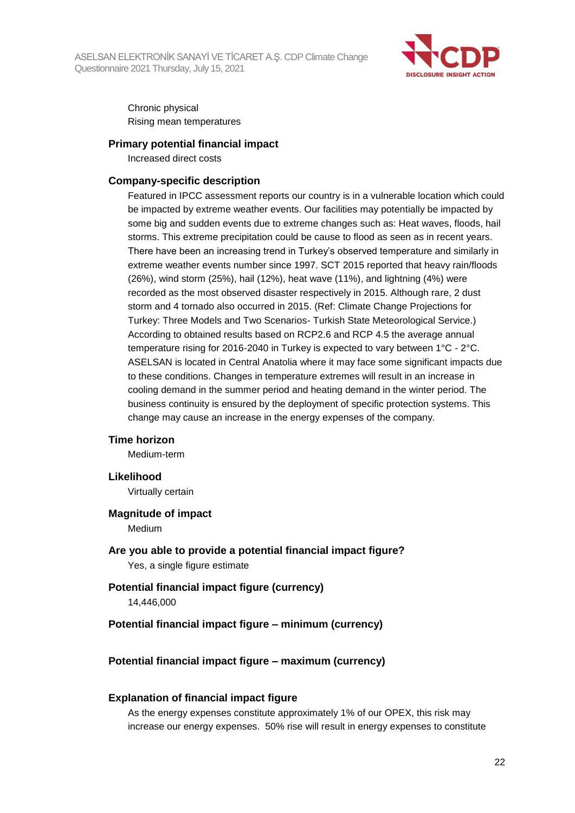

Chronic physical Rising mean temperatures

#### **Primary potential financial impact**

Increased direct costs

#### **Company-specific description**

Featured in IPCC assessment reports our country is in a vulnerable location which could be impacted by extreme weather events. Our facilities may potentially be impacted by some big and sudden events due to extreme changes such as: Heat waves, floods, hail storms. This extreme precipitation could be cause to flood as seen as in recent years. There have been an increasing trend in Turkey's observed temperature and similarly in extreme weather events number since 1997. SCT 2015 reported that heavy rain/floods (26%), wind storm (25%), hail (12%), heat wave (11%), and lightning (4%) were recorded as the most observed disaster respectively in 2015. Although rare, 2 dust storm and 4 tornado also occurred in 2015. (Ref: Climate Change Projections for Turkey: Three Models and Two Scenarios- Turkish State Meteorological Service.) According to obtained results based on RCP2.6 and RCP 4.5 the average annual temperature rising for 2016-2040 in Turkey is expected to vary between 1°C - 2°C. ASELSAN is located in Central Anatolia where it may face some significant impacts due to these conditions. Changes in temperature extremes will result in an increase in cooling demand in the summer period and heating demand in the winter period. The business continuity is ensured by the deployment of specific protection systems. This change may cause an increase in the energy expenses of the company.

#### **Time horizon**

Medium-term

#### **Likelihood**

Virtually certain

#### **Magnitude of impact**

Medium

#### **Are you able to provide a potential financial impact figure?** Yes, a single figure estimate

### **Potential financial impact figure (currency)**

14,446,000

#### **Potential financial impact figure – minimum (currency)**

#### **Potential financial impact figure – maximum (currency)**

#### **Explanation of financial impact figure**

As the energy expenses constitute approximately 1% of our OPEX, this risk may increase our energy expenses. 50% rise will result in energy expenses to constitute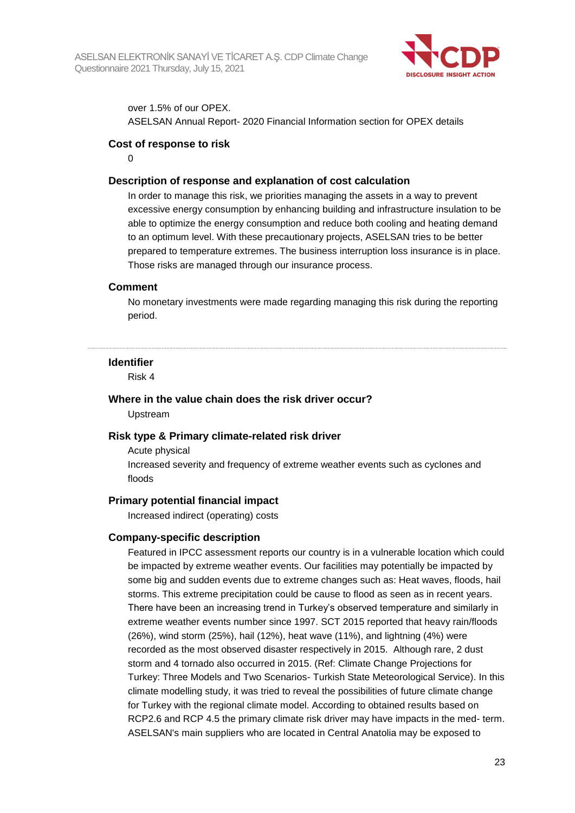

over 1.5% of our OPEX.

ASELSAN Annual Report- 2020 Financial Information section for OPEX details

#### **Cost of response to risk**

 $\Omega$ 

#### **Description of response and explanation of cost calculation**

In order to manage this risk, we priorities managing the assets in a way to prevent excessive energy consumption by enhancing building and infrastructure insulation to be able to optimize the energy consumption and reduce both cooling and heating demand to an optimum level. With these precautionary projects, ASELSAN tries to be better prepared to temperature extremes. The business interruption loss insurance is in place. Those risks are managed through our insurance process.

#### **Comment**

No monetary investments were made regarding managing this risk during the reporting period.

#### **Identifier**

Risk 4

#### **Where in the value chain does the risk driver occur?** Upstream

#### **Risk type & Primary climate-related risk driver**

Acute physical Increased severity and frequency of extreme weather events such as cyclones and floods

#### **Primary potential financial impact**

Increased indirect (operating) costs

#### **Company-specific description**

Featured in IPCC assessment reports our country is in a vulnerable location which could be impacted by extreme weather events. Our facilities may potentially be impacted by some big and sudden events due to extreme changes such as: Heat waves, floods, hail storms. This extreme precipitation could be cause to flood as seen as in recent years. There have been an increasing trend in Turkey's observed temperature and similarly in extreme weather events number since 1997. SCT 2015 reported that heavy rain/floods (26%), wind storm (25%), hail (12%), heat wave (11%), and lightning (4%) were recorded as the most observed disaster respectively in 2015. Although rare, 2 dust storm and 4 tornado also occurred in 2015. (Ref: Climate Change Projections for Turkey: Three Models and Two Scenarios- Turkish State Meteorological Service). In this climate modelling study, it was tried to reveal the possibilities of future climate change for Turkey with the regional climate model. According to obtained results based on RCP2.6 and RCP 4.5 the primary climate risk driver may have impacts in the med- term. ASELSAN's main suppliers who are located in Central Anatolia may be exposed to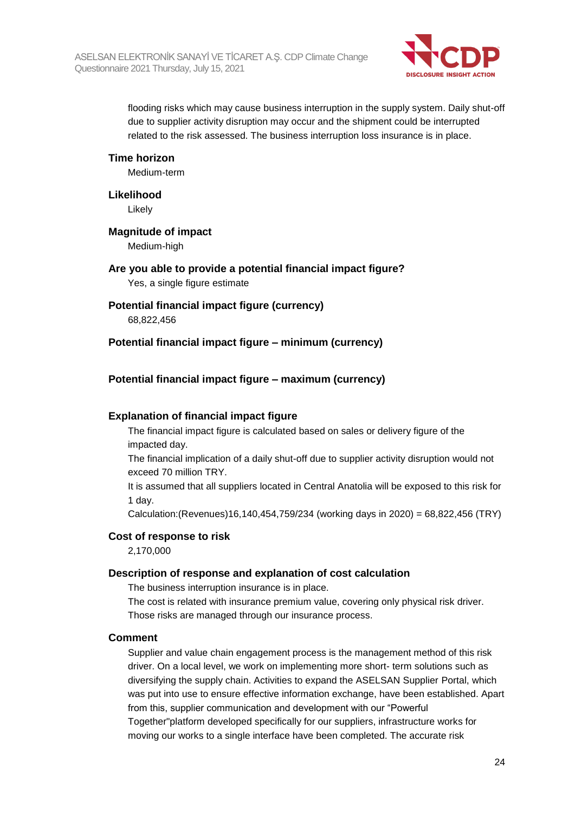

flooding risks which may cause business interruption in the supply system. Daily shut-off due to supplier activity disruption may occur and the shipment could be interrupted related to the risk assessed. The business interruption loss insurance is in place.

#### **Time horizon**

Medium-term

#### **Likelihood**

Likely

#### **Magnitude of impact**

Medium-high

### **Are you able to provide a potential financial impact figure?** Yes, a single figure estimate

#### **Potential financial impact figure (currency)**

68,822,456

#### **Potential financial impact figure – minimum (currency)**

#### **Potential financial impact figure – maximum (currency)**

#### **Explanation of financial impact figure**

The financial impact figure is calculated based on sales or delivery figure of the impacted day.

The financial implication of a daily shut-off due to supplier activity disruption would not exceed 70 million TRY.

It is assumed that all suppliers located in Central Anatolia will be exposed to this risk for 1 day.

Calculation:(Revenues)16,140,454,759/234 (working days in 2020) = 68,822,456 (TRY)

#### **Cost of response to risk**

2,170,000

#### **Description of response and explanation of cost calculation**

The business interruption insurance is in place.

The cost is related with insurance premium value, covering only physical risk driver. Those risks are managed through our insurance process.

#### **Comment**

Supplier and value chain engagement process is the management method of this risk driver. On a local level, we work on implementing more short- term solutions such as diversifying the supply chain. Activities to expand the ASELSAN Supplier Portal, which was put into use to ensure effective information exchange, have been established. Apart from this, supplier communication and development with our "Powerful Together"platform developed specifically for our suppliers, infrastructure works for moving our works to a single interface have been completed. The accurate risk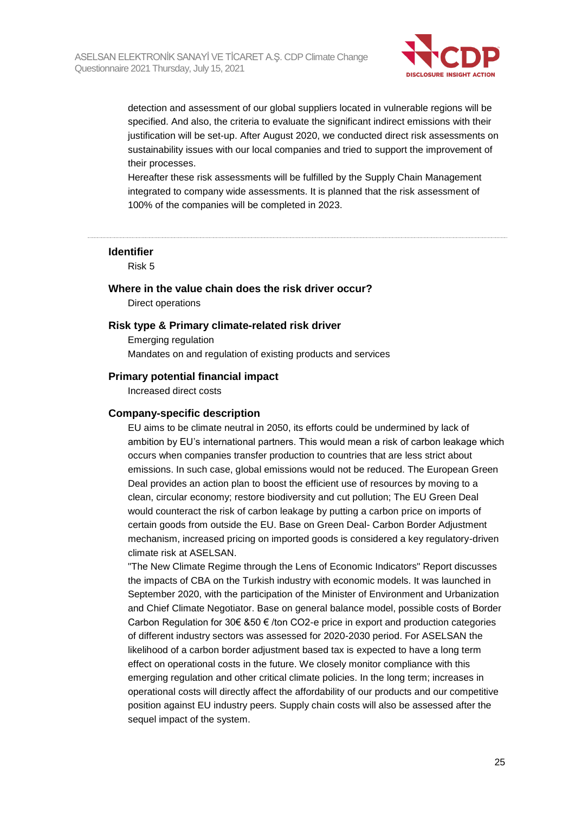

detection and assessment of our global suppliers located in vulnerable regions will be specified. And also, the criteria to evaluate the significant indirect emissions with their justification will be set-up. After August 2020, we conducted direct risk assessments on sustainability issues with our local companies and tried to support the improvement of their processes.

Hereafter these risk assessments will be fulfilled by the Supply Chain Management integrated to company wide assessments. It is planned that the risk assessment of 100% of the companies will be completed in 2023.

#### **Identifier**

Risk 5

**Where in the value chain does the risk driver occur?**

Direct operations

#### **Risk type & Primary climate-related risk driver**

Emerging regulation Mandates on and regulation of existing products and services

#### **Primary potential financial impact**

Increased direct costs

#### **Company-specific description**

EU aims to be climate neutral in 2050, its efforts could be undermined by lack of ambition by EU's international partners. This would mean a risk of carbon leakage which occurs when companies transfer production to countries that are less strict about emissions. In such case, global emissions would not be reduced. The European Green Deal provides an action plan to boost the efficient use of resources by moving to a clean, circular economy; restore biodiversity and cut pollution; The EU Green Deal would counteract the risk of carbon leakage by putting a carbon price on imports of certain goods from outside the EU. Base on Green Deal- Carbon Border Adjustment mechanism, increased pricing on imported goods is considered a key regulatory-driven climate risk at ASELSAN.

"The New Climate Regime through the Lens of Economic Indicators" Report discusses the impacts of CBA on the Turkish industry with economic models. It was launched in September 2020, with the participation of the Minister of Environment and Urbanization and Chief Climate Negotiator. Base on general balance model, possible costs of Border Carbon Regulation for 30€ &50 € /ton CO2-e price in export and production categories of different industry sectors was assessed for 2020-2030 period. For ASELSAN the likelihood of a carbon border adjustment based tax is expected to have a long term effect on operational costs in the future. We closely monitor compliance with this emerging regulation and other critical climate policies. In the long term; increases in operational costs will directly affect the affordability of our products and our competitive position against EU industry peers. Supply chain costs will also be assessed after the sequel impact of the system.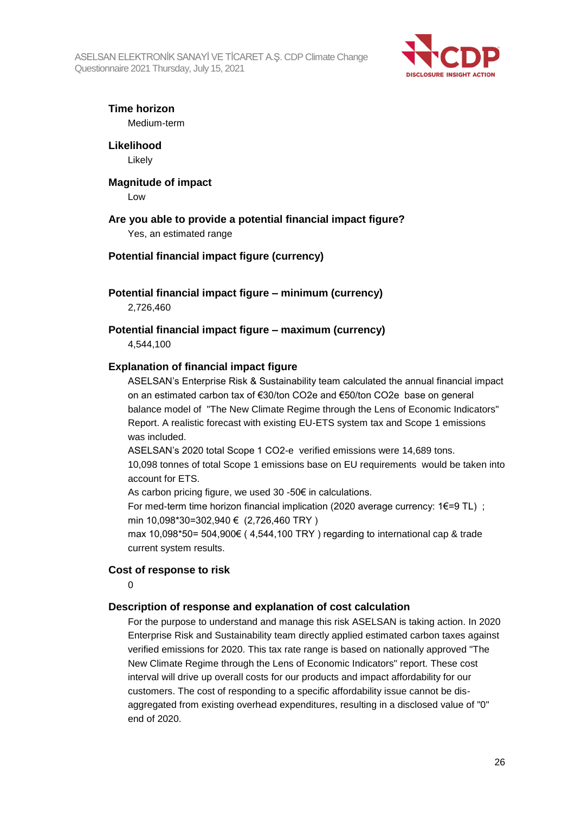ASELSAN ELEKTRONİK SANAYİ VE TİCARET A.Ş. CDP Climate Change Questionnaire 2021 Thursday, July 15, 2021



# **Time horizon**

Medium-term

**Likelihood** Likely

#### **Magnitude of impact**

Low

#### **Are you able to provide a potential financial impact figure?**

Yes, an estimated range

### **Potential financial impact figure (currency)**

### **Potential financial impact figure – minimum (currency)**

2,726,460

**Potential financial impact figure – maximum (currency)** 4,544,100

#### **Explanation of financial impact figure**

ASELSAN's Enterprise Risk & Sustainability team calculated the annual financial impact on an estimated carbon tax of €30/ton CO2e and €50/ton CO2e base on general balance model of "The New Climate Regime through the Lens of Economic Indicators" Report. A realistic forecast with existing EU-ETS system tax and Scope 1 emissions was included.

ASELSAN's 2020 total Scope 1 CO2-e verified emissions were 14,689 tons. 10,098 tonnes of total Scope 1 emissions base on EU requirements would be taken into

account for ETS.

As carbon pricing figure, we used 30 -50€ in calculations.

For med-term time horizon financial implication (2020 average currency:  $1€=9$  TL) ; min 10,098\*30=302,940 € (2,726,460 TRY )

max 10,098\*50= 504,900€ (4,544,100 TRY) regarding to international cap & trade current system results.

#### **Cost of response to risk**

 $\Omega$ 

#### **Description of response and explanation of cost calculation**

For the purpose to understand and manage this risk ASELSAN is taking action. In 2020 Enterprise Risk and Sustainability team directly applied estimated carbon taxes against verified emissions for 2020. This tax rate range is based on nationally approved "The New Climate Regime through the Lens of Economic Indicators" report. These cost interval will drive up overall costs for our products and impact affordability for our customers. The cost of responding to a specific affordability issue cannot be disaggregated from existing overhead expenditures, resulting in a disclosed value of "0" end of 2020.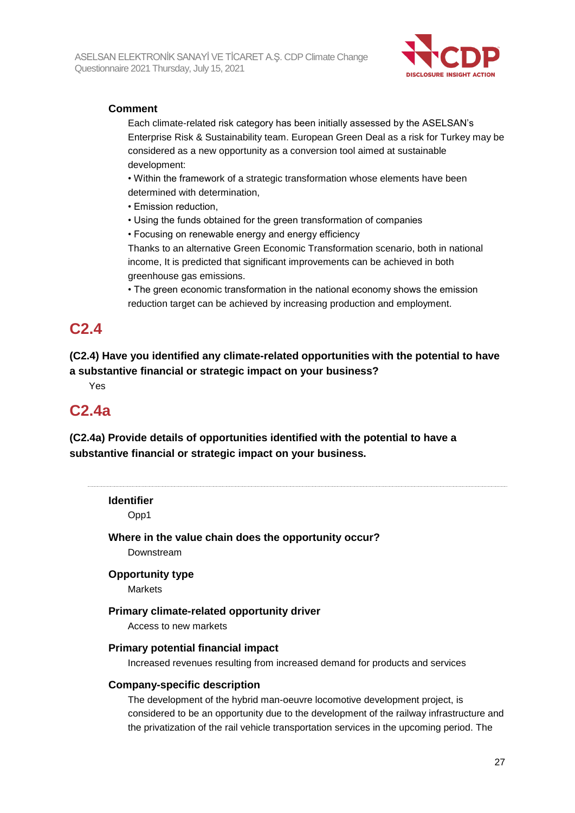

### **Comment**

Each climate-related risk category has been initially assessed by the ASELSAN's Enterprise Risk & Sustainability team. European Green Deal as a risk for Turkey may be considered as a new opportunity as a conversion tool aimed at sustainable development:

• Within the framework of a strategic transformation whose elements have been determined with determination,

- Emission reduction,
- Using the funds obtained for the green transformation of companies
- Focusing on renewable energy and energy efficiency

Thanks to an alternative Green Economic Transformation scenario, both in national income, It is predicted that significant improvements can be achieved in both greenhouse gas emissions.

• The green economic transformation in the national economy shows the emission reduction target can be achieved by increasing production and employment.

## **C2.4**

**(C2.4) Have you identified any climate-related opportunities with the potential to have a substantive financial or strategic impact on your business?**

Yes

# **C2.4a**

**(C2.4a) Provide details of opportunities identified with the potential to have a substantive financial or strategic impact on your business.**

**Identifier**

Opp1

**Where in the value chain does the opportunity occur?** Downstream

### **Opportunity type**

Markets

#### **Primary climate-related opportunity driver**

Access to new markets

#### **Primary potential financial impact**

Increased revenues resulting from increased demand for products and services

#### **Company-specific description**

The development of the hybrid man-oeuvre locomotive development project, is considered to be an opportunity due to the development of the railway infrastructure and the privatization of the rail vehicle transportation services in the upcoming period. The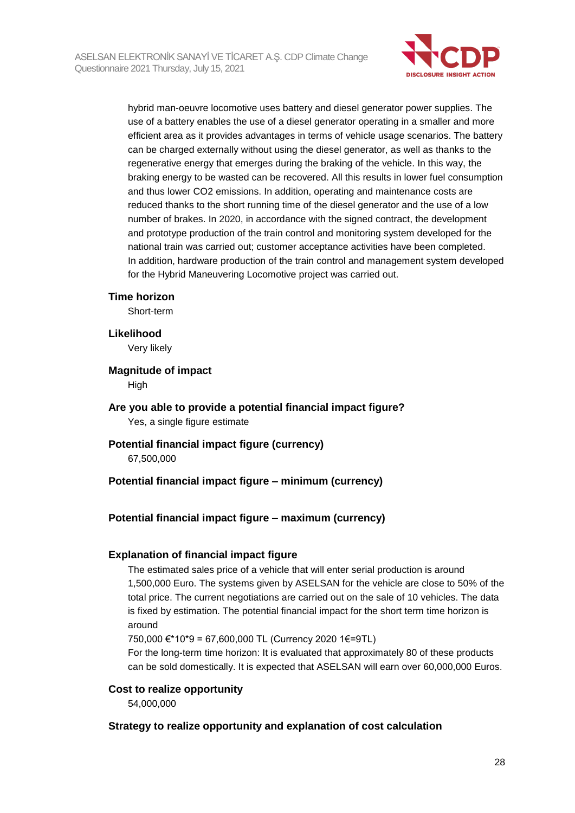

hybrid man-oeuvre locomotive uses battery and diesel generator power supplies. The use of a battery enables the use of a diesel generator operating in a smaller and more efficient area as it provides advantages in terms of vehicle usage scenarios. The battery can be charged externally without using the diesel generator, as well as thanks to the regenerative energy that emerges during the braking of the vehicle. In this way, the braking energy to be wasted can be recovered. All this results in lower fuel consumption and thus lower CO2 emissions. In addition, operating and maintenance costs are reduced thanks to the short running time of the diesel generator and the use of a low number of brakes. In 2020, in accordance with the signed contract, the development and prototype production of the train control and monitoring system developed for the national train was carried out; customer acceptance activities have been completed. In addition, hardware production of the train control and management system developed for the Hybrid Maneuvering Locomotive project was carried out.

#### **Time horizon**

Short-term

#### **Likelihood**

Very likely

#### **Magnitude of impact**

High

#### **Are you able to provide a potential financial impact figure?** Yes, a single figure estimate

**Potential financial impact figure (currency)** 67,500,000

#### **Potential financial impact figure – minimum (currency)**

#### **Potential financial impact figure – maximum (currency)**

#### **Explanation of financial impact figure**

The estimated sales price of a vehicle that will enter serial production is around 1,500,000 Euro. The systems given by ASELSAN for the vehicle are close to 50% of the total price. The current negotiations are carried out on the sale of 10 vehicles. The data is fixed by estimation. The potential financial impact for the short term time horizon is around

750,000 €\*10\*9 = 67,600,000 TL (Currency 2020 1€=9TL)

For the long-term time horizon: It is evaluated that approximately 80 of these products can be sold domestically. It is expected that ASELSAN will earn over 60,000,000 Euros.

#### **Cost to realize opportunity**

54,000,000

#### **Strategy to realize opportunity and explanation of cost calculation**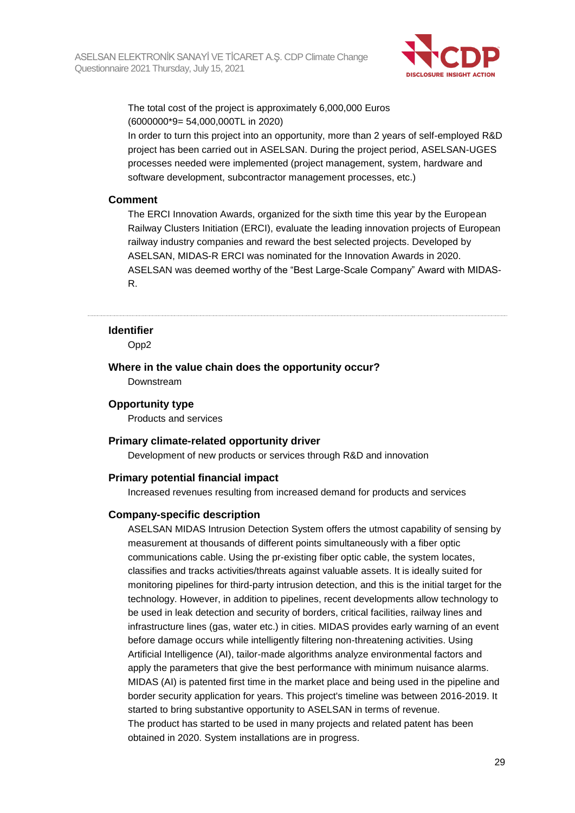

The total cost of the project is approximately 6,000,000 Euros (6000000\*9= 54,000,000TL in 2020)

In order to turn this project into an opportunity, more than 2 years of self-employed R&D project has been carried out in ASELSAN. During the project period, ASELSAN-UGES processes needed were implemented (project management, system, hardware and software development, subcontractor management processes, etc.)

#### **Comment**

The ERCI Innovation Awards, organized for the sixth time this year by the European Railway Clusters Initiation (ERCI), evaluate the leading innovation projects of European railway industry companies and reward the best selected projects. Developed by ASELSAN, MIDAS-R ERCI was nominated for the Innovation Awards in 2020. ASELSAN was deemed worthy of the "Best Large-Scale Company" Award with MIDAS-R.

#### **Identifier**

Opp2

#### **Where in the value chain does the opportunity occur?**

Downstream

#### **Opportunity type**

Products and services

#### **Primary climate-related opportunity driver**

Development of new products or services through R&D and innovation

#### **Primary potential financial impact**

Increased revenues resulting from increased demand for products and services

#### **Company-specific description**

ASELSAN MIDAS Intrusion Detection System offers the utmost capability of sensing by measurement at thousands of different points simultaneously with a fiber optic communications cable. Using the pr-existing fiber optic cable, the system locates, classifies and tracks activities/threats against valuable assets. It is ideally suited for monitoring pipelines for third-party intrusion detection, and this is the initial target for the technology. However, in addition to pipelines, recent developments allow technology to be used in leak detection and security of borders, critical facilities, railway lines and infrastructure lines (gas, water etc.) in cities. MIDAS provides early warning of an event before damage occurs while intelligently filtering non-threatening activities. Using Artificial Intelligence (AI), tailor-made algorithms analyze environmental factors and apply the parameters that give the best performance with minimum nuisance alarms. MIDAS (AI) is patented first time in the market place and being used in the pipeline and border security application for years. This project's timeline was between 2016-2019. It started to bring substantive opportunity to ASELSAN in terms of revenue. The product has started to be used in many projects and related patent has been obtained in 2020. System installations are in progress.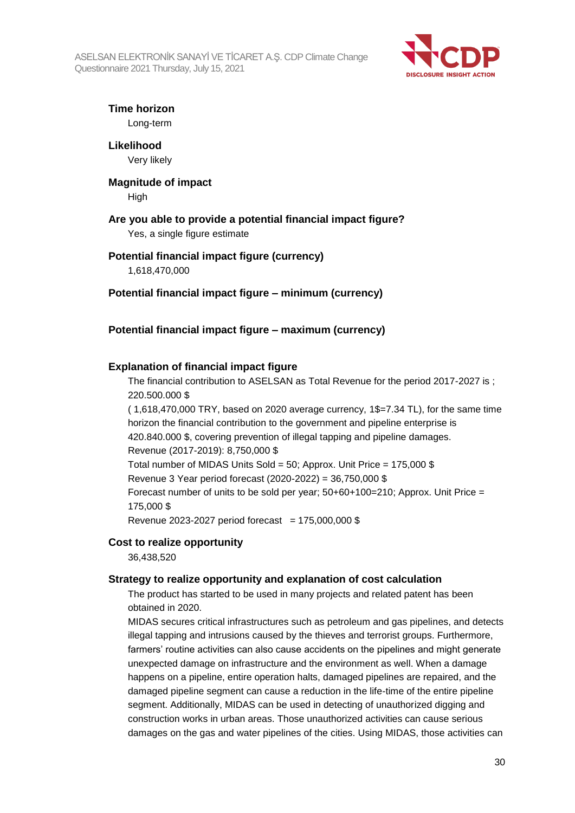ASELSAN ELEKTRONİK SANAYİ VE TİCARET A.Ş. CDP Climate Change Questionnaire 2021 Thursday, July 15, 2021



### **Time horizon**

Long-term

**Likelihood** Very likely

## **Magnitude of impact**

High

### **Are you able to provide a potential financial impact figure?**

Yes, a single figure estimate

### **Potential financial impact figure (currency)**

1,618,470,000

#### **Potential financial impact figure – minimum (currency)**

### **Potential financial impact figure – maximum (currency)**

#### **Explanation of financial impact figure**

The financial contribution to ASELSAN as Total Revenue for the period 2017-2027 is ; 220.500.000 \$

 $(1.618,470,000$  TRY, based on 2020 average currency,  $1\frac{6}{2}$ , 7.34 TL), for the same time horizon the financial contribution to the government and pipeline enterprise is 420.840.000 \$, covering prevention of illegal tapping and pipeline damages. Revenue (2017-2019): 8,750,000 \$ Total number of MIDAS Units Sold = 50; Approx. Unit Price = 175,000 \$ Revenue 3 Year period forecast (2020-2022) = 36,750,000 \$ Forecast number of units to be sold per year;  $50+60+100=210$ ; Approx. Unit Price = 175,000 \$

Revenue 2023-2027 period forecast =  $175,000,000$  \$

#### **Cost to realize opportunity**

36,438,520

#### **Strategy to realize opportunity and explanation of cost calculation**

The product has started to be used in many projects and related patent has been obtained in 2020.

MIDAS secures critical infrastructures such as petroleum and gas pipelines, and detects illegal tapping and intrusions caused by the thieves and terrorist groups. Furthermore, farmers' routine activities can also cause accidents on the pipelines and might generate unexpected damage on infrastructure and the environment as well. When a damage happens on a pipeline, entire operation halts, damaged pipelines are repaired, and the damaged pipeline segment can cause a reduction in the life-time of the entire pipeline segment. Additionally, MIDAS can be used in detecting of unauthorized digging and construction works in urban areas. Those unauthorized activities can cause serious damages on the gas and water pipelines of the cities. Using MIDAS, those activities can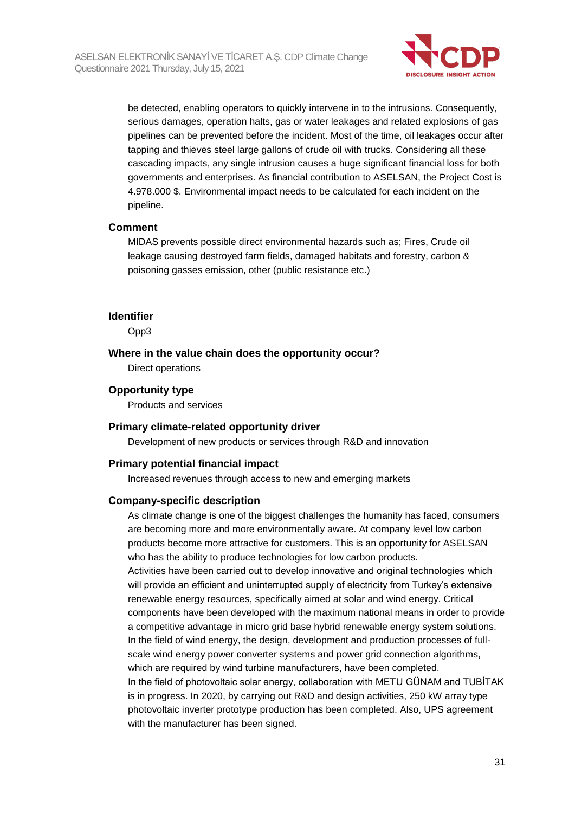

be detected, enabling operators to quickly intervene in to the intrusions. Consequently, serious damages, operation halts, gas or water leakages and related explosions of gas pipelines can be prevented before the incident. Most of the time, oil leakages occur after tapping and thieves steel large gallons of crude oil with trucks. Considering all these cascading impacts, any single intrusion causes a huge significant financial loss for both governments and enterprises. As financial contribution to ASELSAN, the Project Cost is 4.978.000 \$. Environmental impact needs to be calculated for each incident on the pipeline.

#### **Comment**

MIDAS prevents possible direct environmental hazards such as; Fires, Crude oil leakage causing destroyed farm fields, damaged habitats and forestry, carbon & poisoning gasses emission, other (public resistance etc.)

#### **Identifier**

Opp3

### **Where in the value chain does the opportunity occur?**

Direct operations

#### **Opportunity type**

Products and services

#### **Primary climate-related opportunity driver**

Development of new products or services through R&D and innovation

#### **Primary potential financial impact**

Increased revenues through access to new and emerging markets

#### **Company-specific description**

As climate change is one of the biggest challenges the humanity has faced, consumers are becoming more and more environmentally aware. At company level low carbon products become more attractive for customers. This is an opportunity for ASELSAN who has the ability to produce technologies for low carbon products. Activities have been carried out to develop innovative and original technologies which will provide an efficient and uninterrupted supply of electricity from Turkey's extensive renewable energy resources, specifically aimed at solar and wind energy. Critical components have been developed with the maximum national means in order to provide a competitive advantage in micro grid base hybrid renewable energy system solutions. In the field of wind energy, the design, development and production processes of fullscale wind energy power converter systems and power grid connection algorithms, which are required by wind turbine manufacturers, have been completed. In the field of photovoltaic solar energy, collaboration with METU GÜNAM and TUBİTAK is in progress. In 2020, by carrying out R&D and design activities, 250 kW array type photovoltaic inverter prototype production has been completed. Also, UPS agreement with the manufacturer has been signed.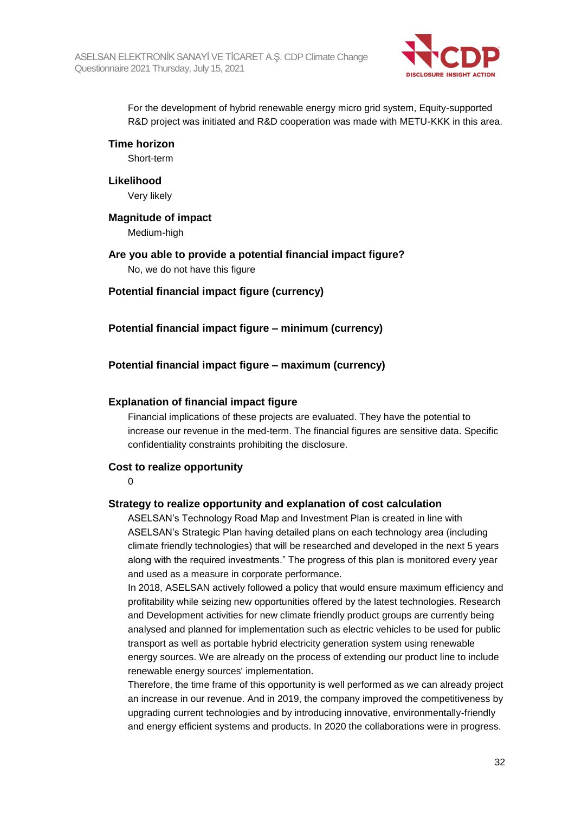

For the development of hybrid renewable energy micro grid system, Equity-supported R&D project was initiated and R&D cooperation was made with METU-KKK in this area.

**Time horizon**

Short-term

**Likelihood**

Very likely

**Magnitude of impact**

Medium-high

**Are you able to provide a potential financial impact figure?** No, we do not have this figure

**Potential financial impact figure (currency)**

**Potential financial impact figure – minimum (currency)**

**Potential financial impact figure – maximum (currency)**

### **Explanation of financial impact figure**

Financial implications of these projects are evaluated. They have the potential to increase our revenue in the med-term. The financial figures are sensitive data. Specific confidentiality constraints prohibiting the disclosure.

#### **Cost to realize opportunity**

0

#### **Strategy to realize opportunity and explanation of cost calculation**

ASELSAN's Technology Road Map and Investment Plan is created in line with ASELSAN's Strategic Plan having detailed plans on each technology area (including climate friendly technologies) that will be researched and developed in the next 5 years along with the required investments." The progress of this plan is monitored every year and used as a measure in corporate performance.

In 2018, ASELSAN actively followed a policy that would ensure maximum efficiency and profitability while seizing new opportunities offered by the latest technologies. Research and Development activities for new climate friendly product groups are currently being analysed and planned for implementation such as electric vehicles to be used for public transport as well as portable hybrid electricity generation system using renewable energy sources. We are already on the process of extending our product line to include renewable energy sources' implementation.

Therefore, the time frame of this opportunity is well performed as we can already project an increase in our revenue. And in 2019, the company improved the competitiveness by upgrading current technologies and by introducing innovative, environmentally-friendly and energy efficient systems and products. In 2020 the collaborations were in progress.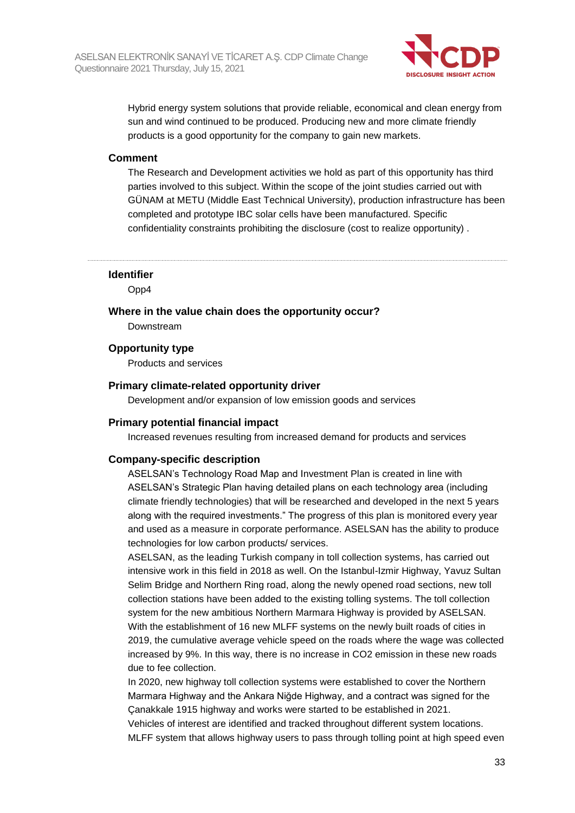

Hybrid energy system solutions that provide reliable, economical and clean energy from sun and wind continued to be produced. Producing new and more climate friendly products is a good opportunity for the company to gain new markets.

#### **Comment**

The Research and Development activities we hold as part of this opportunity has third parties involved to this subject. Within the scope of the joint studies carried out with GÜNAM at METU (Middle East Technical University), production infrastructure has been completed and prototype IBC solar cells have been manufactured. Specific confidentiality constraints prohibiting the disclosure (cost to realize opportunity) .

**Identifier**

Opp4

**Where in the value chain does the opportunity occur?**

Downstream

**Opportunity type**

Products and services

#### **Primary climate-related opportunity driver**

Development and/or expansion of low emission goods and services

#### **Primary potential financial impact**

Increased revenues resulting from increased demand for products and services

#### **Company-specific description**

ASELSAN's Technology Road Map and Investment Plan is created in line with ASELSAN's Strategic Plan having detailed plans on each technology area (including climate friendly technologies) that will be researched and developed in the next 5 years along with the required investments." The progress of this plan is monitored every year and used as a measure in corporate performance. ASELSAN has the ability to produce technologies for low carbon products/ services.

ASELSAN, as the leading Turkish company in toll collection systems, has carried out intensive work in this field in 2018 as well. On the Istanbul-Izmir Highway, Yavuz Sultan Selim Bridge and Northern Ring road, along the newly opened road sections, new toll collection stations have been added to the existing tolling systems. The toll collection system for the new ambitious Northern Marmara Highway is provided by ASELSAN. With the establishment of 16 new MLFF systems on the newly built roads of cities in 2019, the cumulative average vehicle speed on the roads where the wage was collected increased by 9%. In this way, there is no increase in CO2 emission in these new roads due to fee collection.

In 2020, new highway toll collection systems were established to cover the Northern Marmara Highway and the Ankara Niğde Highway, and a contract was signed for the Çanakkale 1915 highway and works were started to be established in 2021. Vehicles of interest are identified and tracked throughout different system locations. MLFF system that allows highway users to pass through tolling point at high speed even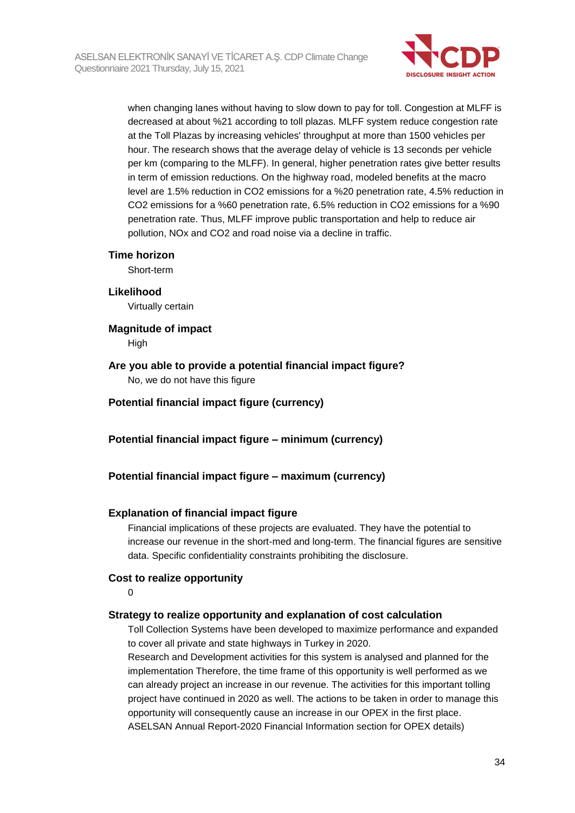

when changing lanes without having to slow down to pay for toll. Congestion at MLFF is decreased at about %21 according to toll plazas. MLFF system reduce congestion rate at the Toll Plazas by increasing vehicles' throughput at more than 1500 vehicles per hour. The research shows that the average delay of vehicle is 13 seconds per vehicle per km (comparing to the MLFF). In general, higher penetration rates give better results in term of emission reductions. On the highway road, modeled benefits at the macro level are 1.5% reduction in CO2 emissions for a %20 penetration rate, 4.5% reduction in CO2 emissions for a %60 penetration rate, 6.5% reduction in CO2 emissions for a %90 penetration rate. Thus, MLFF improve public transportation and help to reduce air pollution, NOx and CO2 and road noise via a decline in traffic.

#### **Time horizon**

Short-term

#### **Likelihood**

Virtually certain

**Magnitude of impact** High

# **Are you able to provide a potential financial impact figure?**

No, we do not have this figure

**Potential financial impact figure (currency)**

**Potential financial impact figure – minimum (currency)**

#### **Potential financial impact figure – maximum (currency)**

#### **Explanation of financial impact figure**

Financial implications of these projects are evaluated. They have the potential to increase our revenue in the short-med and long-term. The financial figures are sensitive data. Specific confidentiality constraints prohibiting the disclosure.

#### **Cost to realize opportunity**

 $\Omega$ 

#### **Strategy to realize opportunity and explanation of cost calculation**

Toll Collection Systems have been developed to maximize performance and expanded to cover all private and state highways in Turkey in 2020.

Research and Development activities for this system is analysed and planned for the implementation Therefore, the time frame of this opportunity is well performed as we can already project an increase in our revenue. The activities for this important tolling project have continued in 2020 as well. The actions to be taken in order to manage this opportunity will consequently cause an increase in our OPEX in the first place. ASELSAN Annual Report-2020 Financial Information section for OPEX details)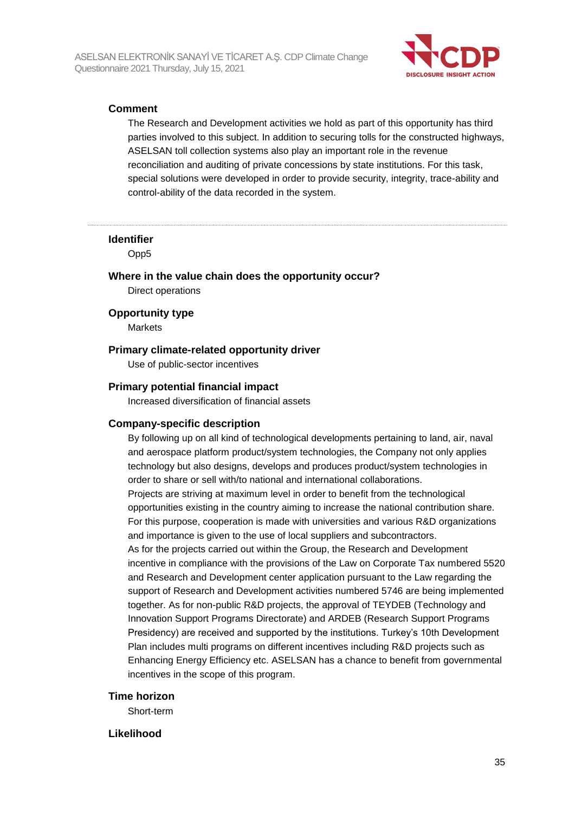

#### **Comment**

The Research and Development activities we hold as part of this opportunity has third parties involved to this subject. In addition to securing tolls for the constructed highways, ASELSAN toll collection systems also play an important role in the revenue reconciliation and auditing of private concessions by state institutions. For this task, special solutions were developed in order to provide security, integrity, trace-ability and control-ability of the data recorded in the system.

#### **Identifier**

Opp5

**Where in the value chain does the opportunity occur?** Direct operations

#### **Opportunity type**

Markets

#### **Primary climate-related opportunity driver**

Use of public-sector incentives

#### **Primary potential financial impact**

Increased diversification of financial assets

#### **Company-specific description**

By following up on all kind of technological developments pertaining to land, air, naval and aerospace platform product/system technologies, the Company not only applies technology but also designs, develops and produces product/system technologies in order to share or sell with/to national and international collaborations. Projects are striving at maximum level in order to benefit from the technological opportunities existing in the country aiming to increase the national contribution share. For this purpose, cooperation is made with universities and various R&D organizations and importance is given to the use of local suppliers and subcontractors. As for the projects carried out within the Group, the Research and Development incentive in compliance with the provisions of the Law on Corporate Tax numbered 5520 and Research and Development center application pursuant to the Law regarding the support of Research and Development activities numbered 5746 are being implemented together. As for non-public R&D projects, the approval of TEYDEB (Technology and Innovation Support Programs Directorate) and ARDEB (Research Support Programs Presidency) are received and supported by the institutions. Turkey's 10th Development Plan includes multi programs on different incentives including R&D projects such as Enhancing Energy Efficiency etc. ASELSAN has a chance to benefit from governmental incentives in the scope of this program.

#### **Time horizon**

Short-term

#### **Likelihood**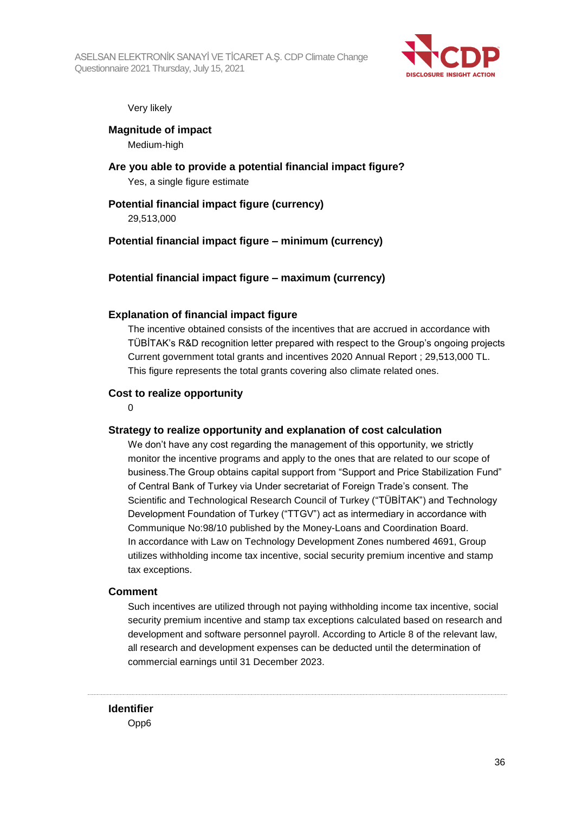

#### Very likely

**Magnitude of impact** Medium-high

**Are you able to provide a potential financial impact figure?** Yes, a single figure estimate

#### **Potential financial impact figure (currency)**

29,513,000

#### **Potential financial impact figure – minimum (currency)**

#### **Potential financial impact figure – maximum (currency)**

#### **Explanation of financial impact figure**

The incentive obtained consists of the incentives that are accrued in accordance with TÜBİTAK's R&D recognition letter prepared with respect to the Group's ongoing projects Current government total grants and incentives 2020 Annual Report ; 29,513,000 TL. This figure represents the total grants covering also climate related ones.

#### **Cost to realize opportunity**

 $\Omega$ 

#### **Strategy to realize opportunity and explanation of cost calculation**

We don't have any cost regarding the management of this opportunity, we strictly monitor the incentive programs and apply to the ones that are related to our scope of business.The Group obtains capital support from "Support and Price Stabilization Fund" of Central Bank of Turkey via Under secretariat of Foreign Trade's consent. The Scientific and Technological Research Council of Turkey ("TÜBİTAK") and Technology Development Foundation of Turkey ("TTGV") act as intermediary in accordance with Communique No:98/10 published by the Money-Loans and Coordination Board. In accordance with Law on Technology Development Zones numbered 4691, Group utilizes withholding income tax incentive, social security premium incentive and stamp tax exceptions.

#### **Comment**

Such incentives are utilized through not paying withholding income tax incentive, social security premium incentive and stamp tax exceptions calculated based on research and development and software personnel payroll. According to Article 8 of the relevant law, all research and development expenses can be deducted until the determination of commercial earnings until 31 December 2023.

#### **Identifier**

Opp6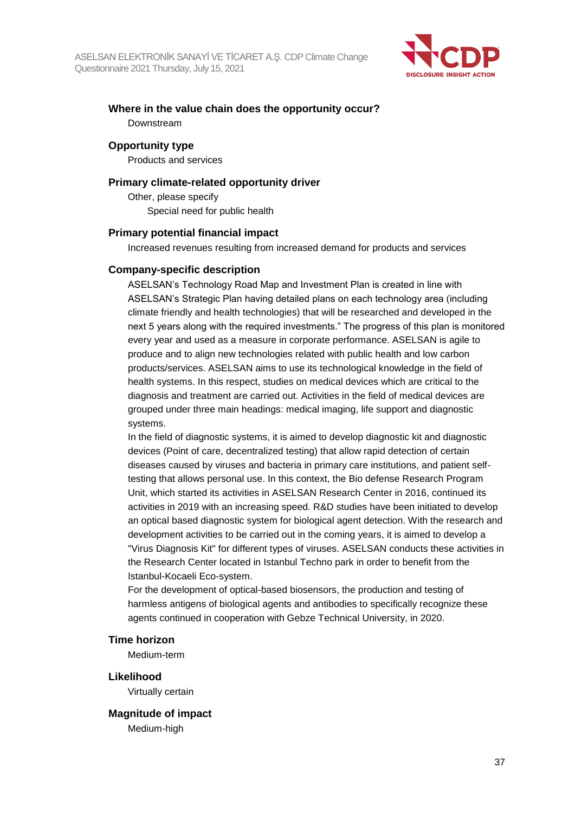

## **Where in the value chain does the opportunity occur?** Downstream

#### **Opportunity type**

Products and services

#### **Primary climate-related opportunity driver**

Other, please specify Special need for public health

#### **Primary potential financial impact**

Increased revenues resulting from increased demand for products and services

#### **Company-specific description**

ASELSAN's Technology Road Map and Investment Plan is created in line with ASELSAN's Strategic Plan having detailed plans on each technology area (including climate friendly and health technologies) that will be researched and developed in the next 5 years along with the required investments." The progress of this plan is monitored every year and used as a measure in corporate performance. ASELSAN is agile to produce and to align new technologies related with public health and low carbon products/services. ASELSAN aims to use its technological knowledge in the field of health systems. In this respect, studies on medical devices which are critical to the diagnosis and treatment are carried out. Activities in the field of medical devices are grouped under three main headings: medical imaging, life support and diagnostic systems.

In the field of diagnostic systems, it is aimed to develop diagnostic kit and diagnostic devices (Point of care, decentralized testing) that allow rapid detection of certain diseases caused by viruses and bacteria in primary care institutions, and patient selftesting that allows personal use. In this context, the Bio defense Research Program Unit, which started its activities in ASELSAN Research Center in 2016, continued its activities in 2019 with an increasing speed. R&D studies have been initiated to develop an optical based diagnostic system for biological agent detection. With the research and development activities to be carried out in the coming years, it is aimed to develop a "Virus Diagnosis Kit" for different types of viruses. ASELSAN conducts these activities in the Research Center located in Istanbul Techno park in order to benefit from the Istanbul-Kocaeli Eco-system.

For the development of optical-based biosensors, the production and testing of harmless antigens of biological agents and antibodies to specifically recognize these agents continued in cooperation with Gebze Technical University, in 2020.

#### **Time horizon**

Medium-term

#### **Likelihood**

Virtually certain

# **Magnitude of impact**

Medium-high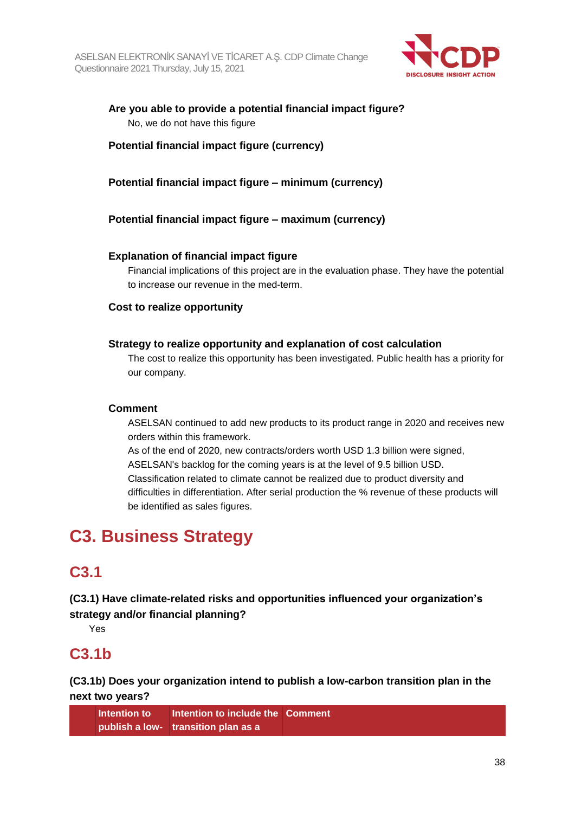

## **Are you able to provide a potential financial impact figure?** No, we do not have this figure

## **Potential financial impact figure (currency)**

## **Potential financial impact figure – minimum (currency)**

## **Potential financial impact figure – maximum (currency)**

### **Explanation of financial impact figure**

Financial implications of this project are in the evaluation phase. They have the potential to increase our revenue in the med-term.

### **Cost to realize opportunity**

### **Strategy to realize opportunity and explanation of cost calculation**

The cost to realize this opportunity has been investigated. Public health has a priority for our company.

#### **Comment**

ASELSAN continued to add new products to its product range in 2020 and receives new orders within this framework.

As of the end of 2020, new contracts/orders worth USD 1.3 billion were signed, ASELSAN's backlog for the coming years is at the level of 9.5 billion USD. Classification related to climate cannot be realized due to product diversity and difficulties in differentiation. After serial production the % revenue of these products will be identified as sales figures.

# **C3. Business Strategy**

## **C3.1**

**(C3.1) Have climate-related risks and opportunities influenced your organization's strategy and/or financial planning?**

Yes

## **C3.1b**

**(C3.1b) Does your organization intend to publish a low-carbon transition plan in the next two years?**

**Intention to publish a low-transition plan as a Intention to include the Comment**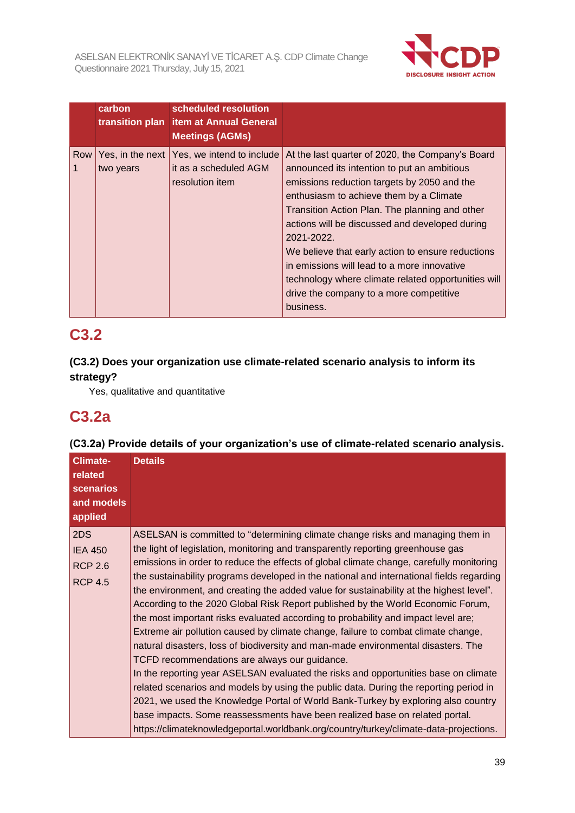

|                       | carbon                        | scheduled resolution<br>transition plan item at Annual General<br><b>Meetings (AGMs)</b> |                                                                                                                                                                                                                                                                                                                                                                                                                                                                                                                                |
|-----------------------|-------------------------------|------------------------------------------------------------------------------------------|--------------------------------------------------------------------------------------------------------------------------------------------------------------------------------------------------------------------------------------------------------------------------------------------------------------------------------------------------------------------------------------------------------------------------------------------------------------------------------------------------------------------------------|
| Row<br>$\overline{1}$ | Yes, in the next<br>two years | Yes, we intend to include<br>it as a scheduled AGM<br>resolution item                    | At the last quarter of 2020, the Company's Board<br>announced its intention to put an ambitious<br>emissions reduction targets by 2050 and the<br>enthusiasm to achieve them by a Climate<br>Transition Action Plan. The planning and other<br>actions will be discussed and developed during<br>2021-2022.<br>We believe that early action to ensure reductions<br>in emissions will lead to a more innovative<br>technology where climate related opportunities will<br>drive the company to a more competitive<br>business. |

## **C3.2**

## **(C3.2) Does your organization use climate-related scenario analysis to inform its strategy?**

Yes, qualitative and quantitative

## **C3.2a**

## **(C3.2a) Provide details of your organization's use of climate-related scenario analysis.**

| <b>Climate-</b><br>related<br><b>scenarios</b><br>and models<br>applied | <b>Details</b>                                                                                                                                                                                                                                                                                                                                                                                                                                                                                                                                                                                                                                                                                                                                                                                                                                                                                                                                                                                                                                                                                                                                                                                                                                                                                      |
|-------------------------------------------------------------------------|-----------------------------------------------------------------------------------------------------------------------------------------------------------------------------------------------------------------------------------------------------------------------------------------------------------------------------------------------------------------------------------------------------------------------------------------------------------------------------------------------------------------------------------------------------------------------------------------------------------------------------------------------------------------------------------------------------------------------------------------------------------------------------------------------------------------------------------------------------------------------------------------------------------------------------------------------------------------------------------------------------------------------------------------------------------------------------------------------------------------------------------------------------------------------------------------------------------------------------------------------------------------------------------------------------|
| 2DS<br><b>IEA 450</b><br><b>RCP 2.6</b><br><b>RCP 4.5</b>               | ASELSAN is committed to "determining climate change risks and managing them in<br>the light of legislation, monitoring and transparently reporting greenhouse gas<br>emissions in order to reduce the effects of global climate change, carefully monitoring<br>the sustainability programs developed in the national and international fields regarding<br>the environment, and creating the added value for sustainability at the highest level".<br>According to the 2020 Global Risk Report published by the World Economic Forum,<br>the most important risks evaluated according to probability and impact level are;<br>Extreme air pollution caused by climate change, failure to combat climate change,<br>natural disasters, loss of biodiversity and man-made environmental disasters. The<br>TCFD recommendations are always our guidance.<br>In the reporting year ASELSAN evaluated the risks and opportunities base on climate<br>related scenarios and models by using the public data. During the reporting period in<br>2021, we used the Knowledge Portal of World Bank-Turkey by exploring also country<br>base impacts. Some reassessments have been realized base on related portal.<br>https://climateknowledgeportal.worldbank.org/country/turkey/climate-data-projections. |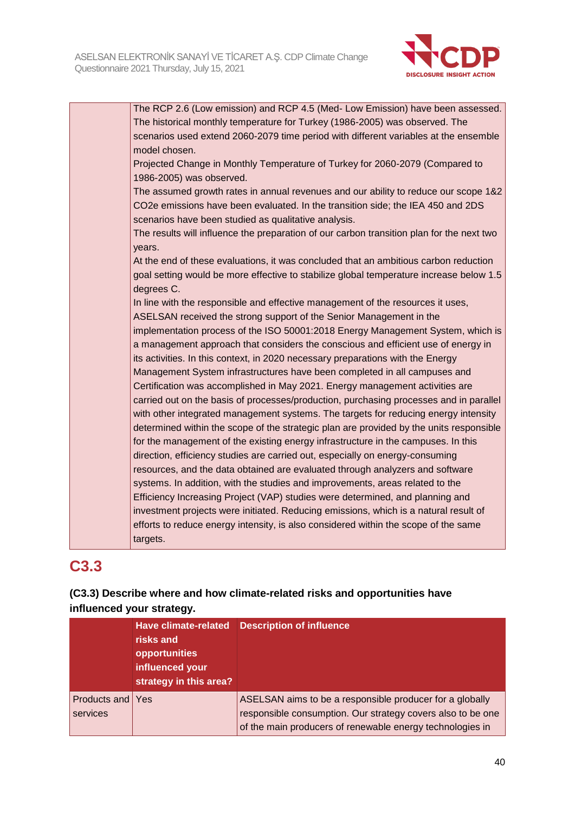

| The RCP 2.6 (Low emission) and RCP 4.5 (Med- Low Emission) have been assessed.                      |
|-----------------------------------------------------------------------------------------------------|
| The historical monthly temperature for Turkey (1986-2005) was observed. The                         |
| scenarios used extend 2060-2079 time period with different variables at the ensemble                |
| model chosen.                                                                                       |
| Projected Change in Monthly Temperature of Turkey for 2060-2079 (Compared to                        |
| 1986-2005) was observed.                                                                            |
| The assumed growth rates in annual revenues and our ability to reduce our scope 1&2                 |
| CO2e emissions have been evaluated. In the transition side; the IEA 450 and 2DS                     |
| scenarios have been studied as qualitative analysis.                                                |
| The results will influence the preparation of our carbon transition plan for the next two<br>years. |
| At the end of these evaluations, it was concluded that an ambitious carbon reduction                |
| goal setting would be more effective to stabilize global temperature increase below 1.5             |
| degrees C.                                                                                          |
| In line with the responsible and effective management of the resources it uses,                     |
| ASELSAN received the strong support of the Senior Management in the                                 |
| implementation process of the ISO 50001:2018 Energy Management System, which is                     |
| a management approach that considers the conscious and efficient use of energy in                   |
| its activities. In this context, in 2020 necessary preparations with the Energy                     |
| Management System infrastructures have been completed in all campuses and                           |
| Certification was accomplished in May 2021. Energy management activities are                        |
| carried out on the basis of processes/production, purchasing processes and in parallel              |
| with other integrated management systems. The targets for reducing energy intensity                 |
| determined within the scope of the strategic plan are provided by the units responsible             |
| for the management of the existing energy infrastructure in the campuses. In this                   |
| direction, efficiency studies are carried out, especially on energy-consuming                       |
| resources, and the data obtained are evaluated through analyzers and software                       |
| systems. In addition, with the studies and improvements, areas related to the                       |
| Efficiency Increasing Project (VAP) studies were determined, and planning and                       |
| investment projects were initiated. Reducing emissions, which is a natural result of                |
| efforts to reduce energy intensity, is also considered within the scope of the same                 |
| targets.                                                                                            |

## **C3.3**

## **(C3.3) Describe where and how climate-related risks and opportunities have influenced your strategy.**

|                              | <b>Have climate-related</b><br>risks and<br>opportunities<br>influenced your<br>strategy in this area? | <b>Description of influence</b>                                                                                                                                                      |
|------------------------------|--------------------------------------------------------------------------------------------------------|--------------------------------------------------------------------------------------------------------------------------------------------------------------------------------------|
| Products and Yes<br>services |                                                                                                        | ASELSAN aims to be a responsible producer for a globally<br>responsible consumption. Our strategy covers also to be one<br>of the main producers of renewable energy technologies in |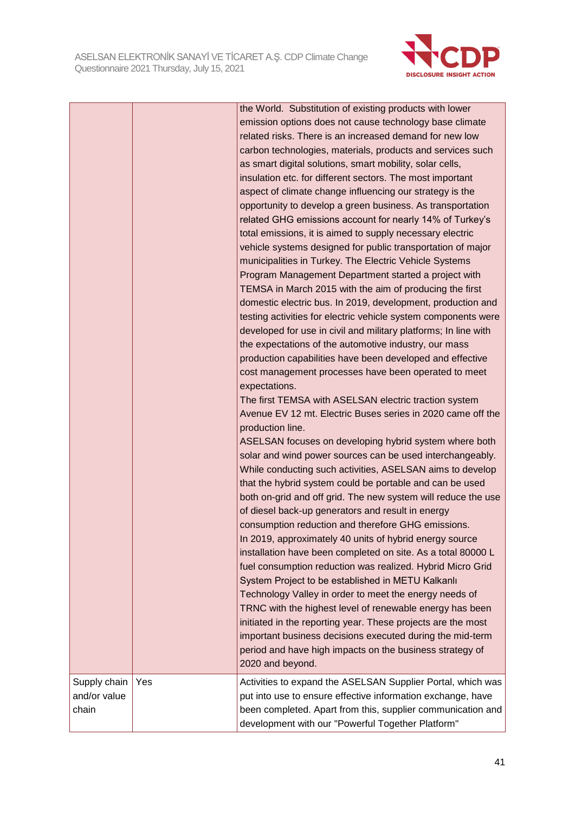

|                                       |     | the World. Substitution of existing products with lower<br>emission options does not cause technology base climate<br>related risks. There is an increased demand for new low<br>carbon technologies, materials, products and services such<br>as smart digital solutions, smart mobility, solar cells,<br>insulation etc. for different sectors. The most important<br>aspect of climate change influencing our strategy is the<br>opportunity to develop a green business. As transportation<br>related GHG emissions account for nearly 14% of Turkey's<br>total emissions, it is aimed to supply necessary electric<br>vehicle systems designed for public transportation of major<br>municipalities in Turkey. The Electric Vehicle Systems<br>Program Management Department started a project with<br>TEMSA in March 2015 with the aim of producing the first<br>domestic electric bus. In 2019, development, production and<br>testing activities for electric vehicle system components were<br>developed for use in civil and military platforms; In line with<br>the expectations of the automotive industry, our mass<br>production capabilities have been developed and effective<br>cost management processes have been operated to meet<br>expectations.<br>The first TEMSA with ASELSAN electric traction system<br>Avenue EV 12 mt. Electric Buses series in 2020 came off the<br>production line.<br>ASELSAN focuses on developing hybrid system where both<br>solar and wind power sources can be used interchangeably.<br>While conducting such activities, ASELSAN aims to develop<br>that the hybrid system could be portable and can be used<br>both on-grid and off grid. The new system will reduce the use<br>of diesel back-up generators and result in energy<br>consumption reduction and therefore GHG emissions.<br>In 2019, approximately 40 units of hybrid energy source<br>installation have been completed on site. As a total 80000 L<br>fuel consumption reduction was realized. Hybrid Micro Grid<br>System Project to be established in METU Kalkanlı<br>Technology Valley in order to meet the energy needs of<br>TRNC with the highest level of renewable energy has been<br>initiated in the reporting year. These projects are the most<br>important business decisions executed during the mid-term |
|---------------------------------------|-----|-------------------------------------------------------------------------------------------------------------------------------------------------------------------------------------------------------------------------------------------------------------------------------------------------------------------------------------------------------------------------------------------------------------------------------------------------------------------------------------------------------------------------------------------------------------------------------------------------------------------------------------------------------------------------------------------------------------------------------------------------------------------------------------------------------------------------------------------------------------------------------------------------------------------------------------------------------------------------------------------------------------------------------------------------------------------------------------------------------------------------------------------------------------------------------------------------------------------------------------------------------------------------------------------------------------------------------------------------------------------------------------------------------------------------------------------------------------------------------------------------------------------------------------------------------------------------------------------------------------------------------------------------------------------------------------------------------------------------------------------------------------------------------------------------------------------------------------------------------------------------------------------------------------------------------------------------------------------------------------------------------------------------------------------------------------------------------------------------------------------------------------------------------------------------------------------------------------------------------------------------------------------------------------------------------------------------------------------------|
|                                       |     | period and have high impacts on the business strategy of<br>2020 and beyond.                                                                                                                                                                                                                                                                                                                                                                                                                                                                                                                                                                                                                                                                                                                                                                                                                                                                                                                                                                                                                                                                                                                                                                                                                                                                                                                                                                                                                                                                                                                                                                                                                                                                                                                                                                                                                                                                                                                                                                                                                                                                                                                                                                                                                                                                    |
| Supply chain<br>and/or value<br>chain | Yes | Activities to expand the ASELSAN Supplier Portal, which was<br>put into use to ensure effective information exchange, have<br>been completed. Apart from this, supplier communication and<br>development with our "Powerful Together Platform"                                                                                                                                                                                                                                                                                                                                                                                                                                                                                                                                                                                                                                                                                                                                                                                                                                                                                                                                                                                                                                                                                                                                                                                                                                                                                                                                                                                                                                                                                                                                                                                                                                                                                                                                                                                                                                                                                                                                                                                                                                                                                                  |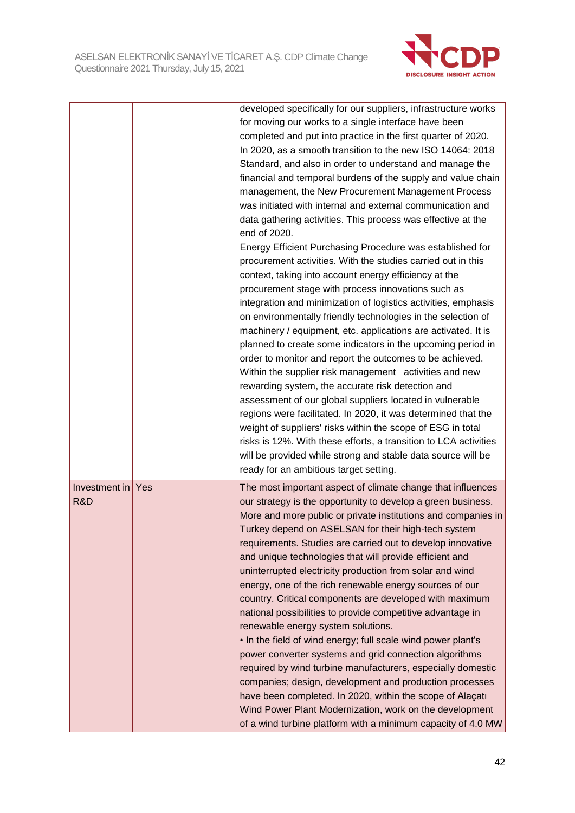

|                      |     | developed specifically for our suppliers, infrastructure works<br>for moving our works to a single interface have been<br>completed and put into practice in the first quarter of 2020.<br>In 2020, as a smooth transition to the new ISO 14064: 2018<br>Standard, and also in order to understand and manage the<br>financial and temporal burdens of the supply and value chain<br>management, the New Procurement Management Process<br>was initiated with internal and external communication and<br>data gathering activities. This process was effective at the<br>end of 2020.<br>Energy Efficient Purchasing Procedure was established for<br>procurement activities. With the studies carried out in this<br>context, taking into account energy efficiency at the<br>procurement stage with process innovations such as<br>integration and minimization of logistics activities, emphasis<br>on environmentally friendly technologies in the selection of<br>machinery / equipment, etc. applications are activated. It is<br>planned to create some indicators in the upcoming period in<br>order to monitor and report the outcomes to be achieved.<br>Within the supplier risk management activities and new<br>rewarding system, the accurate risk detection and<br>assessment of our global suppliers located in vulnerable<br>regions were facilitated. In 2020, it was determined that the<br>weight of suppliers' risks within the scope of ESG in total |
|----------------------|-----|----------------------------------------------------------------------------------------------------------------------------------------------------------------------------------------------------------------------------------------------------------------------------------------------------------------------------------------------------------------------------------------------------------------------------------------------------------------------------------------------------------------------------------------------------------------------------------------------------------------------------------------------------------------------------------------------------------------------------------------------------------------------------------------------------------------------------------------------------------------------------------------------------------------------------------------------------------------------------------------------------------------------------------------------------------------------------------------------------------------------------------------------------------------------------------------------------------------------------------------------------------------------------------------------------------------------------------------------------------------------------------------------------------------------------------------------------------------------------|
|                      |     | risks is 12%. With these efforts, a transition to LCA activities<br>will be provided while strong and stable data source will be                                                                                                                                                                                                                                                                                                                                                                                                                                                                                                                                                                                                                                                                                                                                                                                                                                                                                                                                                                                                                                                                                                                                                                                                                                                                                                                                           |
|                      |     | ready for an ambitious target setting.                                                                                                                                                                                                                                                                                                                                                                                                                                                                                                                                                                                                                                                                                                                                                                                                                                                                                                                                                                                                                                                                                                                                                                                                                                                                                                                                                                                                                                     |
| Investment in<br>R&D | Yes | The most important aspect of climate change that influences<br>our strategy is the opportunity to develop a green business.<br>More and more public or private institutions and companies in<br>Turkey depend on ASELSAN for their high-tech system<br>requirements. Studies are carried out to develop innovative<br>and unique technologies that will provide efficient and<br>uninterrupted electricity production from solar and wind<br>energy, one of the rich renewable energy sources of our<br>country. Critical components are developed with maximum<br>national possibilities to provide competitive advantage in<br>renewable energy system solutions.<br>. In the field of wind energy; full scale wind power plant's<br>power converter systems and grid connection algorithms<br>required by wind turbine manufacturers, especially domestic<br>companies; design, development and production processes<br>have been completed. In 2020, within the scope of Alaçatı<br>Wind Power Plant Modernization, work on the development<br>of a wind turbine platform with a minimum capacity of 4.0 MW                                                                                                                                                                                                                                                                                                                                                            |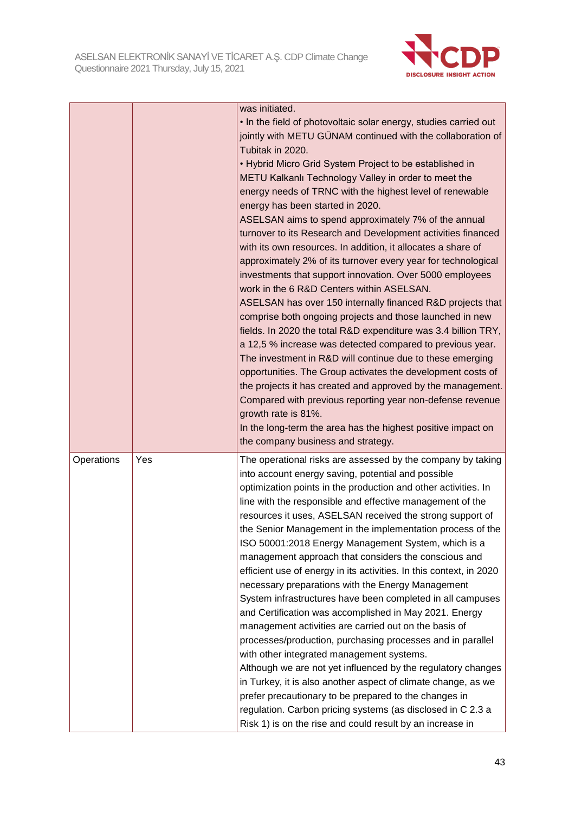

|            |     | was initiated.                                                                                                                                                                                                                                                                                                                                                                                                                                                                                                                                                                                                                                                                                                                                                                                                                                                        |
|------------|-----|-----------------------------------------------------------------------------------------------------------------------------------------------------------------------------------------------------------------------------------------------------------------------------------------------------------------------------------------------------------------------------------------------------------------------------------------------------------------------------------------------------------------------------------------------------------------------------------------------------------------------------------------------------------------------------------------------------------------------------------------------------------------------------------------------------------------------------------------------------------------------|
|            |     | . In the field of photovoltaic solar energy, studies carried out<br>jointly with METU GÜNAM continued with the collaboration of                                                                                                                                                                                                                                                                                                                                                                                                                                                                                                                                                                                                                                                                                                                                       |
|            |     | Tubitak in 2020.                                                                                                                                                                                                                                                                                                                                                                                                                                                                                                                                                                                                                                                                                                                                                                                                                                                      |
|            |     | • Hybrid Micro Grid System Project to be established in                                                                                                                                                                                                                                                                                                                                                                                                                                                                                                                                                                                                                                                                                                                                                                                                               |
|            |     | METU Kalkanlı Technology Valley in order to meet the                                                                                                                                                                                                                                                                                                                                                                                                                                                                                                                                                                                                                                                                                                                                                                                                                  |
|            |     | energy needs of TRNC with the highest level of renewable<br>energy has been started in 2020.                                                                                                                                                                                                                                                                                                                                                                                                                                                                                                                                                                                                                                                                                                                                                                          |
|            |     | ASELSAN aims to spend approximately 7% of the annual                                                                                                                                                                                                                                                                                                                                                                                                                                                                                                                                                                                                                                                                                                                                                                                                                  |
|            |     | turnover to its Research and Development activities financed                                                                                                                                                                                                                                                                                                                                                                                                                                                                                                                                                                                                                                                                                                                                                                                                          |
|            |     | with its own resources. In addition, it allocates a share of                                                                                                                                                                                                                                                                                                                                                                                                                                                                                                                                                                                                                                                                                                                                                                                                          |
|            |     | approximately 2% of its turnover every year for technological                                                                                                                                                                                                                                                                                                                                                                                                                                                                                                                                                                                                                                                                                                                                                                                                         |
|            |     | investments that support innovation. Over 5000 employees<br>work in the 6 R&D Centers within ASELSAN.                                                                                                                                                                                                                                                                                                                                                                                                                                                                                                                                                                                                                                                                                                                                                                 |
|            |     | ASELSAN has over 150 internally financed R&D projects that<br>comprise both ongoing projects and those launched in new<br>fields. In 2020 the total R&D expenditure was 3.4 billion TRY,<br>a 12,5 % increase was detected compared to previous year.<br>The investment in R&D will continue due to these emerging<br>opportunities. The Group activates the development costs of<br>the projects it has created and approved by the management.<br>Compared with previous reporting year non-defense revenue<br>growth rate is 81%.<br>In the long-term the area has the highest positive impact on<br>the company business and strategy.                                                                                                                                                                                                                            |
| Operations | Yes | The operational risks are assessed by the company by taking<br>into account energy saving, potential and possible<br>optimization points in the production and other activities. In<br>line with the responsible and effective management of the<br>resources it uses, ASELSAN received the strong support of<br>the Senior Management in the implementation process of the<br>ISO 50001:2018 Energy Management System, which is a<br>management approach that considers the conscious and<br>efficient use of energy in its activities. In this context, in 2020<br>necessary preparations with the Energy Management<br>System infrastructures have been completed in all campuses<br>and Certification was accomplished in May 2021. Energy<br>management activities are carried out on the basis of<br>processes/production, purchasing processes and in parallel |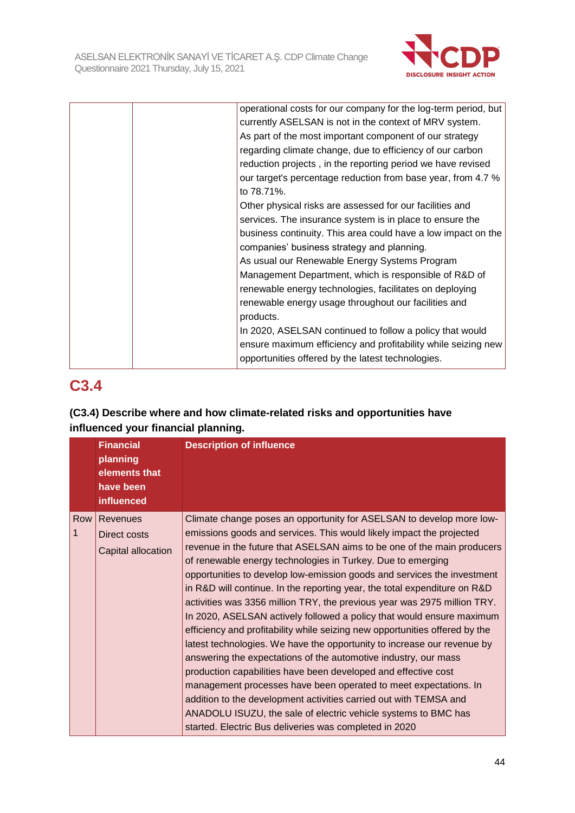

|  | operational costs for our company for the log-term period, but |
|--|----------------------------------------------------------------|
|  | currently ASELSAN is not in the context of MRV system.         |
|  | As part of the most important component of our strategy        |
|  | regarding climate change, due to efficiency of our carbon      |
|  | reduction projects, in the reporting period we have revised    |
|  | our target's percentage reduction from base year, from 4.7 %   |
|  | to 78.71%.                                                     |
|  | Other physical risks are assessed for our facilities and       |
|  | services. The insurance system is in place to ensure the       |
|  | business continuity. This area could have a low impact on the  |
|  | companies' business strategy and planning.                     |
|  | As usual our Renewable Energy Systems Program                  |
|  | Management Department, which is responsible of R&D of          |
|  | renewable energy technologies, facilitates on deploying        |
|  | renewable energy usage throughout our facilities and           |
|  | products.                                                      |
|  | In 2020, ASELSAN continued to follow a policy that would       |
|  | ensure maximum efficiency and profitability while seizing new  |
|  | opportunities offered by the latest technologies.              |
|  |                                                                |

## **C3.4**

## **(C3.4) Describe where and how climate-related risks and opportunities have influenced your financial planning.**

|       | <b>Financial</b><br>planning<br>elements that<br>have been<br>influenced | <b>Description of influence</b>                                                                                                                                                                                                                                                                                                                                                                                                                                                                                                                                                                                                                                                                                                                                                                                                                                                                                                                                                                                                                                                                                                                                         |
|-------|--------------------------------------------------------------------------|-------------------------------------------------------------------------------------------------------------------------------------------------------------------------------------------------------------------------------------------------------------------------------------------------------------------------------------------------------------------------------------------------------------------------------------------------------------------------------------------------------------------------------------------------------------------------------------------------------------------------------------------------------------------------------------------------------------------------------------------------------------------------------------------------------------------------------------------------------------------------------------------------------------------------------------------------------------------------------------------------------------------------------------------------------------------------------------------------------------------------------------------------------------------------|
| Row I | Revenues<br>Direct costs<br>Capital allocation                           | Climate change poses an opportunity for ASELSAN to develop more low-<br>emissions goods and services. This would likely impact the projected<br>revenue in the future that ASELSAN aims to be one of the main producers<br>of renewable energy technologies in Turkey. Due to emerging<br>opportunities to develop low-emission goods and services the investment<br>in R&D will continue. In the reporting year, the total expenditure on R&D<br>activities was 3356 million TRY, the previous year was 2975 million TRY.<br>In 2020, ASELSAN actively followed a policy that would ensure maximum<br>efficiency and profitability while seizing new opportunities offered by the<br>latest technologies. We have the opportunity to increase our revenue by<br>answering the expectations of the automotive industry, our mass<br>production capabilities have been developed and effective cost<br>management processes have been operated to meet expectations. In<br>addition to the development activities carried out with TEMSA and<br>ANADOLU ISUZU, the sale of electric vehicle systems to BMC has<br>started. Electric Bus deliveries was completed in 2020 |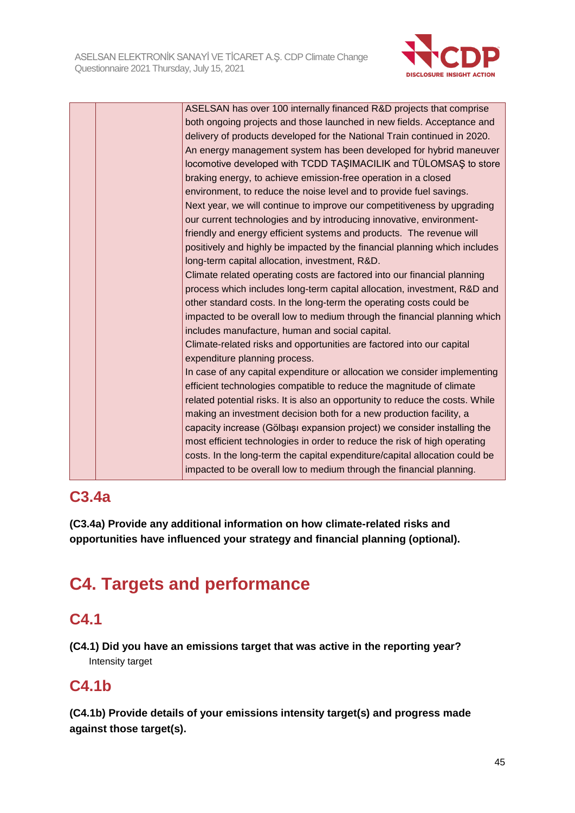

|  | ASELSAN has over 100 internally financed R&D projects that comprise           |
|--|-------------------------------------------------------------------------------|
|  | both ongoing projects and those launched in new fields. Acceptance and        |
|  | delivery of products developed for the National Train continued in 2020.      |
|  | An energy management system has been developed for hybrid maneuver            |
|  | locomotive developed with TCDD TAŞIMACILIK and TÜLOMSAŞ to store              |
|  | braking energy, to achieve emission-free operation in a closed                |
|  | environment, to reduce the noise level and to provide fuel savings.           |
|  | Next year, we will continue to improve our competitiveness by upgrading       |
|  | our current technologies and by introducing innovative, environment-          |
|  | friendly and energy efficient systems and products. The revenue will          |
|  | positively and highly be impacted by the financial planning which includes    |
|  | long-term capital allocation, investment, R&D.                                |
|  | Climate related operating costs are factored into our financial planning      |
|  | process which includes long-term capital allocation, investment, R&D and      |
|  | other standard costs. In the long-term the operating costs could be           |
|  | impacted to be overall low to medium through the financial planning which     |
|  | includes manufacture, human and social capital.                               |
|  | Climate-related risks and opportunities are factored into our capital         |
|  | expenditure planning process.                                                 |
|  | In case of any capital expenditure or allocation we consider implementing     |
|  | efficient technologies compatible to reduce the magnitude of climate          |
|  | related potential risks. It is also an opportunity to reduce the costs. While |
|  | making an investment decision both for a new production facility, a           |
|  | capacity increase (Gölbaşı expansion project) we consider installing the      |
|  | most efficient technologies in order to reduce the risk of high operating     |
|  | costs. In the long-term the capital expenditure/capital allocation could be   |
|  | impacted to be overall low to medium through the financial planning.          |

## **C3.4a**

**(C3.4a) Provide any additional information on how climate-related risks and opportunities have influenced your strategy and financial planning (optional).**

# **C4. Targets and performance**

## **C4.1**

**(C4.1) Did you have an emissions target that was active in the reporting year?** Intensity target

## **C4.1b**

**(C4.1b) Provide details of your emissions intensity target(s) and progress made against those target(s).**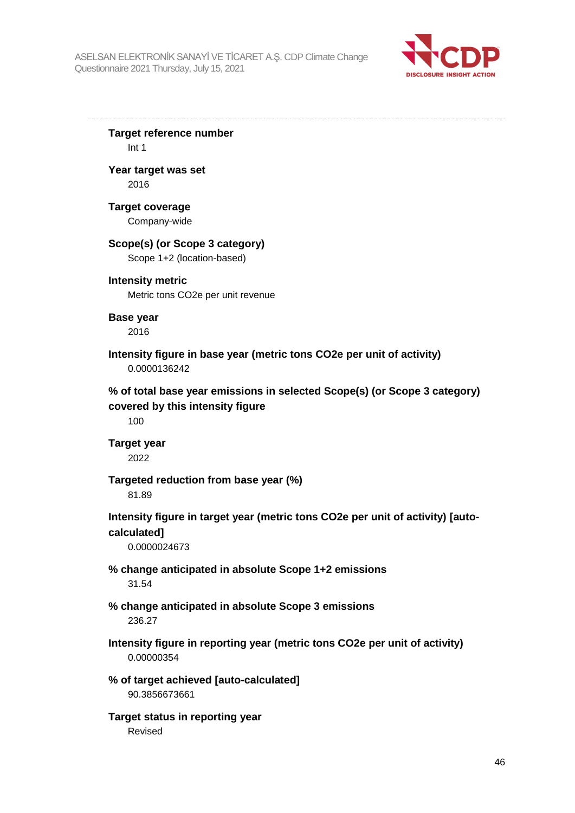

**Target reference number** Int 1 **Year target was set** 2016 **Target coverage** Company-wide **Scope(s) (or Scope 3 category)** Scope 1+2 (location-based) **Intensity metric** Metric tons CO2e per unit revenue **Base year** 2016 **Intensity figure in base year (metric tons CO2e per unit of activity)** 0.0000136242 **% of total base year emissions in selected Scope(s) (or Scope 3 category) covered by this intensity figure** 100 **Target year** 2022 **Targeted reduction from base year (%)** 81.89 **Intensity figure in target year (metric tons CO2e per unit of activity) [autocalculated]** 0.0000024673 **% change anticipated in absolute Scope 1+2 emissions** 31.54 **% change anticipated in absolute Scope 3 emissions** 236.27 **Intensity figure in reporting year (metric tons CO2e per unit of activity)** 0.00000354 **% of target achieved [auto-calculated]** 90.3856673661 **Target status in reporting year** Revised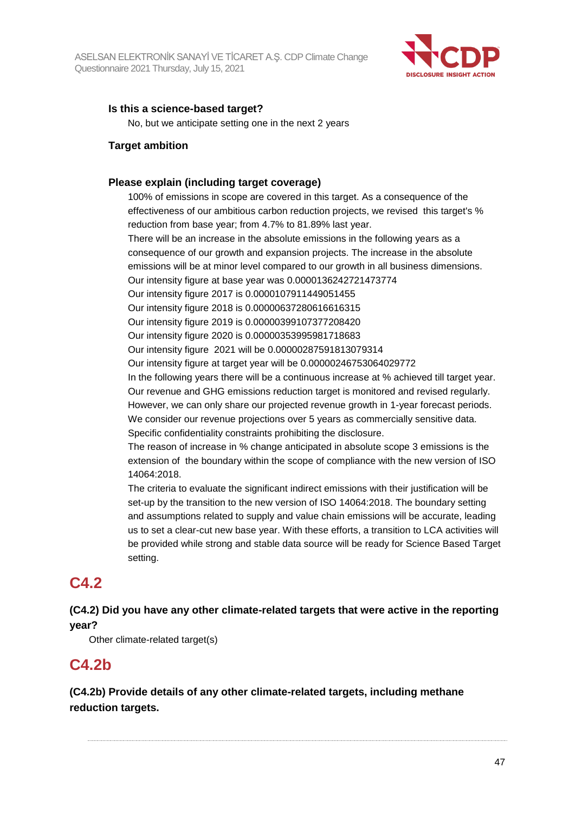

### **Is this a science-based target?**

No, but we anticipate setting one in the next 2 years

#### **Target ambition**

#### **Please explain (including target coverage)**

100% of emissions in scope are covered in this target. As a consequence of the effectiveness of our ambitious carbon reduction projects, we revised this target's % reduction from base year; from 4.7% to 81.89% last year.

There will be an increase in the absolute emissions in the following years as a consequence of our growth and expansion projects. The increase in the absolute emissions will be at minor level compared to our growth in all business dimensions. Our intensity figure at base year was 0.0000136242721473774

Our intensity figure 2017 is 0.0000107911449051455

Our intensity figure 2018 is 0.00000637280616616315

Our intensity figure 2019 is 0.00000399107377208420

Our intensity figure 2020 is 0.00000353995981718683

Our intensity figure 2021 will be 0.00000287591813079314

Our intensity figure at target year will be 0.00000246753064029772

In the following years there will be a continuous increase at % achieved till target year. Our revenue and GHG emissions reduction target is monitored and revised regularly. However, we can only share our projected revenue growth in 1-year forecast periods. We consider our revenue projections over 5 years as commercially sensitive data. Specific confidentiality constraints prohibiting the disclosure.

The reason of increase in % change anticipated in absolute scope 3 emissions is the extension of the boundary within the scope of compliance with the new version of ISO 14064:2018.

The criteria to evaluate the significant indirect emissions with their justification will be set-up by the transition to the new version of ISO 14064:2018. The boundary setting and assumptions related to supply and value chain emissions will be accurate, leading us to set a clear-cut new base year. With these efforts, a transition to LCA activities will be provided while strong and stable data source will be ready for Science Based Target setting.

## **C4.2**

## **(C4.2) Did you have any other climate-related targets that were active in the reporting year?**

Other climate-related target(s)

## **C4.2b**

**(C4.2b) Provide details of any other climate-related targets, including methane reduction targets.**

47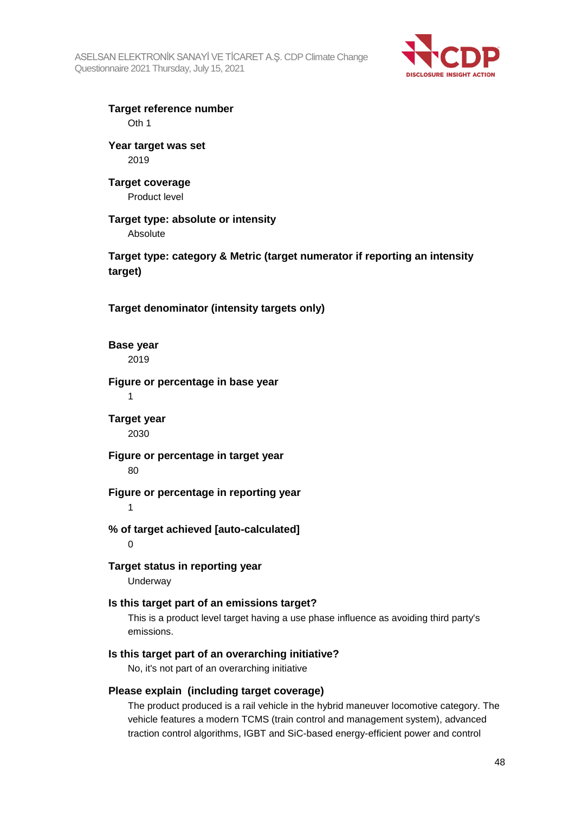

**Target reference number** Oth 1

**Year target was set** 2019

**Target coverage** Product level

**Target type: absolute or intensity** Absolute

**Target type: category & Metric (target numerator if reporting an intensity target)**

**Target denominator (intensity targets only)**

**Base year** 2019

**Figure or percentage in base year** 1

**Target year** 2030

**Figure or percentage in target year** 80

**Figure or percentage in reporting year**

1

**% of target achieved [auto-calculated]**  $\Omega$ 

**Target status in reporting year** Underway

#### **Is this target part of an emissions target?**

This is a product level target having a use phase influence as avoiding third party's emissions.

#### **Is this target part of an overarching initiative?**

No, it's not part of an overarching initiative

#### **Please explain (including target coverage)**

The product produced is a rail vehicle in the hybrid maneuver locomotive category. The vehicle features a modern TCMS (train control and management system), advanced traction control algorithms, IGBT and SiC-based energy-efficient power and control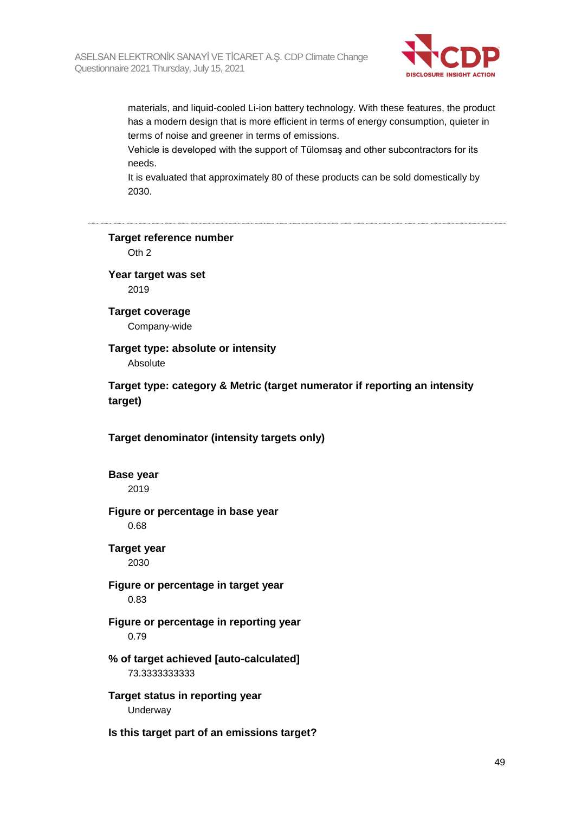

materials, and liquid-cooled Li-ion battery technology. With these features, the product has a modern design that is more efficient in terms of energy consumption, quieter in terms of noise and greener in terms of emissions.

Vehicle is developed with the support of Tülomsaş and other subcontractors for its needs.

It is evaluated that approximately 80 of these products can be sold domestically by 2030.

**Target reference number**

Oth 2

**Year target was set** 2019

**Target coverage** Company-wide

**Target type: absolute or intensity** Absolute

**Target type: category & Metric (target numerator if reporting an intensity target)**

**Target denominator (intensity targets only)**

**Base year** 2019

**Figure or percentage in base year**

0.68

**Target year** 2030

**Figure or percentage in target year** 0.83

**Figure or percentage in reporting year** 0.79

**% of target achieved [auto-calculated]** 73.3333333333

**Target status in reporting year** Underway

**Is this target part of an emissions target?**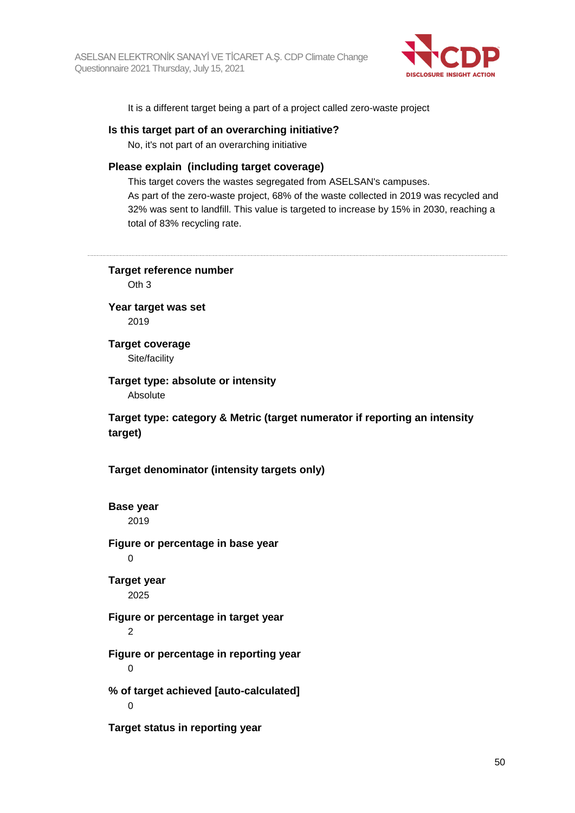

It is a different target being a part of a project called zero-waste project

#### **Is this target part of an overarching initiative?**

No, it's not part of an overarching initiative

#### **Please explain (including target coverage)**

This target covers the wastes segregated from ASELSAN's campuses. As part of the zero-waste project, 68% of the waste collected in 2019 was recycled and 32% was sent to landfill. This value is targeted to increase by 15% in 2030, reaching a total of 83% recycling rate.

**Target reference number** Oth 3 **Year target was set** 2019 **Target coverage** Site/facility **Target type: absolute or intensity** Absolute **Target type: category & Metric (target numerator if reporting an intensity target) Target denominator (intensity targets only) Base year** 2019 **Figure or percentage in base year**  $\Omega$ **Target year** 2025 **Figure or percentage in target year**  $\mathfrak{p}$ **Figure or percentage in reporting year**  $\Omega$ **% of target achieved [auto-calculated]**  $\Omega$ **Target status in reporting year**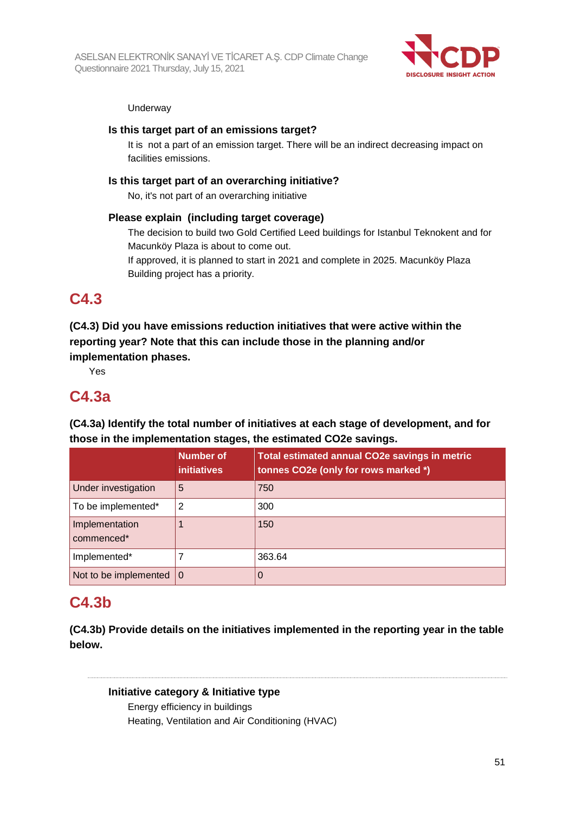

#### **Underway**

### **Is this target part of an emissions target?**

It is not a part of an emission target. There will be an indirect decreasing impact on facilities emissions.

### **Is this target part of an overarching initiative?**

No, it's not part of an overarching initiative

#### **Please explain (including target coverage)**

The decision to build two Gold Certified Leed buildings for Istanbul Teknokent and for Macunköy Plaza is about to come out.

If approved, it is planned to start in 2021 and complete in 2025. Macunköy Plaza Building project has a priority.

## **C4.3**

## **(C4.3) Did you have emissions reduction initiatives that were active within the reporting year? Note that this can include those in the planning and/or implementation phases.**

Yes

## **C4.3a**

**(C4.3a) Identify the total number of initiatives at each stage of development, and for those in the implementation stages, the estimated CO2e savings.**

|                                   | <b>Number of</b><br><i>initiatives</i> | <b>Total estimated annual CO2e savings in metric</b><br>tonnes CO2e (only for rows marked *) |
|-----------------------------------|----------------------------------------|----------------------------------------------------------------------------------------------|
| Under investigation               | 5                                      | 750                                                                                          |
| To be implemented*                | 2                                      | 300                                                                                          |
| Implementation<br>commenced*      |                                        | 150                                                                                          |
| Implemented*                      |                                        | 363.64                                                                                       |
| Not to be implemented $ 0\rangle$ |                                        |                                                                                              |

## **C4.3b**

**(C4.3b) Provide details on the initiatives implemented in the reporting year in the table below.**

**Initiative category & Initiative type** Energy efficiency in buildings Heating, Ventilation and Air Conditioning (HVAC)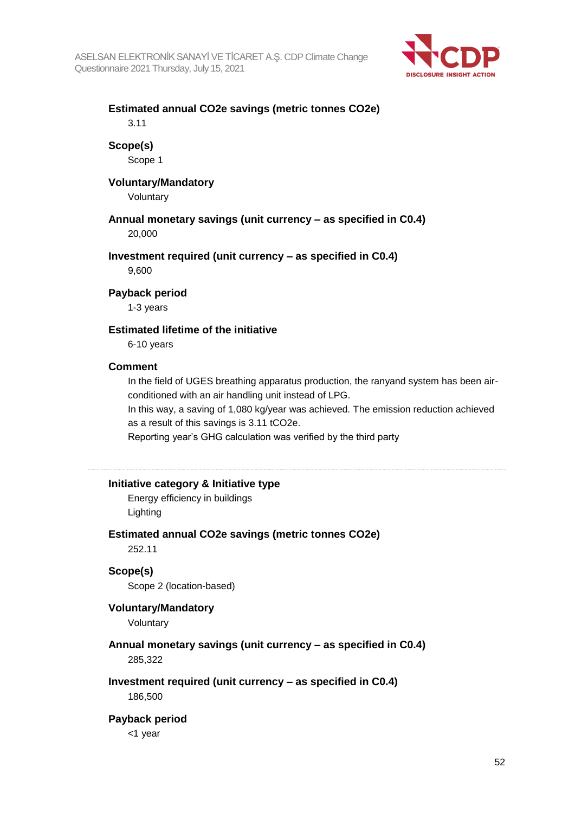

# **Estimated annual CO2e savings (metric tonnes CO2e)**

3.11

### **Scope(s)**

Scope 1

### **Voluntary/Mandatory**

Voluntary

## **Annual monetary savings (unit currency – as specified in C0.4)**

20,000

#### **Investment required (unit currency – as specified in C0.4)**

9,600

#### **Payback period**

1-3 years

#### **Estimated lifetime of the initiative**

6-10 years

#### **Comment**

In the field of UGES breathing apparatus production, the ranyand system has been airconditioned with an air handling unit instead of LPG.

In this way, a saving of 1,080 kg/year was achieved. The emission reduction achieved as a result of this savings is 3.11 tCO2e.

Reporting year's GHG calculation was verified by the third party

#### **Initiative category & Initiative type**

Energy efficiency in buildings Lighting

#### **Estimated annual CO2e savings (metric tonnes CO2e)**

252.11

#### **Scope(s)**

Scope 2 (location-based)

#### **Voluntary/Mandatory**

Voluntary

## **Annual monetary savings (unit currency – as specified in C0.4)**

285,322

## **Investment required (unit currency – as specified in C0.4)**

186,500

#### **Payback period**

<1 year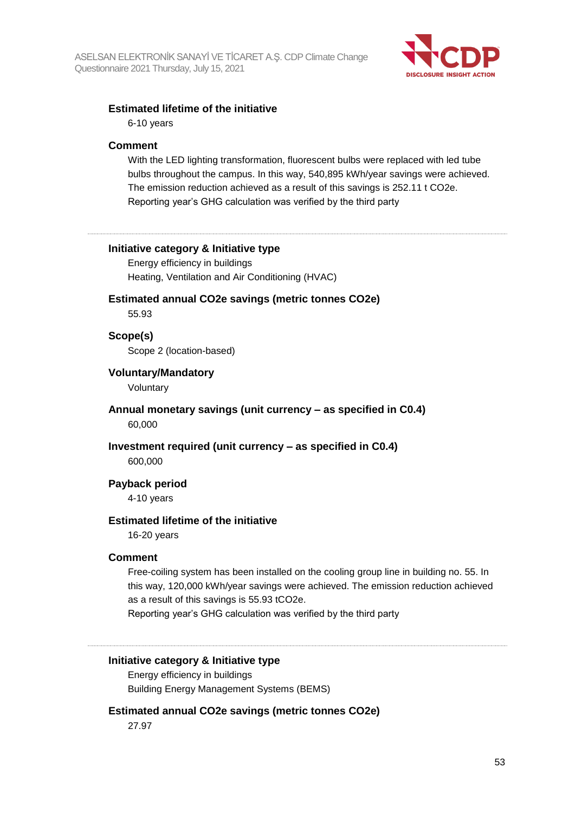

#### **Estimated lifetime of the initiative**

6-10 years

#### **Comment**

With the LED lighting transformation, fluorescent bulbs were replaced with led tube bulbs throughout the campus. In this way, 540,895 kWh/year savings were achieved. The emission reduction achieved as a result of this savings is 252.11 t CO2e. Reporting year's GHG calculation was verified by the third party

#### **Initiative category & Initiative type**

Energy efficiency in buildings Heating, Ventilation and Air Conditioning (HVAC)

#### **Estimated annual CO2e savings (metric tonnes CO2e)**

55.93

#### **Scope(s)**

Scope 2 (location-based)

#### **Voluntary/Mandatory**

Voluntary

#### **Annual monetary savings (unit currency – as specified in C0.4)** 60,000

**Investment required (unit currency – as specified in C0.4)** 600,000

#### **Payback period**

4-10 years

#### **Estimated lifetime of the initiative**

16-20 years

#### **Comment**

Free-coiling system has been installed on the cooling group line in building no. 55. In this way, 120,000 kWh/year savings were achieved. The emission reduction achieved as a result of this savings is 55.93 tCO2e.

Reporting year's GHG calculation was verified by the third party

## **Initiative category & Initiative type**

Energy efficiency in buildings Building Energy Management Systems (BEMS)

#### **Estimated annual CO2e savings (metric tonnes CO2e)**

27.97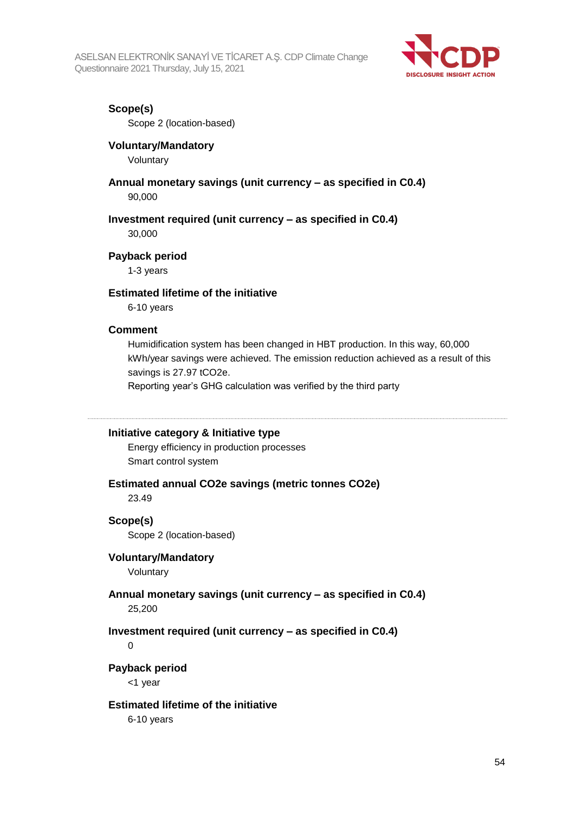

### **Scope(s)**

Scope 2 (location-based)

#### **Voluntary/Mandatory**

Voluntary

## **Annual monetary savings (unit currency – as specified in C0.4)**

90,000

#### **Investment required (unit currency – as specified in C0.4)**

30,000

#### **Payback period**

1-3 years

#### **Estimated lifetime of the initiative**

6-10 years

#### **Comment**

Humidification system has been changed in HBT production. In this way, 60,000 kWh/year savings were achieved. The emission reduction achieved as a result of this savings is 27.97 tCO2e.

Reporting year's GHG calculation was verified by the third party

#### **Initiative category & Initiative type**

Energy efficiency in production processes Smart control system

#### **Estimated annual CO2e savings (metric tonnes CO2e)**

23.49

#### **Scope(s)**

Scope 2 (location-based)

#### **Voluntary/Mandatory**

Voluntary

#### **Annual monetary savings (unit currency – as specified in C0.4)**

25,200

#### **Investment required (unit currency – as specified in C0.4)**

 $\Omega$ 

#### **Payback period**

<1 year

#### **Estimated lifetime of the initiative**

6-10 years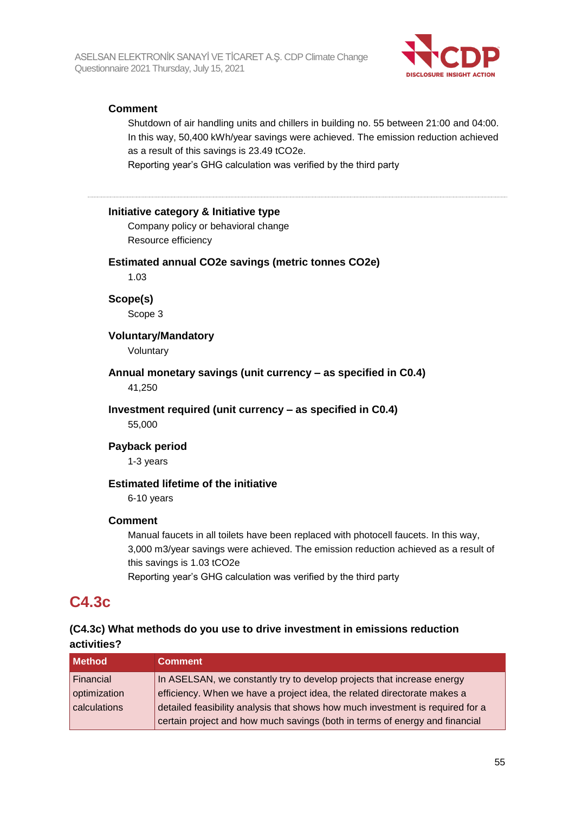

## **Comment**

Shutdown of air handling units and chillers in building no. 55 between 21:00 and 04:00. In this way, 50,400 kWh/year savings were achieved. The emission reduction achieved as a result of this savings is 23.49 tCO2e.

Reporting year's GHG calculation was verified by the third party

#### **Initiative category & Initiative type**

Company policy or behavioral change Resource efficiency

#### **Estimated annual CO2e savings (metric tonnes CO2e)**

1.03

## **Scope(s)**

Scope 3

#### **Voluntary/Mandatory**

Voluntary

## **Annual monetary savings (unit currency – as specified in C0.4)**

41,250

#### **Investment required (unit currency – as specified in C0.4)**

55,000

#### **Payback period**

1-3 years

#### **Estimated lifetime of the initiative**

6-10 years

#### **Comment**

Manual faucets in all toilets have been replaced with photocell faucets. In this way, 3,000 m3/year savings were achieved. The emission reduction achieved as a result of this savings is 1.03 tCO2e Reporting year's GHG calculation was verified by the third party

## **C4.3c**

## **(C4.3c) What methods do you use to drive investment in emissions reduction activities?**

| <b>Method</b> | <b>Comment</b>                                                                 |
|---------------|--------------------------------------------------------------------------------|
| Financial     | In ASELSAN, we constantly try to develop projects that increase energy         |
| optimization  | efficiency. When we have a project idea, the related directorate makes a       |
| calculations  | detailed feasibility analysis that shows how much investment is required for a |
|               | certain project and how much savings (both in terms of energy and financial    |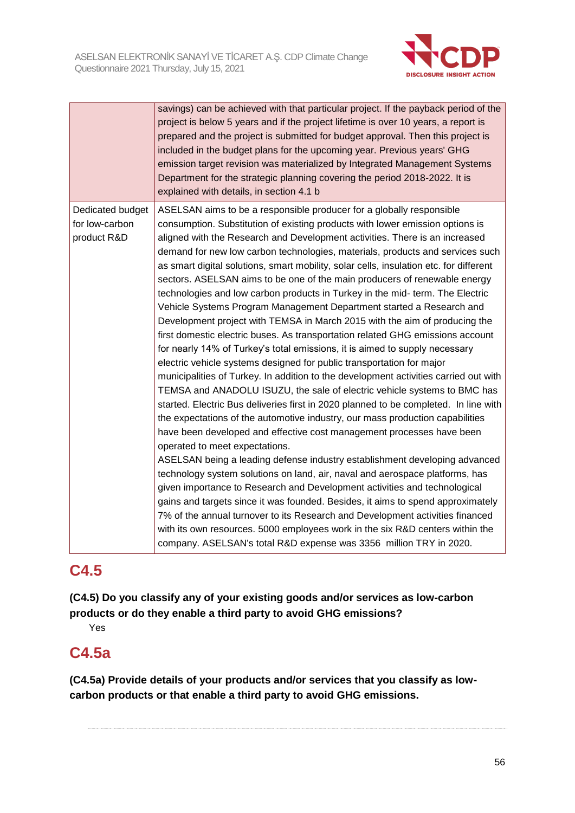

|                                                   | savings) can be achieved with that particular project. If the payback period of the<br>project is below 5 years and if the project lifetime is over 10 years, a report is<br>prepared and the project is submitted for budget approval. Then this project is<br>included in the budget plans for the upcoming year. Previous years' GHG<br>emission target revision was materialized by Integrated Management Systems<br>Department for the strategic planning covering the period 2018-2022. It is<br>explained with details, in section 4.1 b                                                                                                                                                                                                                                                                                                                                                                                                                                                                                                                                                                                                                                                                                                                                                                                                                                                                                                                                                                                                                                                                                                                                                                                                                                                                                                                                                                                                                                                             |
|---------------------------------------------------|-------------------------------------------------------------------------------------------------------------------------------------------------------------------------------------------------------------------------------------------------------------------------------------------------------------------------------------------------------------------------------------------------------------------------------------------------------------------------------------------------------------------------------------------------------------------------------------------------------------------------------------------------------------------------------------------------------------------------------------------------------------------------------------------------------------------------------------------------------------------------------------------------------------------------------------------------------------------------------------------------------------------------------------------------------------------------------------------------------------------------------------------------------------------------------------------------------------------------------------------------------------------------------------------------------------------------------------------------------------------------------------------------------------------------------------------------------------------------------------------------------------------------------------------------------------------------------------------------------------------------------------------------------------------------------------------------------------------------------------------------------------------------------------------------------------------------------------------------------------------------------------------------------------------------------------------------------------------------------------------------------------|
| Dedicated budget<br>for low-carbon<br>product R&D | ASELSAN aims to be a responsible producer for a globally responsible<br>consumption. Substitution of existing products with lower emission options is<br>aligned with the Research and Development activities. There is an increased<br>demand for new low carbon technologies, materials, products and services such<br>as smart digital solutions, smart mobility, solar cells, insulation etc. for different<br>sectors. ASELSAN aims to be one of the main producers of renewable energy<br>technologies and low carbon products in Turkey in the mid- term. The Electric<br>Vehicle Systems Program Management Department started a Research and<br>Development project with TEMSA in March 2015 with the aim of producing the<br>first domestic electric buses. As transportation related GHG emissions account<br>for nearly 14% of Turkey's total emissions, it is aimed to supply necessary<br>electric vehicle systems designed for public transportation for major<br>municipalities of Turkey. In addition to the development activities carried out with<br>TEMSA and ANADOLU ISUZU, the sale of electric vehicle systems to BMC has<br>started. Electric Bus deliveries first in 2020 planned to be completed. In line with<br>the expectations of the automotive industry, our mass production capabilities<br>have been developed and effective cost management processes have been<br>operated to meet expectations.<br>ASELSAN being a leading defense industry establishment developing advanced<br>technology system solutions on land, air, naval and aerospace platforms, has<br>given importance to Research and Development activities and technological<br>gains and targets since it was founded. Besides, it aims to spend approximately<br>7% of the annual turnover to its Research and Development activities financed<br>with its own resources. 5000 employees work in the six R&D centers within the<br>company. ASELSAN's total R&D expense was 3356 million TRY in 2020. |

## **C4.5**

**(C4.5) Do you classify any of your existing goods and/or services as low-carbon products or do they enable a third party to avoid GHG emissions?**

Yes

## **C4.5a**

**(C4.5a) Provide details of your products and/or services that you classify as lowcarbon products or that enable a third party to avoid GHG emissions.**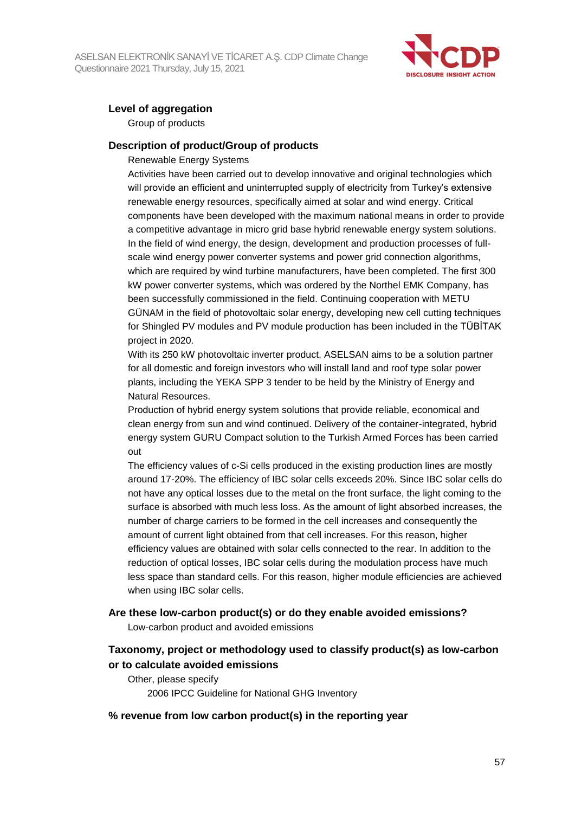

## **Level of aggregation**

Group of products

#### **Description of product/Group of products**

#### Renewable Energy Systems

Activities have been carried out to develop innovative and original technologies which will provide an efficient and uninterrupted supply of electricity from Turkey's extensive renewable energy resources, specifically aimed at solar and wind energy. Critical components have been developed with the maximum national means in order to provide a competitive advantage in micro grid base hybrid renewable energy system solutions. In the field of wind energy, the design, development and production processes of fullscale wind energy power converter systems and power grid connection algorithms, which are required by wind turbine manufacturers, have been completed. The first 300 kW power converter systems, which was ordered by the Northel EMK Company, has been successfully commissioned in the field. Continuing cooperation with METU GÜNAM in the field of photovoltaic solar energy, developing new cell cutting techniques for Shingled PV modules and PV module production has been included in the TÜBİTAK project in 2020.

With its 250 kW photovoltaic inverter product, ASELSAN aims to be a solution partner for all domestic and foreign investors who will install land and roof type solar power plants, including the YEKA SPP 3 tender to be held by the Ministry of Energy and Natural Resources.

Production of hybrid energy system solutions that provide reliable, economical and clean energy from sun and wind continued. Delivery of the container-integrated, hybrid energy system GURU Compact solution to the Turkish Armed Forces has been carried out

The efficiency values of c-Si cells produced in the existing production lines are mostly around 17-20%. The efficiency of IBC solar cells exceeds 20%. Since IBC solar cells do not have any optical losses due to the metal on the front surface, the light coming to the surface is absorbed with much less loss. As the amount of light absorbed increases, the number of charge carriers to be formed in the cell increases and consequently the amount of current light obtained from that cell increases. For this reason, higher efficiency values are obtained with solar cells connected to the rear. In addition to the reduction of optical losses, IBC solar cells during the modulation process have much less space than standard cells. For this reason, higher module efficiencies are achieved when using IBC solar cells.

#### **Are these low-carbon product(s) or do they enable avoided emissions?**

Low-carbon product and avoided emissions

## **Taxonomy, project or methodology used to classify product(s) as low-carbon or to calculate avoided emissions**

Other, please specify 2006 IPCC Guideline for National GHG Inventory

#### **% revenue from low carbon product(s) in the reporting year**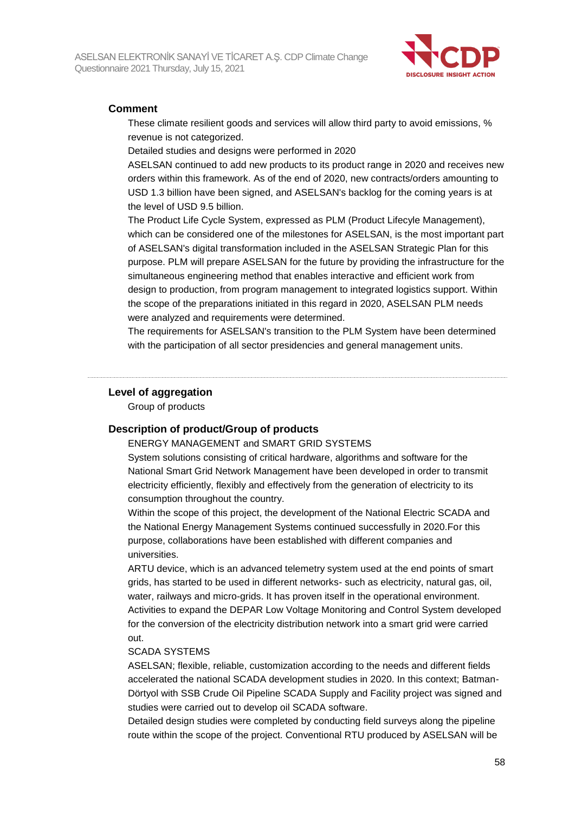

#### **Comment**

These climate resilient goods and services will allow third party to avoid emissions, % revenue is not categorized.

Detailed studies and designs were performed in 2020

ASELSAN continued to add new products to its product range in 2020 and receives new orders within this framework. As of the end of 2020, new contracts/orders amounting to USD 1.3 billion have been signed, and ASELSAN's backlog for the coming years is at the level of USD 9.5 billion.

The Product Life Cycle System, expressed as PLM (Product Lifecyle Management), which can be considered one of the milestones for ASELSAN, is the most important part of ASELSAN's digital transformation included in the ASELSAN Strategic Plan for this purpose. PLM will prepare ASELSAN for the future by providing the infrastructure for the simultaneous engineering method that enables interactive and efficient work from design to production, from program management to integrated logistics support. Within the scope of the preparations initiated in this regard in 2020, ASELSAN PLM needs were analyzed and requirements were determined.

The requirements for ASELSAN's transition to the PLM System have been determined with the participation of all sector presidencies and general management units.

#### **Level of aggregation**

Group of products

#### **Description of product/Group of products**

#### ENERGY MANAGEMENT and SMART GRID SYSTEMS

System solutions consisting of critical hardware, algorithms and software for the National Smart Grid Network Management have been developed in order to transmit electricity efficiently, flexibly and effectively from the generation of electricity to its consumption throughout the country.

Within the scope of this project, the development of the National Electric SCADA and the National Energy Management Systems continued successfully in 2020.For this purpose, collaborations have been established with different companies and universities.

ARTU device, which is an advanced telemetry system used at the end points of smart grids, has started to be used in different networks- such as electricity, natural gas, oil, water, railways and micro-grids. It has proven itself in the operational environment. Activities to expand the DEPAR Low Voltage Monitoring and Control System developed for the conversion of the electricity distribution network into a smart grid were carried out.

#### SCADA SYSTEMS

ASELSAN; flexible, reliable, customization according to the needs and different fields accelerated the national SCADA development studies in 2020. In this context; Batman-Dörtyol with SSB Crude Oil Pipeline SCADA Supply and Facility project was signed and studies were carried out to develop oil SCADA software.

Detailed design studies were completed by conducting field surveys along the pipeline route within the scope of the project. Conventional RTU produced by ASELSAN will be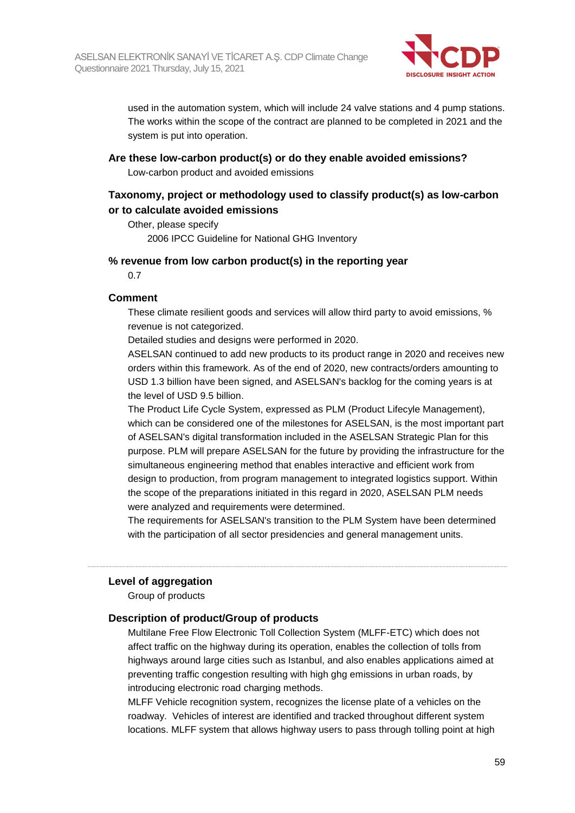

used in the automation system, which will include 24 valve stations and 4 pump stations. The works within the scope of the contract are planned to be completed in 2021 and the system is put into operation.

**Are these low-carbon product(s) or do they enable avoided emissions?** Low-carbon product and avoided emissions

### **Taxonomy, project or methodology used to classify product(s) as low-carbon or to calculate avoided emissions**

Other, please specify 2006 IPCC Guideline for National GHG Inventory

#### **% revenue from low carbon product(s) in the reporting year**

0.7

#### **Comment**

These climate resilient goods and services will allow third party to avoid emissions, % revenue is not categorized.

Detailed studies and designs were performed in 2020.

ASELSAN continued to add new products to its product range in 2020 and receives new orders within this framework. As of the end of 2020, new contracts/orders amounting to USD 1.3 billion have been signed, and ASELSAN's backlog for the coming years is at the level of USD 9.5 billion.

The Product Life Cycle System, expressed as PLM (Product Lifecyle Management), which can be considered one of the milestones for ASELSAN, is the most important part of ASELSAN's digital transformation included in the ASELSAN Strategic Plan for this purpose. PLM will prepare ASELSAN for the future by providing the infrastructure for the simultaneous engineering method that enables interactive and efficient work from design to production, from program management to integrated logistics support. Within the scope of the preparations initiated in this regard in 2020, ASELSAN PLM needs were analyzed and requirements were determined.

The requirements for ASELSAN's transition to the PLM System have been determined with the participation of all sector presidencies and general management units.

#### **Level of aggregation**

Group of products

#### **Description of product/Group of products**

Multilane Free Flow Electronic Toll Collection System (MLFF-ETC) which does not affect traffic on the highway during its operation, enables the collection of tolls from highways around large cities such as Istanbul, and also enables applications aimed at preventing traffic congestion resulting with high ghg emissions in urban roads, by introducing electronic road charging methods.

MLFF Vehicle recognition system, recognizes the license plate of a vehicles on the roadway. Vehicles of interest are identified and tracked throughout different system locations. MLFF system that allows highway users to pass through tolling point at high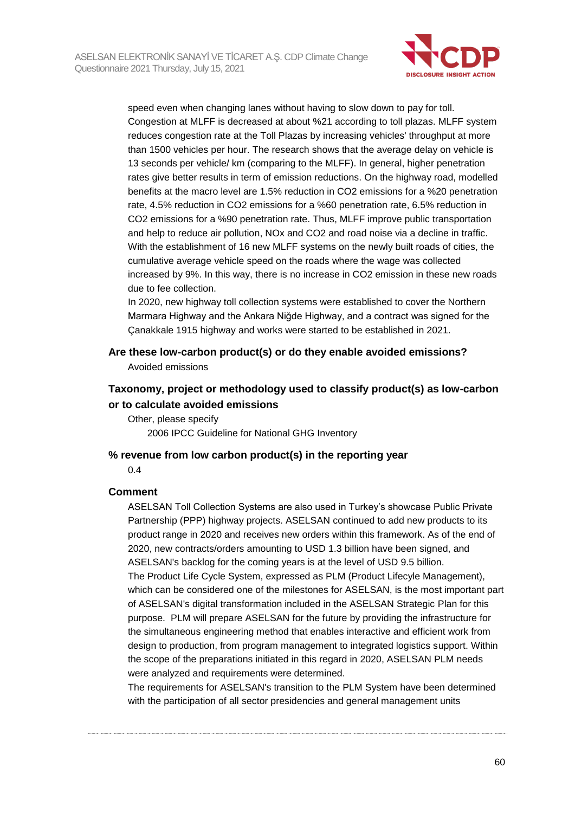

speed even when changing lanes without having to slow down to pay for toll. Congestion at MLFF is decreased at about %21 according to toll plazas. MLFF system reduces congestion rate at the Toll Plazas by increasing vehicles' throughput at more than 1500 vehicles per hour. The research shows that the average delay on vehicle is 13 seconds per vehicle/ km (comparing to the MLFF). In general, higher penetration rates give better results in term of emission reductions. On the highway road, modelled benefits at the macro level are 1.5% reduction in CO2 emissions for a %20 penetration rate, 4.5% reduction in CO2 emissions for a %60 penetration rate, 6.5% reduction in CO2 emissions for a %90 penetration rate. Thus, MLFF improve public transportation and help to reduce air pollution, NOx and CO2 and road noise via a decline in traffic. With the establishment of 16 new MLFF systems on the newly built roads of cities, the cumulative average vehicle speed on the roads where the wage was collected increased by 9%. In this way, there is no increase in CO2 emission in these new roads due to fee collection.

In 2020, new highway toll collection systems were established to cover the Northern Marmara Highway and the Ankara Niğde Highway, and a contract was signed for the Çanakkale 1915 highway and works were started to be established in 2021.

**Are these low-carbon product(s) or do they enable avoided emissions?** Avoided emissions

## **Taxonomy, project or methodology used to classify product(s) as low-carbon or to calculate avoided emissions**

Other, please specify 2006 IPCC Guideline for National GHG Inventory

#### **% revenue from low carbon product(s) in the reporting year**

0.4

#### **Comment**

ASELSAN Toll Collection Systems are also used in Turkey's showcase Public Private Partnership (PPP) highway projects. ASELSAN continued to add new products to its product range in 2020 and receives new orders within this framework. As of the end of 2020, new contracts/orders amounting to USD 1.3 billion have been signed, and ASELSAN's backlog for the coming years is at the level of USD 9.5 billion. The Product Life Cycle System, expressed as PLM (Product Lifecyle Management), which can be considered one of the milestones for ASELSAN, is the most important part of ASELSAN's digital transformation included in the ASELSAN Strategic Plan for this purpose. PLM will prepare ASELSAN for the future by providing the infrastructure for the simultaneous engineering method that enables interactive and efficient work from design to production, from program management to integrated logistics support. Within the scope of the preparations initiated in this regard in 2020, ASELSAN PLM needs were analyzed and requirements were determined.

The requirements for ASELSAN's transition to the PLM System have been determined with the participation of all sector presidencies and general management units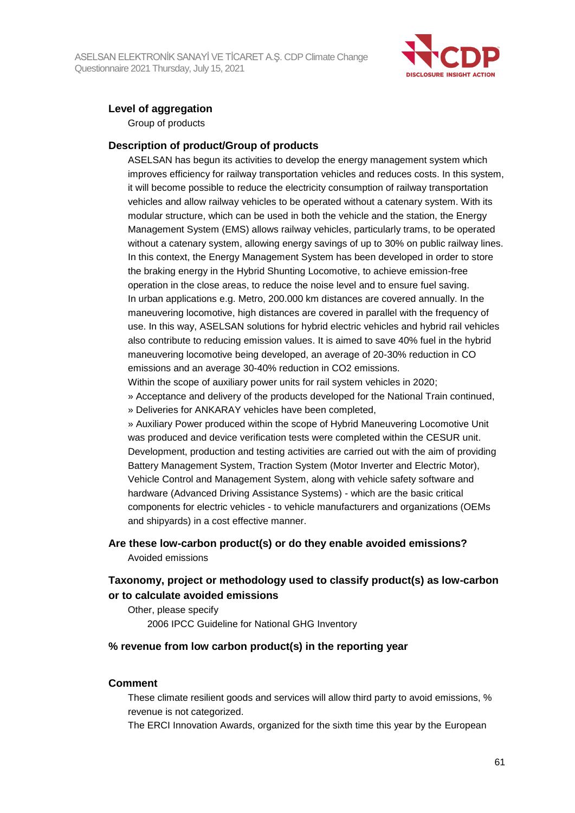

## **Level of aggregation**

Group of products

#### **Description of product/Group of products**

ASELSAN has begun its activities to develop the energy management system which improves efficiency for railway transportation vehicles and reduces costs. In this system, it will become possible to reduce the electricity consumption of railway transportation vehicles and allow railway vehicles to be operated without a catenary system. With its modular structure, which can be used in both the vehicle and the station, the Energy Management System (EMS) allows railway vehicles, particularly trams, to be operated without a catenary system, allowing energy savings of up to 30% on public railway lines. In this context, the Energy Management System has been developed in order to store the braking energy in the Hybrid Shunting Locomotive, to achieve emission-free operation in the close areas, to reduce the noise level and to ensure fuel saving. In urban applications e.g. Metro, 200.000 km distances are covered annually. In the maneuvering locomotive, high distances are covered in parallel with the frequency of use. In this way, ASELSAN solutions for hybrid electric vehicles and hybrid rail vehicles also contribute to reducing emission values. It is aimed to save 40% fuel in the hybrid maneuvering locomotive being developed, an average of 20-30% reduction in CO emissions and an average 30-40% reduction in CO2 emissions.

Within the scope of auxiliary power units for rail system vehicles in 2020;

- » Acceptance and delivery of the products developed for the National Train continued,
- » Deliveries for ANKARAY vehicles have been completed,

» Auxiliary Power produced within the scope of Hybrid Maneuvering Locomotive Unit was produced and device verification tests were completed within the CESUR unit. Development, production and testing activities are carried out with the aim of providing Battery Management System, Traction System (Motor Inverter and Electric Motor), Vehicle Control and Management System, along with vehicle safety software and hardware (Advanced Driving Assistance Systems) - which are the basic critical components for electric vehicles - to vehicle manufacturers and organizations (OEMs and shipyards) in a cost effective manner.

### **Are these low-carbon product(s) or do they enable avoided emissions?** Avoided emissions

## **Taxonomy, project or methodology used to classify product(s) as low-carbon or to calculate avoided emissions**

Other, please specify 2006 IPCC Guideline for National GHG Inventory

#### **% revenue from low carbon product(s) in the reporting year**

#### **Comment**

These climate resilient goods and services will allow third party to avoid emissions, % revenue is not categorized.

The ERCI Innovation Awards, organized for the sixth time this year by the European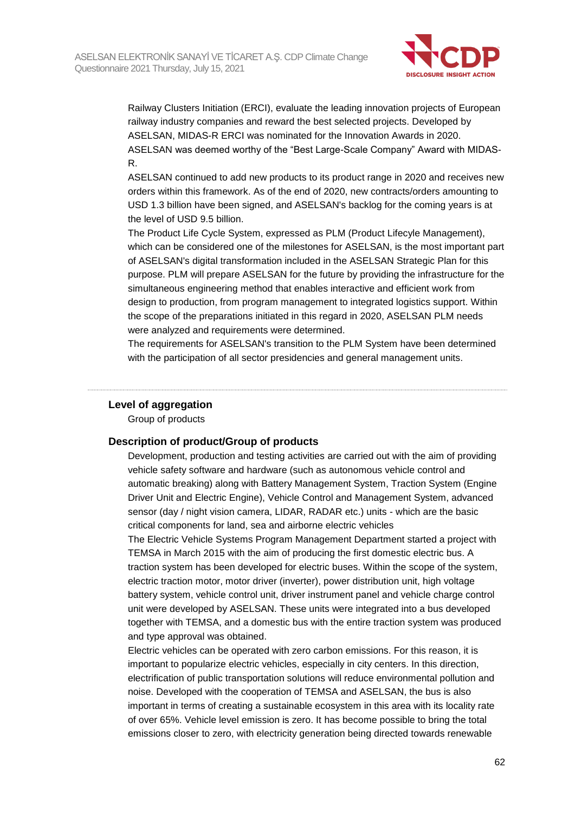

Railway Clusters Initiation (ERCI), evaluate the leading innovation projects of European railway industry companies and reward the best selected projects. Developed by ASELSAN, MIDAS-R ERCI was nominated for the Innovation Awards in 2020. ASELSAN was deemed worthy of the "Best Large-Scale Company" Award with MIDAS-R.

ASELSAN continued to add new products to its product range in 2020 and receives new orders within this framework. As of the end of 2020, new contracts/orders amounting to USD 1.3 billion have been signed, and ASELSAN's backlog for the coming years is at the level of USD 9.5 billion.

The Product Life Cycle System, expressed as PLM (Product Lifecyle Management), which can be considered one of the milestones for ASELSAN, is the most important part of ASELSAN's digital transformation included in the ASELSAN Strategic Plan for this purpose. PLM will prepare ASELSAN for the future by providing the infrastructure for the simultaneous engineering method that enables interactive and efficient work from design to production, from program management to integrated logistics support. Within the scope of the preparations initiated in this regard in 2020, ASELSAN PLM needs were analyzed and requirements were determined.

The requirements for ASELSAN's transition to the PLM System have been determined with the participation of all sector presidencies and general management units.

#### **Level of aggregation**

Group of products

#### **Description of product/Group of products**

Development, production and testing activities are carried out with the aim of providing vehicle safety software and hardware (such as autonomous vehicle control and automatic breaking) along with Battery Management System, Traction System (Engine Driver Unit and Electric Engine), Vehicle Control and Management System, advanced sensor (day / night vision camera, LIDAR, RADAR etc.) units - which are the basic critical components for land, sea and airborne electric vehicles

The Electric Vehicle Systems Program Management Department started a project with TEMSA in March 2015 with the aim of producing the first domestic electric bus. A traction system has been developed for electric buses. Within the scope of the system, electric traction motor, motor driver (inverter), power distribution unit, high voltage battery system, vehicle control unit, driver instrument panel and vehicle charge control unit were developed by ASELSAN. These units were integrated into a bus developed together with TEMSA, and a domestic bus with the entire traction system was produced and type approval was obtained.

Electric vehicles can be operated with zero carbon emissions. For this reason, it is important to popularize electric vehicles, especially in city centers. In this direction, electrification of public transportation solutions will reduce environmental pollution and noise. Developed with the cooperation of TEMSA and ASELSAN, the bus is also important in terms of creating a sustainable ecosystem in this area with its locality rate of over 65%. Vehicle level emission is zero. It has become possible to bring the total emissions closer to zero, with electricity generation being directed towards renewable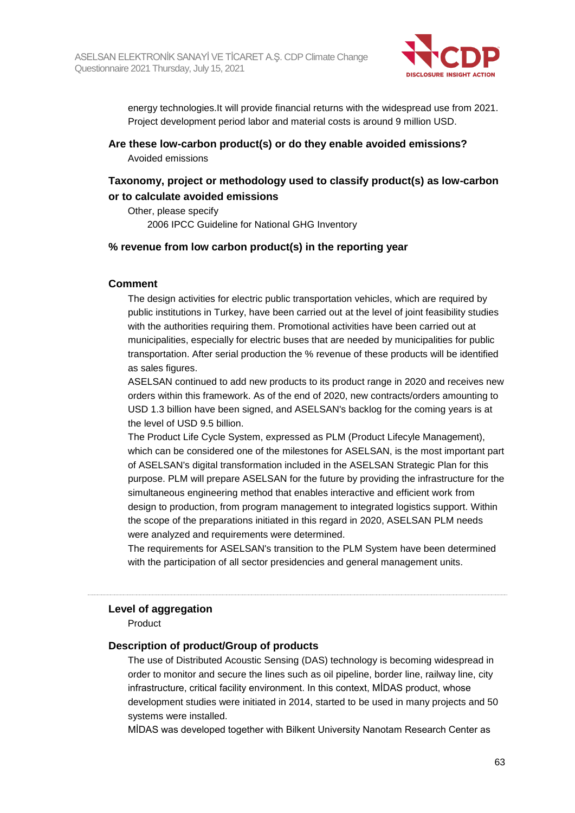

energy technologies.It will provide financial returns with the widespread use from 2021. Project development period labor and material costs is around 9 million USD.

**Are these low-carbon product(s) or do they enable avoided emissions?**

Avoided emissions

## **Taxonomy, project or methodology used to classify product(s) as low-carbon or to calculate avoided emissions**

Other, please specify 2006 IPCC Guideline for National GHG Inventory

### **% revenue from low carbon product(s) in the reporting year**

#### **Comment**

The design activities for electric public transportation vehicles, which are required by public institutions in Turkey, have been carried out at the level of joint feasibility studies with the authorities requiring them. Promotional activities have been carried out at municipalities, especially for electric buses that are needed by municipalities for public transportation. After serial production the % revenue of these products will be identified as sales figures.

ASELSAN continued to add new products to its product range in 2020 and receives new orders within this framework. As of the end of 2020, new contracts/orders amounting to USD 1.3 billion have been signed, and ASELSAN's backlog for the coming years is at the level of USD 9.5 billion.

The Product Life Cycle System, expressed as PLM (Product Lifecyle Management), which can be considered one of the milestones for ASELSAN, is the most important part of ASELSAN's digital transformation included in the ASELSAN Strategic Plan for this purpose. PLM will prepare ASELSAN for the future by providing the infrastructure for the simultaneous engineering method that enables interactive and efficient work from design to production, from program management to integrated logistics support. Within the scope of the preparations initiated in this regard in 2020, ASELSAN PLM needs were analyzed and requirements were determined.

The requirements for ASELSAN's transition to the PLM System have been determined with the participation of all sector presidencies and general management units.

#### **Level of aggregation**

Product

#### **Description of product/Group of products**

The use of Distributed Acoustic Sensing (DAS) technology is becoming widespread in order to monitor and secure the lines such as oil pipeline, border line, railway line, city infrastructure, critical facility environment. In this context, MİDAS product, whose development studies were initiated in 2014, started to be used in many projects and 50 systems were installed.

MİDAS was developed together with Bilkent University Nanotam Research Center as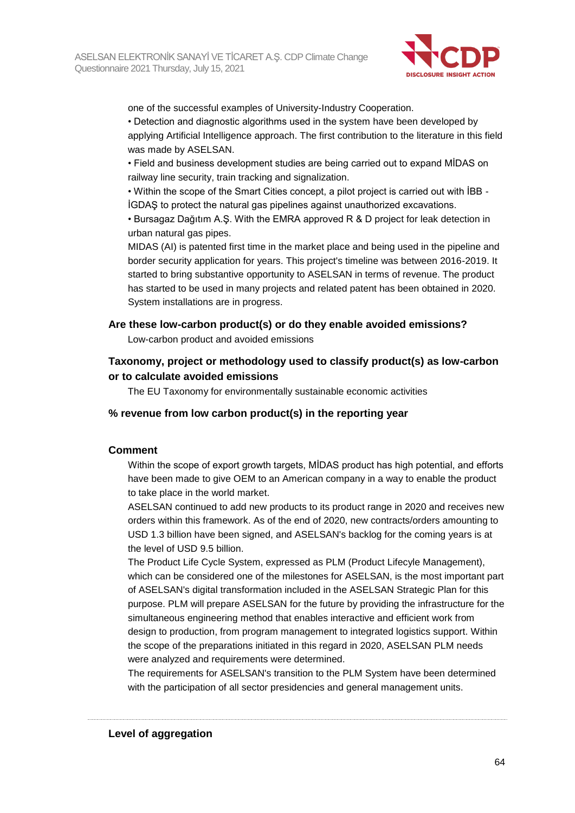

one of the successful examples of University-Industry Cooperation.

• Detection and diagnostic algorithms used in the system have been developed by applying Artificial Intelligence approach. The first contribution to the literature in this field was made by ASELSAN.

• Field and business development studies are being carried out to expand MİDAS on railway line security, train tracking and signalization.

• Within the scope of the Smart Cities concept, a pilot project is carried out with İBB - İGDAŞ to protect the natural gas pipelines against unauthorized excavations.

• Bursagaz Dağıtım A.Ş. With the EMRA approved R & D project for leak detection in urban natural gas pipes.

MIDAS (AI) is patented first time in the market place and being used in the pipeline and border security application for years. This project's timeline was between 2016-2019. It started to bring substantive opportunity to ASELSAN in terms of revenue. The product has started to be used in many projects and related patent has been obtained in 2020. System installations are in progress.

#### **Are these low-carbon product(s) or do they enable avoided emissions?**

Low-carbon product and avoided emissions

## **Taxonomy, project or methodology used to classify product(s) as low-carbon or to calculate avoided emissions**

The EU Taxonomy for environmentally sustainable economic activities

#### **% revenue from low carbon product(s) in the reporting year**

#### **Comment**

Within the scope of export growth targets, MİDAS product has high potential, and efforts have been made to give OEM to an American company in a way to enable the product to take place in the world market.

ASELSAN continued to add new products to its product range in 2020 and receives new orders within this framework. As of the end of 2020, new contracts/orders amounting to USD 1.3 billion have been signed, and ASELSAN's backlog for the coming years is at the level of USD 9.5 billion.

The Product Life Cycle System, expressed as PLM (Product Lifecyle Management), which can be considered one of the milestones for ASELSAN, is the most important part of ASELSAN's digital transformation included in the ASELSAN Strategic Plan for this purpose. PLM will prepare ASELSAN for the future by providing the infrastructure for the simultaneous engineering method that enables interactive and efficient work from design to production, from program management to integrated logistics support. Within the scope of the preparations initiated in this regard in 2020, ASELSAN PLM needs were analyzed and requirements were determined.

The requirements for ASELSAN's transition to the PLM System have been determined with the participation of all sector presidencies and general management units.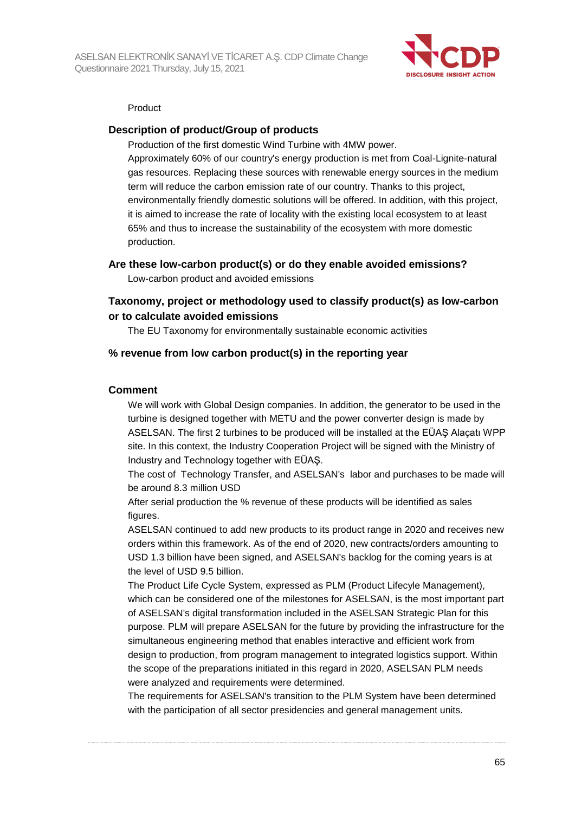

#### Product

#### **Description of product/Group of products**

Production of the first domestic Wind Turbine with 4MW power.

Approximately 60% of our country's energy production is met from Coal-Lignite-natural gas resources. Replacing these sources with renewable energy sources in the medium term will reduce the carbon emission rate of our country. Thanks to this project, environmentally friendly domestic solutions will be offered. In addition, with this project, it is aimed to increase the rate of locality with the existing local ecosystem to at least 65% and thus to increase the sustainability of the ecosystem with more domestic production.

#### **Are these low-carbon product(s) or do they enable avoided emissions?**

Low-carbon product and avoided emissions

## **Taxonomy, project or methodology used to classify product(s) as low-carbon or to calculate avoided emissions**

The EU Taxonomy for environmentally sustainable economic activities

#### **% revenue from low carbon product(s) in the reporting year**

#### **Comment**

We will work with Global Design companies. In addition, the generator to be used in the turbine is designed together with METU and the power converter design is made by ASELSAN. The first 2 turbines to be produced will be installed at the EÜAŞ Alaçatı WPP site. In this context, the Industry Cooperation Project will be signed with the Ministry of Industry and Technology together with EÜAŞ.

The cost of Technology Transfer, and ASELSAN's labor and purchases to be made will be around 8.3 million USD

After serial production the % revenue of these products will be identified as sales figures.

ASELSAN continued to add new products to its product range in 2020 and receives new orders within this framework. As of the end of 2020, new contracts/orders amounting to USD 1.3 billion have been signed, and ASELSAN's backlog for the coming years is at the level of USD 9.5 billion.

The Product Life Cycle System, expressed as PLM (Product Lifecyle Management), which can be considered one of the milestones for ASELSAN, is the most important part of ASELSAN's digital transformation included in the ASELSAN Strategic Plan for this purpose. PLM will prepare ASELSAN for the future by providing the infrastructure for the simultaneous engineering method that enables interactive and efficient work from design to production, from program management to integrated logistics support. Within the scope of the preparations initiated in this regard in 2020, ASELSAN PLM needs were analyzed and requirements were determined.

The requirements for ASELSAN's transition to the PLM System have been determined with the participation of all sector presidencies and general management units.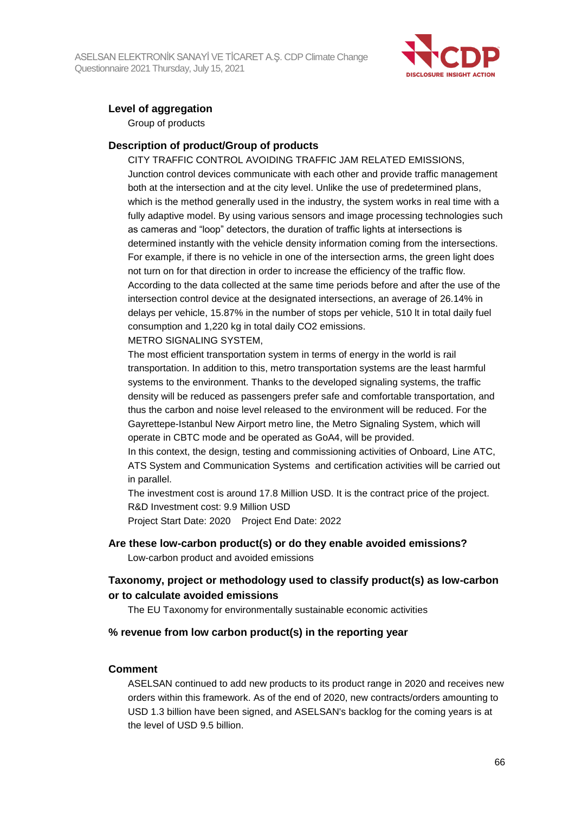

## **Level of aggregation**

Group of products

#### **Description of product/Group of products**

CITY TRAFFIC CONTROL AVOIDING TRAFFIC JAM RELATED EMISSIONS, Junction control devices communicate with each other and provide traffic management both at the intersection and at the city level. Unlike the use of predetermined plans, which is the method generally used in the industry, the system works in real time with a fully adaptive model. By using various sensors and image processing technologies such as cameras and "loop" detectors, the duration of traffic lights at intersections is determined instantly with the vehicle density information coming from the intersections. For example, if there is no vehicle in one of the intersection arms, the green light does not turn on for that direction in order to increase the efficiency of the traffic flow. According to the data collected at the same time periods before and after the use of the intersection control device at the designated intersections, an average of 26.14% in delays per vehicle, 15.87% in the number of stops per vehicle, 510 lt in total daily fuel consumption and 1,220 kg in total daily CO2 emissions.

METRO SIGNALING SYSTEM,

The most efficient transportation system in terms of energy in the world is rail transportation. In addition to this, metro transportation systems are the least harmful systems to the environment. Thanks to the developed signaling systems, the traffic density will be reduced as passengers prefer safe and comfortable transportation, and thus the carbon and noise level released to the environment will be reduced. For the Gayrettepe-Istanbul New Airport metro line, the Metro Signaling System, which will operate in CBTC mode and be operated as GoA4, will be provided.

In this context, the design, testing and commissioning activities of Onboard, Line ATC, ATS System and Communication Systems and certification activities will be carried out in parallel.

The investment cost is around 17.8 Million USD. It is the contract price of the project. R&D Investment cost: 9.9 Million USD

Project Start Date: 2020 Project End Date: 2022

#### **Are these low-carbon product(s) or do they enable avoided emissions?**

Low-carbon product and avoided emissions

## **Taxonomy, project or methodology used to classify product(s) as low-carbon or to calculate avoided emissions**

The EU Taxonomy for environmentally sustainable economic activities

#### **% revenue from low carbon product(s) in the reporting year**

#### **Comment**

ASELSAN continued to add new products to its product range in 2020 and receives new orders within this framework. As of the end of 2020, new contracts/orders amounting to USD 1.3 billion have been signed, and ASELSAN's backlog for the coming years is at the level of USD 9.5 billion.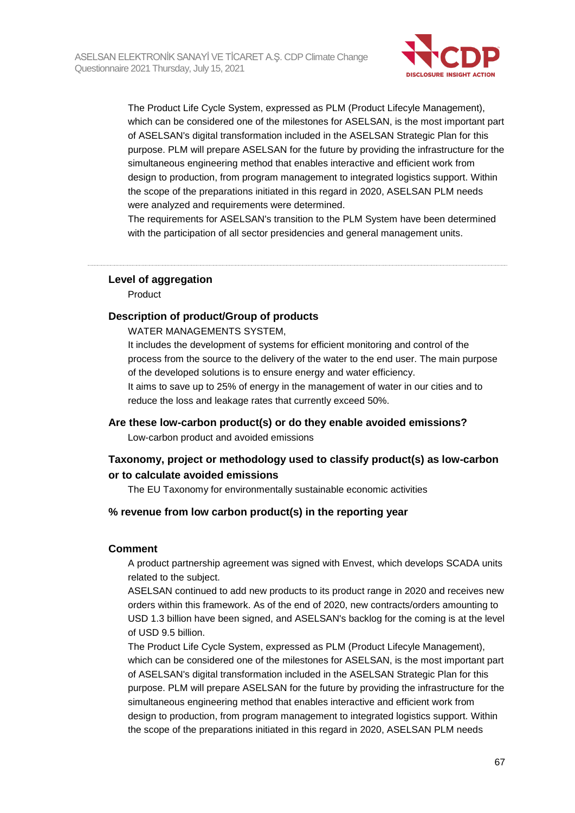

The Product Life Cycle System, expressed as PLM (Product Lifecyle Management), which can be considered one of the milestones for ASELSAN, is the most important part of ASELSAN's digital transformation included in the ASELSAN Strategic Plan for this purpose. PLM will prepare ASELSAN for the future by providing the infrastructure for the simultaneous engineering method that enables interactive and efficient work from design to production, from program management to integrated logistics support. Within the scope of the preparations initiated in this regard in 2020, ASELSAN PLM needs were analyzed and requirements were determined.

The requirements for ASELSAN's transition to the PLM System have been determined with the participation of all sector presidencies and general management units.

#### **Level of aggregation**

Product

#### **Description of product/Group of products**

WATER MANAGEMENTS SYSTEM,

It includes the development of systems for efficient monitoring and control of the process from the source to the delivery of the water to the end user. The main purpose of the developed solutions is to ensure energy and water efficiency.

It aims to save up to 25% of energy in the management of water in our cities and to reduce the loss and leakage rates that currently exceed 50%.

#### **Are these low-carbon product(s) or do they enable avoided emissions?**

Low-carbon product and avoided emissions

### **Taxonomy, project or methodology used to classify product(s) as low-carbon or to calculate avoided emissions**

The EU Taxonomy for environmentally sustainable economic activities

#### **% revenue from low carbon product(s) in the reporting year**

#### **Comment**

A product partnership agreement was signed with Envest, which develops SCADA units related to the subject.

ASELSAN continued to add new products to its product range in 2020 and receives new orders within this framework. As of the end of 2020, new contracts/orders amounting to USD 1.3 billion have been signed, and ASELSAN's backlog for the coming is at the level of USD 9.5 billion.

The Product Life Cycle System, expressed as PLM (Product Lifecyle Management), which can be considered one of the milestones for ASELSAN, is the most important part of ASELSAN's digital transformation included in the ASELSAN Strategic Plan for this purpose. PLM will prepare ASELSAN for the future by providing the infrastructure for the simultaneous engineering method that enables interactive and efficient work from design to production, from program management to integrated logistics support. Within the scope of the preparations initiated in this regard in 2020, ASELSAN PLM needs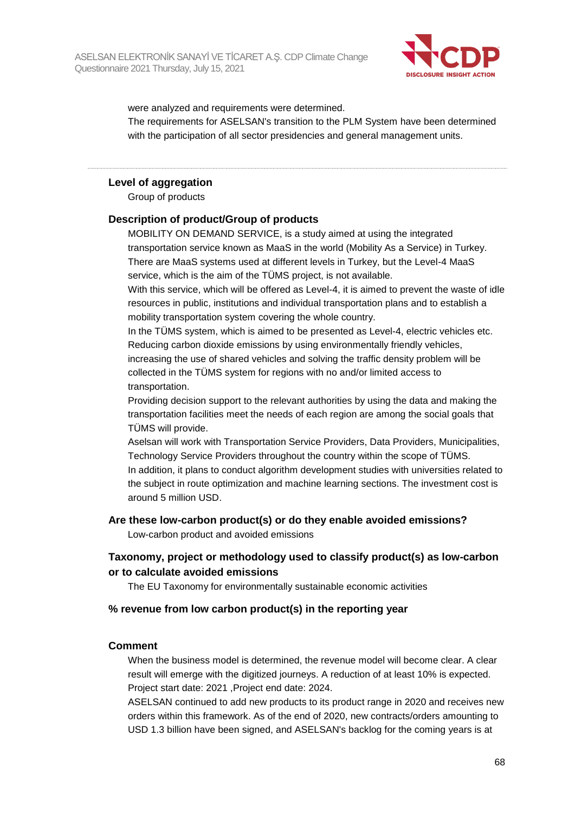

were analyzed and requirements were determined.

The requirements for ASELSAN's transition to the PLM System have been determined with the participation of all sector presidencies and general management units.

#### **Level of aggregation**

Group of products

### **Description of product/Group of products**

MOBILITY ON DEMAND SERVICE, is a study aimed at using the integrated transportation service known as MaaS in the world (Mobility As a Service) in Turkey. There are MaaS systems used at different levels in Turkey, but the Level-4 MaaS service, which is the aim of the TÜMS project, is not available.

With this service, which will be offered as Level-4, it is aimed to prevent the waste of idle resources in public, institutions and individual transportation plans and to establish a mobility transportation system covering the whole country.

In the TÜMS system, which is aimed to be presented as Level-4, electric vehicles etc. Reducing carbon dioxide emissions by using environmentally friendly vehicles, increasing the use of shared vehicles and solving the traffic density problem will be collected in the TÜMS system for regions with no and/or limited access to transportation.

Providing decision support to the relevant authorities by using the data and making the transportation facilities meet the needs of each region are among the social goals that TÜMS will provide.

Aselsan will work with Transportation Service Providers, Data Providers, Municipalities, Technology Service Providers throughout the country within the scope of TÜMS. In addition, it plans to conduct algorithm development studies with universities related to the subject in route optimization and machine learning sections. The investment cost is around 5 million USD.

#### **Are these low-carbon product(s) or do they enable avoided emissions?**

Low-carbon product and avoided emissions

## **Taxonomy, project or methodology used to classify product(s) as low-carbon or to calculate avoided emissions**

The EU Taxonomy for environmentally sustainable economic activities

#### **% revenue from low carbon product(s) in the reporting year**

#### **Comment**

When the business model is determined, the revenue model will become clear. A clear result will emerge with the digitized journeys. A reduction of at least 10% is expected. Project start date: 2021 ,Project end date: 2024.

ASELSAN continued to add new products to its product range in 2020 and receives new orders within this framework. As of the end of 2020, new contracts/orders amounting to USD 1.3 billion have been signed, and ASELSAN's backlog for the coming years is at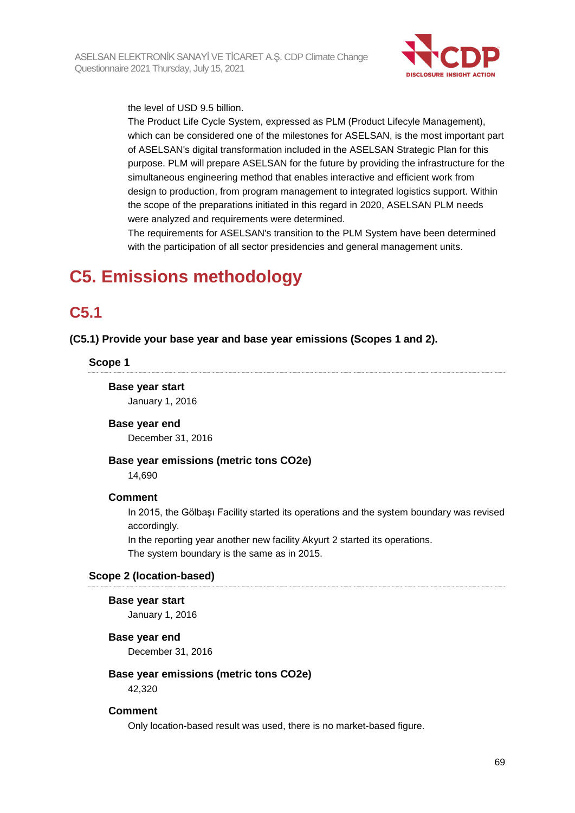

the level of USD 9.5 billion.

The Product Life Cycle System, expressed as PLM (Product Lifecyle Management), which can be considered one of the milestones for ASELSAN, is the most important part of ASELSAN's digital transformation included in the ASELSAN Strategic Plan for this purpose. PLM will prepare ASELSAN for the future by providing the infrastructure for the simultaneous engineering method that enables interactive and efficient work from design to production, from program management to integrated logistics support. Within the scope of the preparations initiated in this regard in 2020, ASELSAN PLM needs were analyzed and requirements were determined.

The requirements for ASELSAN's transition to the PLM System have been determined with the participation of all sector presidencies and general management units.

# **C5. Emissions methodology**

## **C5.1**

**(C5.1) Provide your base year and base year emissions (Scopes 1 and 2).**

**Scope 1**

**Base year start** January 1, 2016

**Base year end**

December 31, 2016

#### **Base year emissions (metric tons CO2e)**

14,690

#### **Comment**

In 2015, the Gölbaşı Facility started its operations and the system boundary was revised accordingly.

In the reporting year another new facility Akyurt 2 started its operations. The system boundary is the same as in 2015.

#### **Scope 2 (location-based)**

#### **Base year start**

January 1, 2016

#### **Base year end**

December 31, 2016

#### **Base year emissions (metric tons CO2e)**

42,320

#### **Comment**

Only location-based result was used, there is no market-based figure.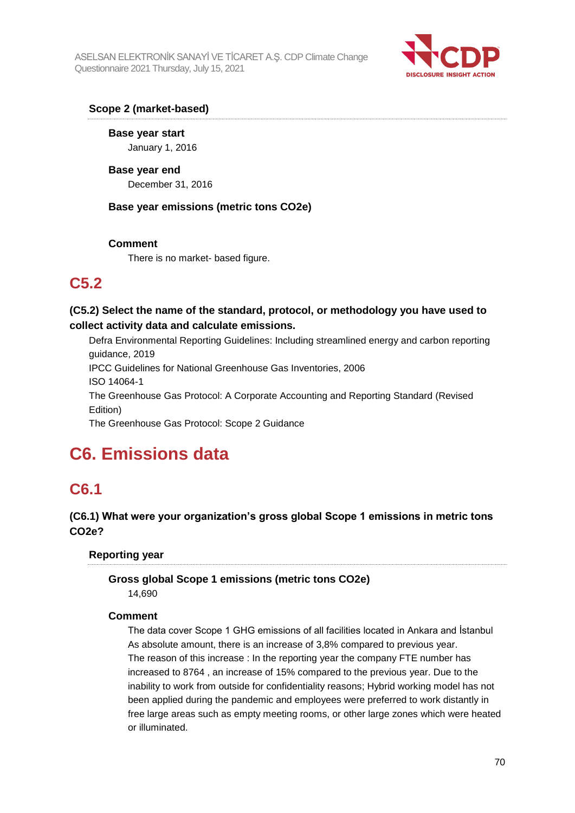

## **Scope 2 (market-based)**

**Base year start** January 1, 2016

**Base year end** December 31, 2016

**Base year emissions (metric tons CO2e)**

### **Comment**

There is no market- based figure.

## **C5.2**

**(C5.2) Select the name of the standard, protocol, or methodology you have used to collect activity data and calculate emissions.**

Defra Environmental Reporting Guidelines: Including streamlined energy and carbon reporting guidance, 2019 IPCC Guidelines for National Greenhouse Gas Inventories, 2006 ISO 14064-1

The Greenhouse Gas Protocol: A Corporate Accounting and Reporting Standard (Revised Edition)

The Greenhouse Gas Protocol: Scope 2 Guidance

# **C6. Emissions data**

## **C6.1**

## **(C6.1) What were your organization's gross global Scope 1 emissions in metric tons CO2e?**

## **Reporting year**

## **Gross global Scope 1 emissions (metric tons CO2e)**

14,690

## **Comment**

The data cover Scope 1 GHG emissions of all facilities located in Ankara and İstanbul As absolute amount, there is an increase of 3,8% compared to previous year. The reason of this increase : In the reporting year the company FTE number has increased to 8764 , an increase of 15% compared to the previous year. Due to the inability to work from outside for confidentiality reasons; Hybrid working model has not been applied during the pandemic and employees were preferred to work distantly in free large areas such as empty meeting rooms, or other large zones which were heated or illuminated.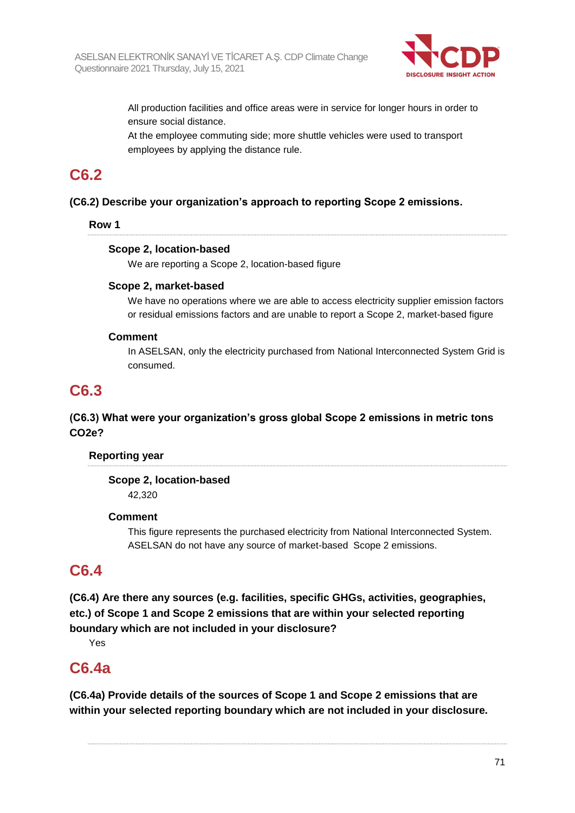

All production facilities and office areas were in service for longer hours in order to ensure social distance.

At the employee commuting side; more shuttle vehicles were used to transport employees by applying the distance rule.

## **C6.2**

## **(C6.2) Describe your organization's approach to reporting Scope 2 emissions.**

### **Row 1**

### **Scope 2, location-based**

We are reporting a Scope 2, location-based figure

### **Scope 2, market-based**

We have no operations where we are able to access electricity supplier emission factors or residual emissions factors and are unable to report a Scope 2, market-based figure

### **Comment**

In ASELSAN, only the electricity purchased from National Interconnected System Grid is consumed.

## **C6.3**

## **(C6.3) What were your organization's gross global Scope 2 emissions in metric tons CO2e?**

#### **Reporting year**

### **Scope 2, location-based** 42,320

#### **Comment**

This figure represents the purchased electricity from National Interconnected System. ASELSAN do not have any source of market-based Scope 2 emissions.

## **C6.4**

**(C6.4) Are there any sources (e.g. facilities, specific GHGs, activities, geographies, etc.) of Scope 1 and Scope 2 emissions that are within your selected reporting boundary which are not included in your disclosure?**

Yes

## **C6.4a**

**(C6.4a) Provide details of the sources of Scope 1 and Scope 2 emissions that are within your selected reporting boundary which are not included in your disclosure.**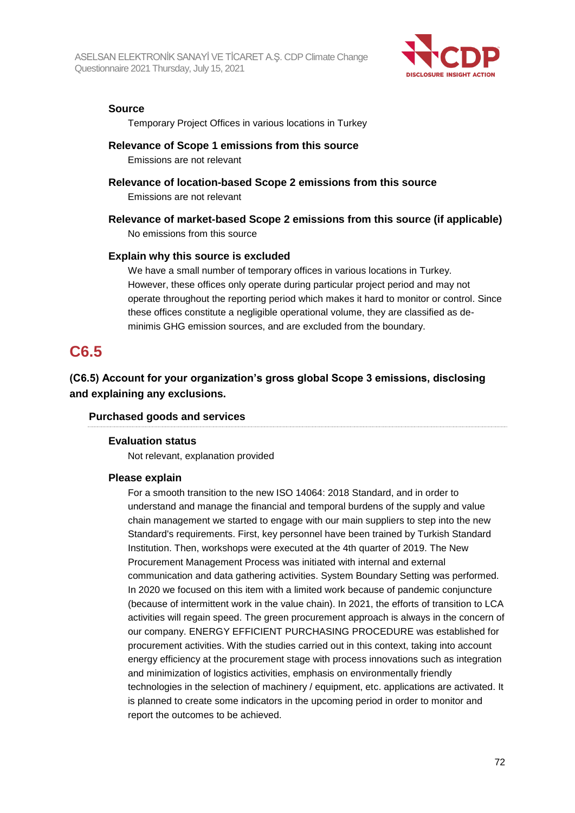

#### **Source**

Temporary Project Offices in various locations in Turkey

#### **Relevance of Scope 1 emissions from this source**

Emissions are not relevant

### **Relevance of location-based Scope 2 emissions from this source**

Emissions are not relevant

## **Relevance of market-based Scope 2 emissions from this source (if applicable)**

No emissions from this source

#### **Explain why this source is excluded**

We have a small number of temporary offices in various locations in Turkey. However, these offices only operate during particular project period and may not operate throughout the reporting period which makes it hard to monitor or control. Since these offices constitute a negligible operational volume, they are classified as deminimis GHG emission sources, and are excluded from the boundary.

## **C6.5**

**(C6.5) Account for your organization's gross global Scope 3 emissions, disclosing and explaining any exclusions.**

#### **Purchased goods and services**

#### **Evaluation status**

Not relevant, explanation provided

#### **Please explain**

For a smooth transition to the new ISO 14064: 2018 Standard, and in order to understand and manage the financial and temporal burdens of the supply and value chain management we started to engage with our main suppliers to step into the new Standard's requirements. First, key personnel have been trained by Turkish Standard Institution. Then, workshops were executed at the 4th quarter of 2019. The New Procurement Management Process was initiated with internal and external communication and data gathering activities. System Boundary Setting was performed. In 2020 we focused on this item with a limited work because of pandemic conjuncture (because of intermittent work in the value chain). In 2021, the efforts of transition to LCA activities will regain speed. The green procurement approach is always in the concern of our company. ENERGY EFFICIENT PURCHASING PROCEDURE was established for procurement activities. With the studies carried out in this context, taking into account energy efficiency at the procurement stage with process innovations such as integration and minimization of logistics activities, emphasis on environmentally friendly technologies in the selection of machinery / equipment, etc. applications are activated. It is planned to create some indicators in the upcoming period in order to monitor and report the outcomes to be achieved.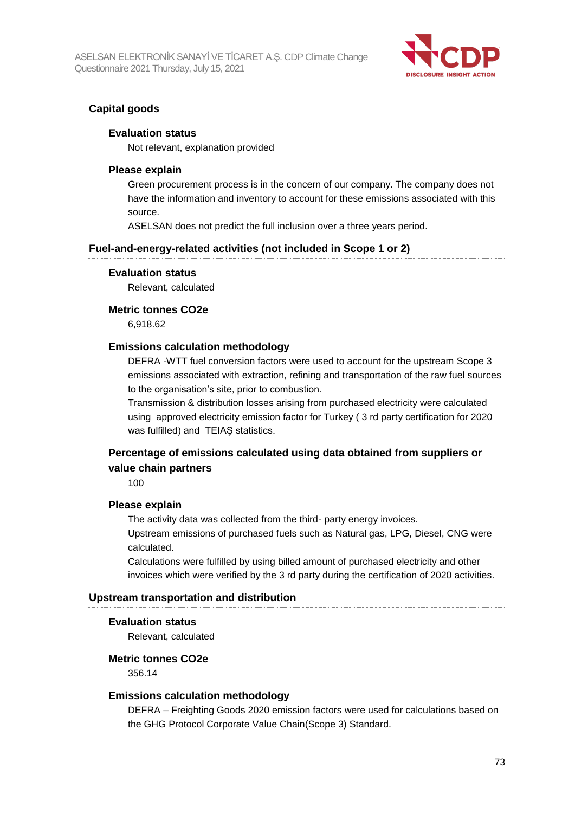

# **Capital goods**

#### **Evaluation status**

Not relevant, explanation provided

#### **Please explain**

Green procurement process is in the concern of our company. The company does not have the information and inventory to account for these emissions associated with this source.

ASELSAN does not predict the full inclusion over a three years period.

## **Fuel-and-energy-related activities (not included in Scope 1 or 2)**

#### **Evaluation status**

Relevant, calculated

#### **Metric tonnes CO2e**

6,918.62

#### **Emissions calculation methodology**

DEFRA -WTT fuel conversion factors were used to account for the upstream Scope 3 emissions associated with extraction, refining and transportation of the raw fuel sources to the organisation's site, prior to combustion.

Transmission & distribution losses arising from purchased electricity were calculated using approved electricity emission factor for Turkey ( 3 rd party certification for 2020 was fulfilled) and TEIAŞ statistics.

# **Percentage of emissions calculated using data obtained from suppliers or value chain partners**

100

#### **Please explain**

The activity data was collected from the third- party energy invoices.

Upstream emissions of purchased fuels such as Natural gas, LPG, Diesel, CNG were calculated.

Calculations were fulfilled by using billed amount of purchased electricity and other invoices which were verified by the 3 rd party during the certification of 2020 activities.

#### **Upstream transportation and distribution**

#### **Evaluation status**

Relevant, calculated

#### **Metric tonnes CO2e**

356.14

#### **Emissions calculation methodology**

DEFRA – Freighting Goods 2020 emission factors were used for calculations based on the GHG Protocol Corporate Value Chain(Scope 3) Standard.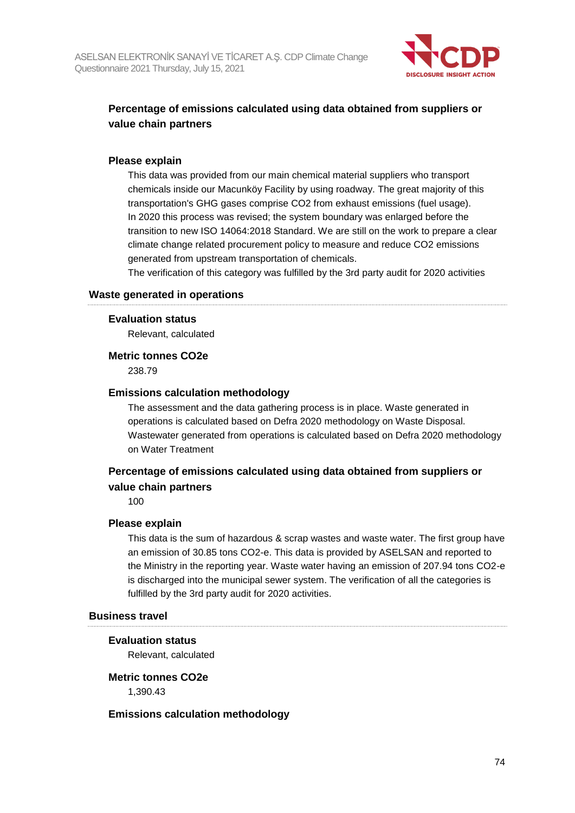

# **Percentage of emissions calculated using data obtained from suppliers or value chain partners**

# **Please explain**

This data was provided from our main chemical material suppliers who transport chemicals inside our Macunköy Facility by using roadway. The great majority of this transportation's GHG gases comprise CO2 from exhaust emissions (fuel usage). In 2020 this process was revised; the system boundary was enlarged before the transition to new ISO 14064:2018 Standard. We are still on the work to prepare a clear climate change related procurement policy to measure and reduce CO2 emissions generated from upstream transportation of chemicals.

The verification of this category was fulfilled by the 3rd party audit for 2020 activities

# **Waste generated in operations**

## **Evaluation status**

Relevant, calculated

## **Metric tonnes CO2e**

238.79

## **Emissions calculation methodology**

The assessment and the data gathering process is in place. Waste generated in operations is calculated based on Defra 2020 methodology on Waste Disposal. Wastewater generated from operations is calculated based on Defra 2020 methodology on Water Treatment

# **Percentage of emissions calculated using data obtained from suppliers or value chain partners**

100

# **Please explain**

This data is the sum of hazardous & scrap wastes and waste water. The first group have an emission of 30.85 tons CO2-e. This data is provided by ASELSAN and reported to the Ministry in the reporting year. Waste water having an emission of 207.94 tons CO2-e is discharged into the municipal sewer system. The verification of all the categories is fulfilled by the 3rd party audit for 2020 activities.

#### **Business travel**

### **Evaluation status**

Relevant, calculated

### **Metric tonnes CO2e**

1,390.43

# **Emissions calculation methodology**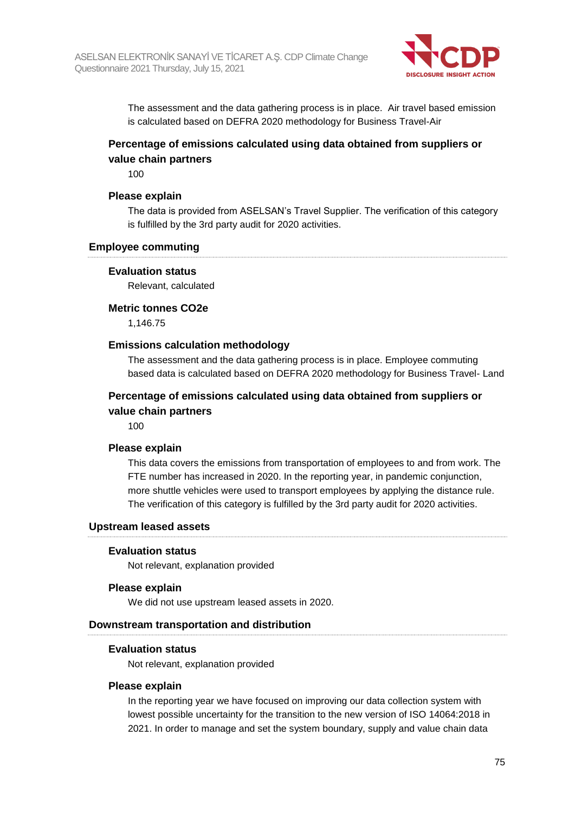

The assessment and the data gathering process is in place. Air travel based emission is calculated based on DEFRA 2020 methodology for Business Travel-Air

# **Percentage of emissions calculated using data obtained from suppliers or value chain partners**

100

#### **Please explain**

The data is provided from ASELSAN's Travel Supplier. The verification of this category is fulfilled by the 3rd party audit for 2020 activities.

#### **Employee commuting**

#### **Evaluation status**

Relevant, calculated

#### **Metric tonnes CO2e**

1,146.75

## **Emissions calculation methodology**

The assessment and the data gathering process is in place. Employee commuting based data is calculated based on DEFRA 2020 methodology for Business Travel- Land

# **Percentage of emissions calculated using data obtained from suppliers or value chain partners**

100

#### **Please explain**

This data covers the emissions from transportation of employees to and from work. The FTE number has increased in 2020. In the reporting year, in pandemic conjunction, more shuttle vehicles were used to transport employees by applying the distance rule. The verification of this category is fulfilled by the 3rd party audit for 2020 activities.

#### **Upstream leased assets**

#### **Evaluation status**

Not relevant, explanation provided

#### **Please explain**

We did not use upstream leased assets in 2020.

#### **Downstream transportation and distribution**

#### **Evaluation status**

Not relevant, explanation provided

#### **Please explain**

In the reporting year we have focused on improving our data collection system with lowest possible uncertainty for the transition to the new version of ISO 14064:2018 in 2021. In order to manage and set the system boundary, supply and value chain data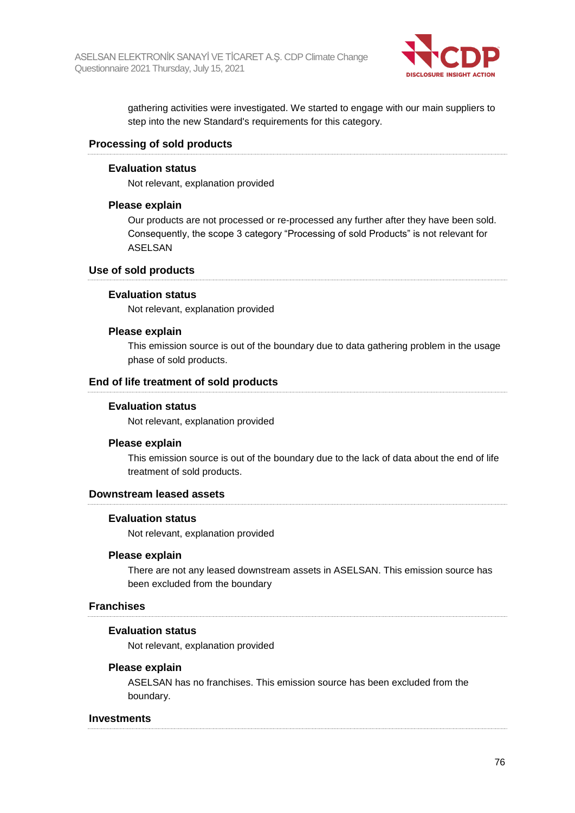

gathering activities were investigated. We started to engage with our main suppliers to step into the new Standard's requirements for this category.

## **Processing of sold products**

#### **Evaluation status**

Not relevant, explanation provided

### **Please explain**

Our products are not processed or re-processed any further after they have been sold. Consequently, the scope 3 category "Processing of sold Products" is not relevant for ASELSAN

#### **Use of sold products**

#### **Evaluation status**

Not relevant, explanation provided

#### **Please explain**

This emission source is out of the boundary due to data gathering problem in the usage phase of sold products.

#### **End of life treatment of sold products**

#### **Evaluation status**

Not relevant, explanation provided

#### **Please explain**

This emission source is out of the boundary due to the lack of data about the end of life treatment of sold products.

#### **Downstream leased assets**

#### **Evaluation status**

Not relevant, explanation provided

#### **Please explain**

There are not any leased downstream assets in ASELSAN. This emission source has been excluded from the boundary

#### **Franchises**

#### **Evaluation status**

Not relevant, explanation provided

#### **Please explain**

ASELSAN has no franchises. This emission source has been excluded from the boundary.

#### **Investments**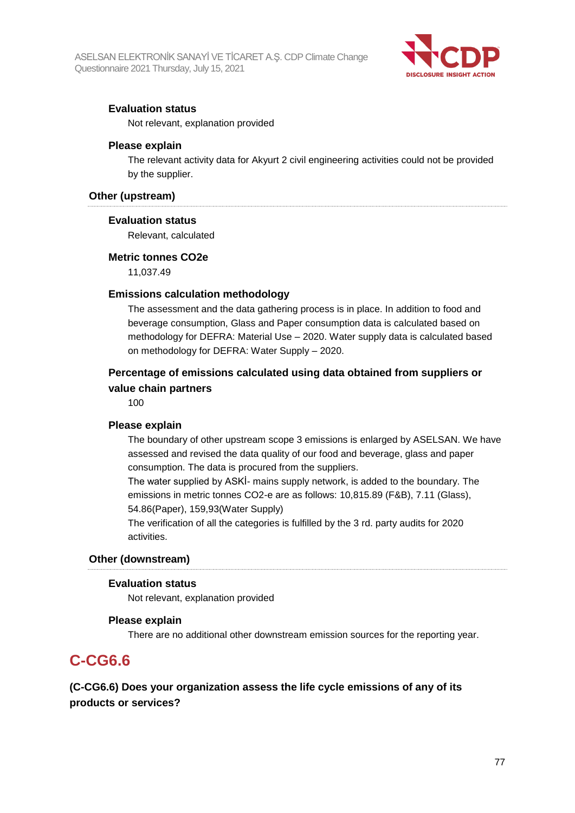

# **Evaluation status**

Not relevant, explanation provided

## **Please explain**

The relevant activity data for Akyurt 2 civil engineering activities could not be provided by the supplier.

## **Other (upstream)**

## **Evaluation status**

Relevant, calculated

## **Metric tonnes CO2e**

11,037.49

# **Emissions calculation methodology**

The assessment and the data gathering process is in place. In addition to food and beverage consumption, Glass and Paper consumption data is calculated based on methodology for DEFRA: Material Use – 2020. Water supply data is calculated based on methodology for DEFRA: Water Supply – 2020.

# **Percentage of emissions calculated using data obtained from suppliers or value chain partners**

100

# **Please explain**

The boundary of other upstream scope 3 emissions is enlarged by ASELSAN. We have assessed and revised the data quality of our food and beverage, glass and paper consumption. The data is procured from the suppliers.

The water supplied by ASKİ- mains supply network, is added to the boundary. The emissions in metric tonnes CO2-e are as follows: 10,815.89 (F&B), 7.11 (Glass), 54.86(Paper), 159,93(Water Supply)

The verification of all the categories is fulfilled by the 3 rd. party audits for 2020 activities.

#### **Other (downstream)**

# **Evaluation status**

Not relevant, explanation provided

#### **Please explain**

There are no additional other downstream emission sources for the reporting year.

# **C-CG6.6**

**(C-CG6.6) Does your organization assess the life cycle emissions of any of its products or services?**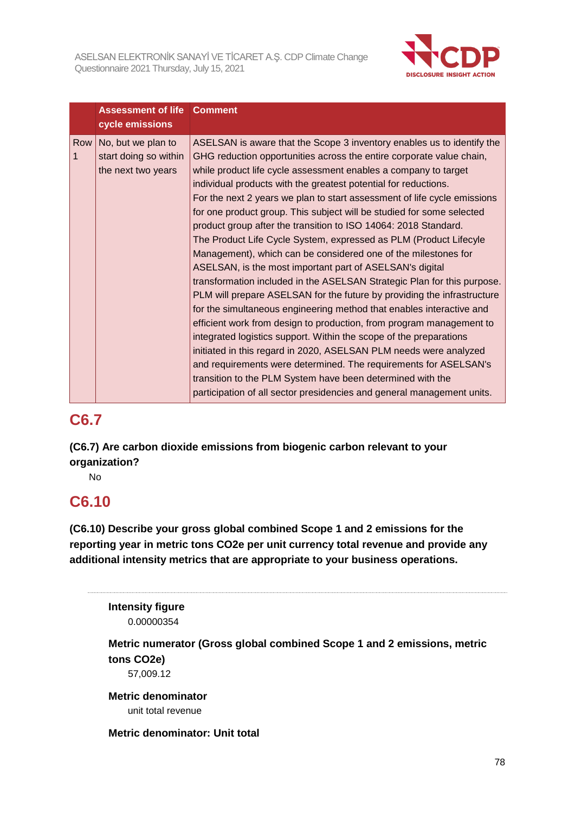

|     | <b>Assessment of life</b><br>cycle emissions                      | <b>Comment</b>                                                                                                                                                                                                                                                                                                                                                                                                                                                                                                                                                                                                                                                                                                                                                                                                                                                                                                                                                                                                                                                                                                                                                                                                                                                                                                                                                               |
|-----|-------------------------------------------------------------------|------------------------------------------------------------------------------------------------------------------------------------------------------------------------------------------------------------------------------------------------------------------------------------------------------------------------------------------------------------------------------------------------------------------------------------------------------------------------------------------------------------------------------------------------------------------------------------------------------------------------------------------------------------------------------------------------------------------------------------------------------------------------------------------------------------------------------------------------------------------------------------------------------------------------------------------------------------------------------------------------------------------------------------------------------------------------------------------------------------------------------------------------------------------------------------------------------------------------------------------------------------------------------------------------------------------------------------------------------------------------------|
| Row | No, but we plan to<br>start doing so within<br>the next two years | ASELSAN is aware that the Scope 3 inventory enables us to identify the<br>GHG reduction opportunities across the entire corporate value chain,<br>while product life cycle assessment enables a company to target<br>individual products with the greatest potential for reductions.<br>For the next 2 years we plan to start assessment of life cycle emissions<br>for one product group. This subject will be studied for some selected<br>product group after the transition to ISO 14064: 2018 Standard.<br>The Product Life Cycle System, expressed as PLM (Product Lifecyle<br>Management), which can be considered one of the milestones for<br>ASELSAN, is the most important part of ASELSAN's digital<br>transformation included in the ASELSAN Strategic Plan for this purpose.<br>PLM will prepare ASELSAN for the future by providing the infrastructure<br>for the simultaneous engineering method that enables interactive and<br>efficient work from design to production, from program management to<br>integrated logistics support. Within the scope of the preparations<br>initiated in this regard in 2020, ASELSAN PLM needs were analyzed<br>and requirements were determined. The requirements for ASELSAN's<br>transition to the PLM System have been determined with the<br>participation of all sector presidencies and general management units. |

# **C6.7**

**(C6.7) Are carbon dioxide emissions from biogenic carbon relevant to your organization?**

No

# **C6.10**

**(C6.10) Describe your gross global combined Scope 1 and 2 emissions for the reporting year in metric tons CO2e per unit currency total revenue and provide any additional intensity metrics that are appropriate to your business operations.**

**Intensity figure** 0.00000354

**Metric numerator (Gross global combined Scope 1 and 2 emissions, metric tons CO2e)**

57,009.12

**Metric denominator** unit total revenue

**Metric denominator: Unit total**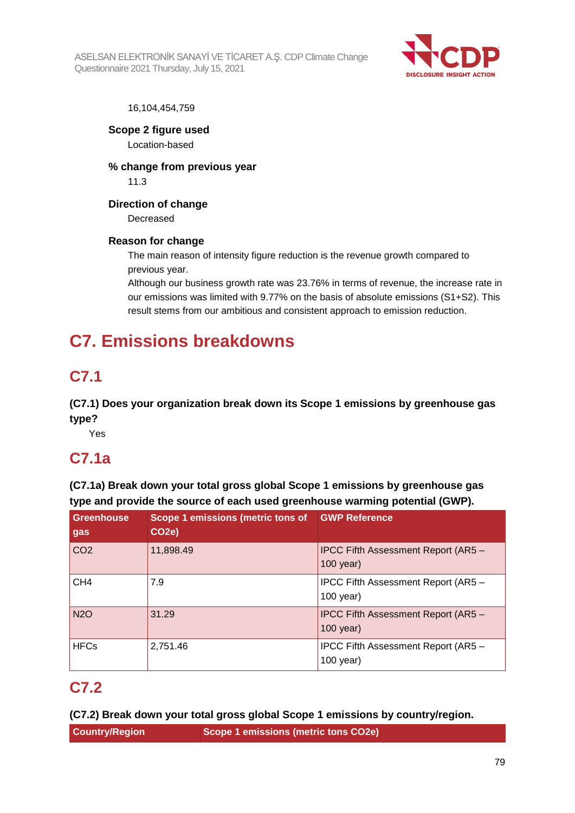ASELSAN ELEKTRONİK SANAYİ VE TİCARET A.Ş. CDP Climate Change Questionnaire 2021 Thursday, July 15, 2021



# 16,104,454,759

**Scope 2 figure used** Location-based

**% change from previous year** 11.3

**Direction of change**

Decreased

# **Reason for change**

The main reason of intensity figure reduction is the revenue growth compared to previous year.

Although our business growth rate was 23.76% in terms of revenue, the increase rate in our emissions was limited with 9.77% on the basis of absolute emissions (S1+S2). This result stems from our ambitious and consistent approach to emission reduction.

# **C7. Emissions breakdowns**

# **C7.1**

**(C7.1) Does your organization break down its Scope 1 emissions by greenhouse gas type?**

Yes

# **C7.1a**

**(C7.1a) Break down your total gross global Scope 1 emissions by greenhouse gas type and provide the source of each used greenhouse warming potential (GWP).**

| <b>Greenhouse</b><br>gas | Scope 1 emissions (metric tons of<br>CO <sub>2</sub> e) | <b>GWP Reference</b>                                      |
|--------------------------|---------------------------------------------------------|-----------------------------------------------------------|
| CO <sub>2</sub>          | 11,898.49                                               | IPCC Fifth Assessment Report (AR5 -<br>$100$ year)        |
| CH <sub>4</sub>          | 7.9                                                     | IPCC Fifth Assessment Report (AR5 -<br>$100$ year)        |
| <b>N2O</b>               | 31.29                                                   | <b>IPCC Fifth Assessment Report (AR5 -</b><br>$100$ year) |
| <b>HFCs</b>              | 2,751.46                                                | IPCC Fifth Assessment Report (AR5 -<br>$100$ year)        |

# **C7.2**

**(C7.2) Break down your total gross global Scope 1 emissions by country/region.**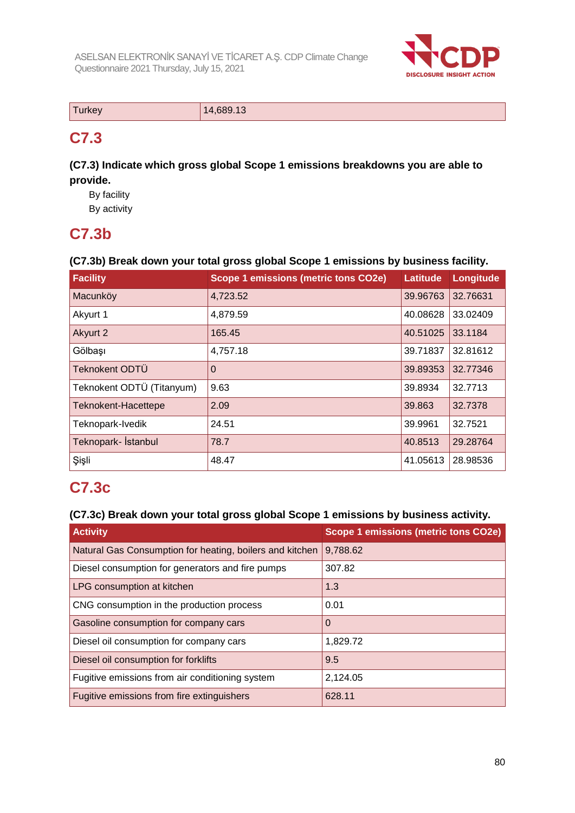

| $-$<br><b>Turkey</b> | 14,689.13 |
|----------------------|-----------|

# **C7.3**

**(C7.3) Indicate which gross global Scope 1 emissions breakdowns you are able to provide.**

By facility By activity

# **C7.3b**

# **(C7.3b) Break down your total gross global Scope 1 emissions by business facility.**

| <b>Facility</b>           | <b>Scope 1 emissions (metric tons CO2e)</b> | <b>Latitude</b> | Longitude |
|---------------------------|---------------------------------------------|-----------------|-----------|
| Macunköy                  | 4,723.52                                    | 39.96763        | 32.76631  |
| Akyurt 1                  | 4,879.59                                    | 40.08628        | 33.02409  |
| Akyurt 2                  | 165.45                                      | 40.51025        | 33.1184   |
| Gölbaşı                   | 4,757.18                                    | 39.71837        | 32.81612  |
| Teknokent ODTÜ            | $\Omega$                                    | 39.89353        | 32.77346  |
| Teknokent ODTÜ (Titanyum) | 9.63                                        | 39.8934         | 32.7713   |
| Teknokent-Hacettepe       | 2.09                                        | 39.863          | 32.7378   |
| Teknopark-Ivedik          | 24.51                                       | 39.9961         | 32.7521   |
| Teknopark- İstanbul       | 78.7                                        | 40.8513         | 29.28764  |
| Şişli                     | 48.47                                       | 41.05613        | 28.98536  |

# **C7.3c**

# **(C7.3c) Break down your total gross global Scope 1 emissions by business activity.**

| <b>Activity</b>                                          | Scope 1 emissions (metric tons CO2e) |
|----------------------------------------------------------|--------------------------------------|
| Natural Gas Consumption for heating, boilers and kitchen | 9,788.62                             |
| Diesel consumption for generators and fire pumps         | 307.82                               |
| LPG consumption at kitchen                               | 1.3                                  |
| CNG consumption in the production process                | 0.01                                 |
| Gasoline consumption for company cars                    | 0                                    |
| Diesel oil consumption for company cars                  | 1,829.72                             |
| Diesel oil consumption for forklifts                     | 9.5                                  |
| Fugitive emissions from air conditioning system          | 2,124.05                             |
| Fugitive emissions from fire extinguishers               | 628.11                               |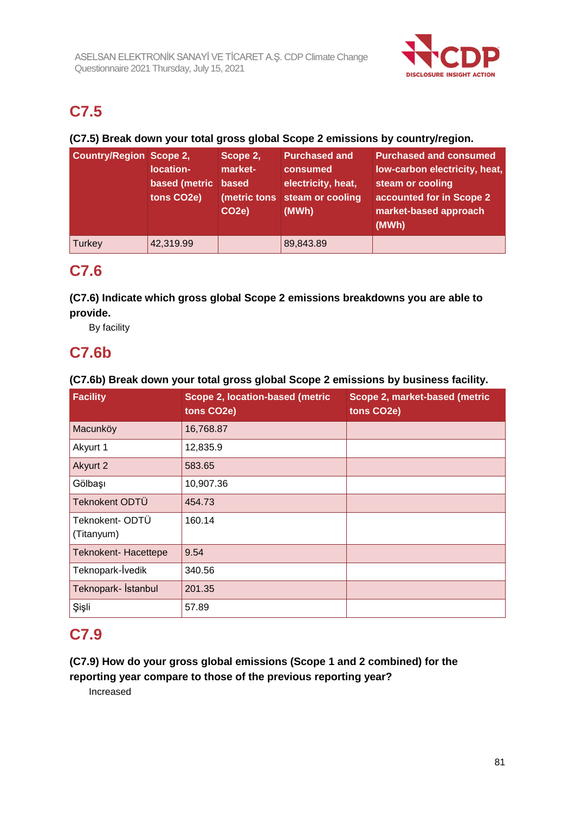

# **C7.5**

# **(C7.5) Break down your total gross global Scope 2 emissions by country/region.**

| <b>Country/Region Scope 2,</b> | location-<br>based (metric based<br>tons CO2e) | Scope 2,<br>market-<br>CO <sub>2</sub> e) | <b>Purchased and</b><br>consumed<br>electricity, heat,<br>(metric tons steam or cooling<br>(MWh) | <b>Purchased and consumed</b><br>low-carbon electricity, heat,<br>steam or cooling<br>accounted for in Scope 2<br>market-based approach<br>(MWh) |
|--------------------------------|------------------------------------------------|-------------------------------------------|--------------------------------------------------------------------------------------------------|--------------------------------------------------------------------------------------------------------------------------------------------------|
| Turkey                         | 42,319.99                                      |                                           | 89,843.89                                                                                        |                                                                                                                                                  |

# **C7.6**

**(C7.6) Indicate which gross global Scope 2 emissions breakdowns you are able to provide.**

By facility

# **C7.6b**

# **(C7.6b) Break down your total gross global Scope 2 emissions by business facility.**

| <b>Facility</b>              | Scope 2, location-based (metric<br>tons CO2e) | Scope 2, market-based (metric<br>tons CO2e) |
|------------------------------|-----------------------------------------------|---------------------------------------------|
| Macunköy                     | 16,768.87                                     |                                             |
| Akyurt 1                     | 12,835.9                                      |                                             |
| Akyurt 2                     | 583.65                                        |                                             |
| Gölbaşı                      | 10,907.36                                     |                                             |
| Teknokent ODTÜ               | 454.73                                        |                                             |
| Teknokent-ODTÜ<br>(Titanyum) | 160.14                                        |                                             |
| <b>Teknokent- Hacettepe</b>  | 9.54                                          |                                             |
| Teknopark-İvedik             | 340.56                                        |                                             |
| Teknopark- İstanbul          | 201.35                                        |                                             |
| Şişli                        | 57.89                                         |                                             |

# **C7.9**

**(C7.9) How do your gross global emissions (Scope 1 and 2 combined) for the reporting year compare to those of the previous reporting year?**

Increased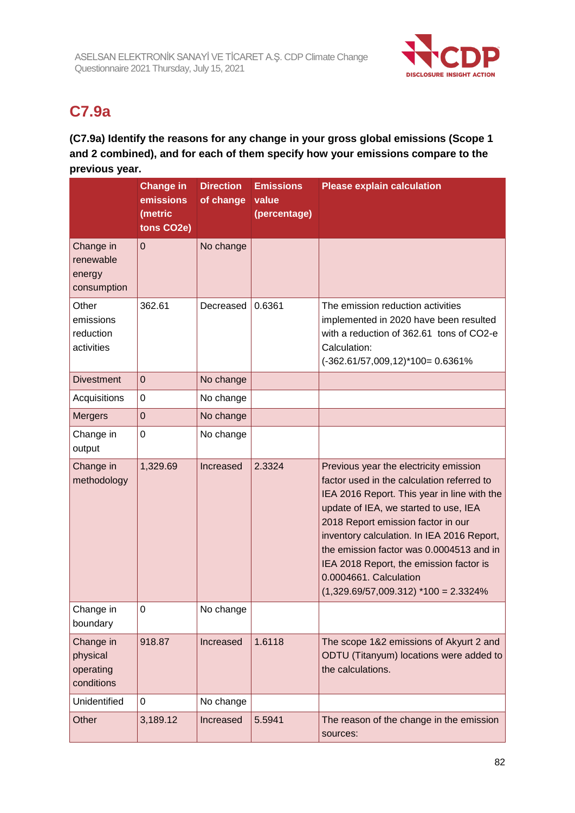

# **C7.9a**

**(C7.9a) Identify the reasons for any change in your gross global emissions (Scope 1 and 2 combined), and for each of them specify how your emissions compare to the previous year.**

|                        | <b>Change in</b> | <b>Direction</b> | <b>Emissions</b> | <b>Please explain calculation</b>                                                         |
|------------------------|------------------|------------------|------------------|-------------------------------------------------------------------------------------------|
|                        | emissions        | of change        | value            |                                                                                           |
|                        | (metric          |                  | (percentage)     |                                                                                           |
|                        | tons CO2e)       |                  |                  |                                                                                           |
| Change in<br>renewable | $\mathbf 0$      | No change        |                  |                                                                                           |
| energy                 |                  |                  |                  |                                                                                           |
| consumption            |                  |                  |                  |                                                                                           |
| Other                  | 362.61           | Decreased        | 0.6361           | The emission reduction activities                                                         |
| emissions              |                  |                  |                  | implemented in 2020 have been resulted                                                    |
| reduction              |                  |                  |                  | with a reduction of 362.61 tons of CO2-e                                                  |
| activities             |                  |                  |                  | Calculation:                                                                              |
|                        |                  |                  |                  | $(-362.61/57,009,12)*100=0.6361%$                                                         |
| <b>Divestment</b>      | $\overline{0}$   | No change        |                  |                                                                                           |
| Acquisitions           | $\mathbf 0$      | No change        |                  |                                                                                           |
| <b>Mergers</b>         | $\mathbf 0$      | No change        |                  |                                                                                           |
| Change in              | $\boldsymbol{0}$ | No change        |                  |                                                                                           |
| output                 |                  |                  |                  |                                                                                           |
| Change in              | 1,329.69         | Increased        | 2.3324           | Previous year the electricity emission                                                    |
| methodology            |                  |                  |                  | factor used in the calculation referred to<br>IEA 2016 Report. This year in line with the |
|                        |                  |                  |                  | update of IEA, we started to use, IEA                                                     |
|                        |                  |                  |                  | 2018 Report emission factor in our                                                        |
|                        |                  |                  |                  | inventory calculation. In IEA 2016 Report,                                                |
|                        |                  |                  |                  | the emission factor was 0.0004513 and in                                                  |
|                        |                  |                  |                  | IEA 2018 Report, the emission factor is                                                   |
|                        |                  |                  |                  | 0.0004661. Calculation<br>$(1,329.69/57,009.312)$ *100 = 2.3324%                          |
|                        |                  |                  |                  |                                                                                           |
| Change in<br>boundary  | 0                | No change        |                  |                                                                                           |
| Change in              | 918.87           | Increased        | 1.6118           | The scope 1&2 emissions of Akyurt 2 and                                                   |
| physical               |                  |                  |                  | ODTU (Titanyum) locations were added to                                                   |
| operating              |                  |                  |                  | the calculations.                                                                         |
| conditions             |                  |                  |                  |                                                                                           |
| Unidentified           | 0                | No change        |                  |                                                                                           |
| Other                  | 3,189.12         | Increased        | 5.5941           | The reason of the change in the emission<br>sources:                                      |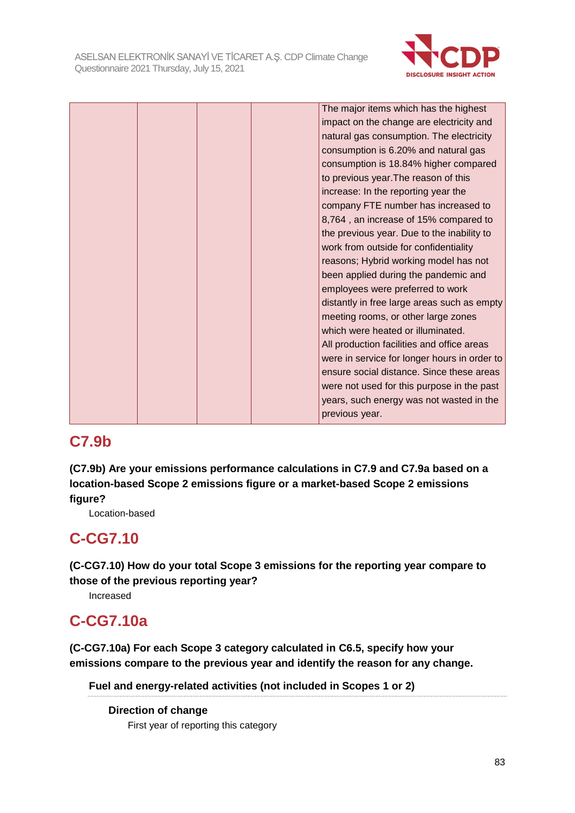

|  |  | The major items which has the highest        |
|--|--|----------------------------------------------|
|  |  | impact on the change are electricity and     |
|  |  | natural gas consumption. The electricity     |
|  |  | consumption is 6.20% and natural gas         |
|  |  | consumption is 18.84% higher compared        |
|  |  | to previous year. The reason of this         |
|  |  | increase: In the reporting year the          |
|  |  | company FTE number has increased to          |
|  |  | 8,764, an increase of 15% compared to        |
|  |  | the previous year. Due to the inability to   |
|  |  | work from outside for confidentiality        |
|  |  | reasons; Hybrid working model has not        |
|  |  | been applied during the pandemic and         |
|  |  | employees were preferred to work             |
|  |  | distantly in free large areas such as empty  |
|  |  | meeting rooms, or other large zones          |
|  |  | which were heated or illuminated.            |
|  |  | All production facilities and office areas   |
|  |  | were in service for longer hours in order to |
|  |  | ensure social distance. Since these areas    |
|  |  | were not used for this purpose in the past   |
|  |  | years, such energy was not wasted in the     |
|  |  | previous year.                               |
|  |  |                                              |

# **C7.9b**

**(C7.9b) Are your emissions performance calculations in C7.9 and C7.9a based on a location-based Scope 2 emissions figure or a market-based Scope 2 emissions figure?**

Location-based

# **C-CG7.10**

**(C-CG7.10) How do your total Scope 3 emissions for the reporting year compare to those of the previous reporting year?**

Increased

# **C-CG7.10a**

**(C-CG7.10a) For each Scope 3 category calculated in C6.5, specify how your emissions compare to the previous year and identify the reason for any change.**

**Fuel and energy-related activities (not included in Scopes 1 or 2)**

**Direction of change** First year of reporting this category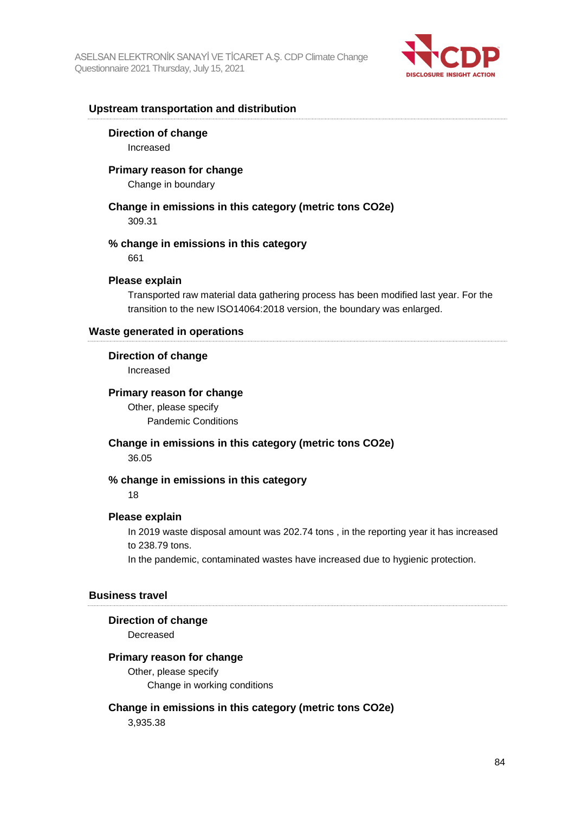

### **Upstream transportation and distribution**

#### **Direction of change**

Increased

#### **Primary reason for change**

Change in boundary

# **Change in emissions in this category (metric tons CO2e)**

309.31

# **% change in emissions in this category**

661

### **Please explain**

Transported raw material data gathering process has been modified last year. For the transition to the new ISO14064:2018 version, the boundary was enlarged.

### **Waste generated in operations**

#### **Direction of change**

Increased

#### **Primary reason for change**

Other, please specify Pandemic Conditions

**Change in emissions in this category (metric tons CO2e)** 36.05

# **% change in emissions in this category**

#### 18

#### **Please explain**

In 2019 waste disposal amount was 202.74 tons , in the reporting year it has increased to 238.79 tons.

In the pandemic, contaminated wastes have increased due to hygienic protection.

#### **Business travel**

#### **Direction of change**

Decreased

#### **Primary reason for change**

Other, please specify Change in working conditions

## **Change in emissions in this category (metric tons CO2e)**

3,935.38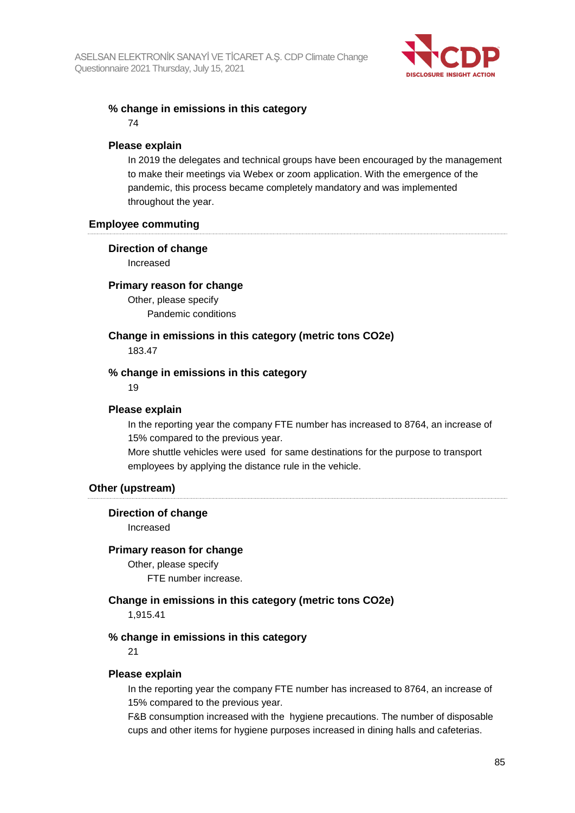

## **% change in emissions in this category**

74

# **Please explain**

In 2019 the delegates and technical groups have been encouraged by the management to make their meetings via Webex or zoom application. With the emergence of the pandemic, this process became completely mandatory and was implemented throughout the year.

#### **Employee commuting**

## **Direction of change**

Increased

## **Primary reason for change**

Other, please specify Pandemic conditions

# **Change in emissions in this category (metric tons CO2e)**

183.47

## **% change in emissions in this category**

19

### **Please explain**

In the reporting year the company FTE number has increased to 8764, an increase of 15% compared to the previous year.

More shuttle vehicles were used for same destinations for the purpose to transport employees by applying the distance rule in the vehicle.

# **Other (upstream)**

#### **Direction of change**

Increased

#### **Primary reason for change**

Other, please specify FTE number increase.

**Change in emissions in this category (metric tons CO2e)**

1,915.41

#### **% change in emissions in this category**

21

#### **Please explain**

In the reporting year the company FTE number has increased to 8764, an increase of 15% compared to the previous year.

F&B consumption increased with the hygiene precautions. The number of disposable cups and other items for hygiene purposes increased in dining halls and cafeterias.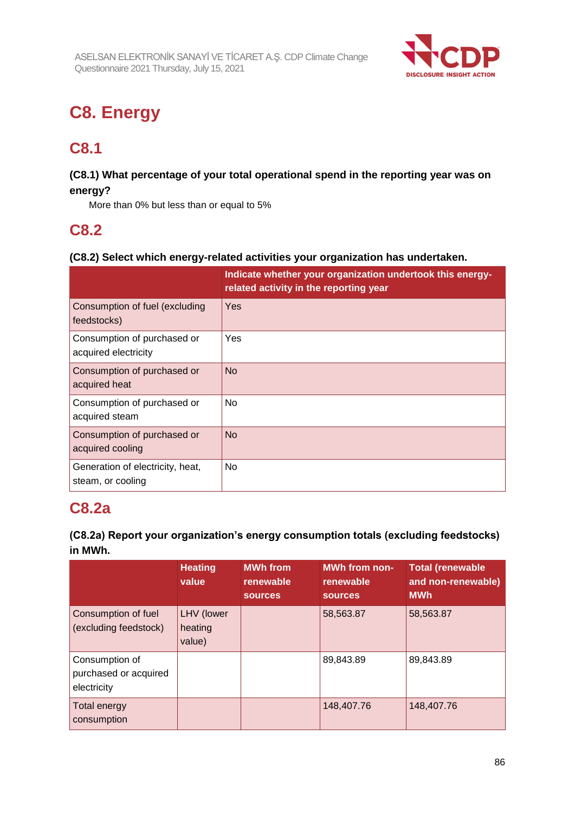

# **C8. Energy**

# **C8.1**

# **(C8.1) What percentage of your total operational spend in the reporting year was on energy?**

More than 0% but less than or equal to 5%

# **C8.2**

# **(C8.2) Select which energy-related activities your organization has undertaken.**

|                                                       | Indicate whether your organization undertook this energy-<br>related activity in the reporting year |
|-------------------------------------------------------|-----------------------------------------------------------------------------------------------------|
| Consumption of fuel (excluding<br>feedstocks)         | Yes                                                                                                 |
| Consumption of purchased or<br>acquired electricity   | Yes                                                                                                 |
| Consumption of purchased or<br>acquired heat          | <b>No</b>                                                                                           |
| Consumption of purchased or<br>acquired steam         | <b>No</b>                                                                                           |
| Consumption of purchased or<br>acquired cooling       | <b>No</b>                                                                                           |
| Generation of electricity, heat,<br>steam, or cooling | <b>No</b>                                                                                           |

# **C8.2a**

# **(C8.2a) Report your organization's energy consumption totals (excluding feedstocks) in MWh.**

|                                                        | <b>Heating</b><br>value         | <b>MWh</b> from<br>renewable<br><b>sources</b> | <b>MWh from non-</b><br>renewable<br><b>sources</b> | <b>Total (renewable</b><br>and non-renewable)<br><b>MWh</b> |
|--------------------------------------------------------|---------------------------------|------------------------------------------------|-----------------------------------------------------|-------------------------------------------------------------|
| Consumption of fuel<br>(excluding feedstock)           | LHV (lower<br>heating<br>value) |                                                | 58,563.87                                           | 58,563.87                                                   |
| Consumption of<br>purchased or acquired<br>electricity |                                 |                                                | 89,843.89                                           | 89,843.89                                                   |
| Total energy<br>consumption                            |                                 |                                                | 148,407.76                                          | 148,407.76                                                  |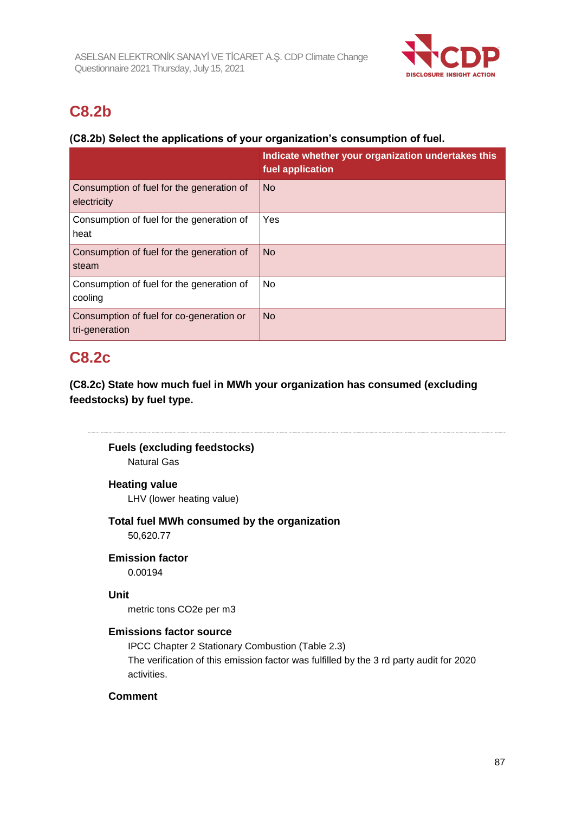

# **C8.2b**

# **(C8.2b) Select the applications of your organization's consumption of fuel.**

|                                                            | Indicate whether your organization undertakes this<br>fuel application |
|------------------------------------------------------------|------------------------------------------------------------------------|
| Consumption of fuel for the generation of<br>electricity   | <b>No</b>                                                              |
| Consumption of fuel for the generation of<br>heat          | Yes                                                                    |
| Consumption of fuel for the generation of<br>steam         | <b>No</b>                                                              |
| Consumption of fuel for the generation of<br>cooling       | No                                                                     |
| Consumption of fuel for co-generation or<br>tri-generation | <b>No</b>                                                              |

# **C8.2c**

**(C8.2c) State how much fuel in MWh your organization has consumed (excluding feedstocks) by fuel type.**

**Fuels (excluding feedstocks)**

Natural Gas

# **Heating value**

LHV (lower heating value)

# **Total fuel MWh consumed by the organization**

50,620.77

# **Emission factor**

0.00194

# **Unit**

metric tons CO2e per m3

#### **Emissions factor source**

IPCC Chapter 2 Stationary Combustion (Table 2.3) The verification of this emission factor was fulfilled by the 3 rd party audit for 2020 activities.

# **Comment**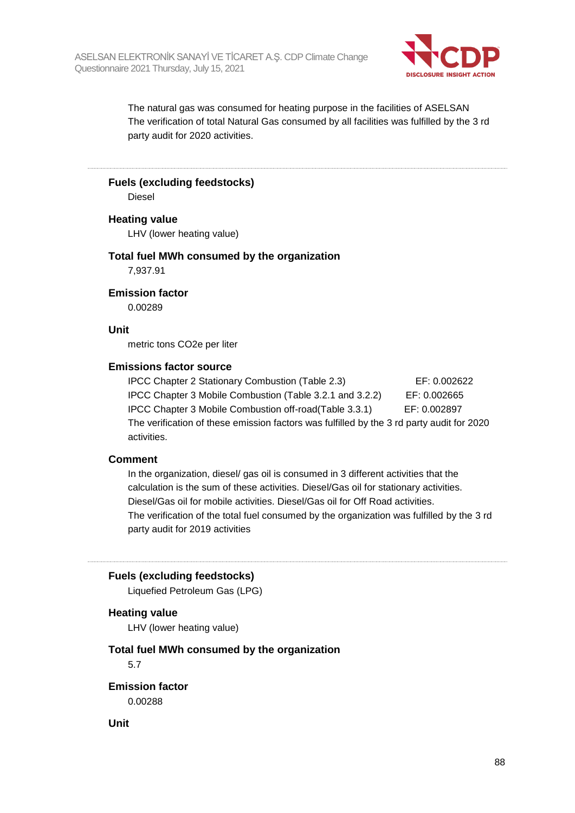

The natural gas was consumed for heating purpose in the facilities of ASELSAN The verification of total Natural Gas consumed by all facilities was fulfilled by the 3 rd party audit for 2020 activities.

**Fuels (excluding feedstocks)**

Diesel

## **Heating value**

LHV (lower heating value)

#### **Total fuel MWh consumed by the organization**

7,937.91

## **Emission factor**

0.00289

#### **Unit**

metric tons CO2e per liter

#### **Emissions factor source**

IPCC Chapter 2 Stationary Combustion (Table 2.3) EF: 0.002622 IPCC Chapter 3 Mobile Combustion (Table 3.2.1 and 3.2.2) EF: 0.002665 IPCC Chapter 3 Mobile Combustion off-road(Table 3.3.1) EF: 0.002897 The verification of these emission factors was fulfilled by the 3 rd party audit for 2020 activities.

### **Comment**

In the organization, diesel/ gas oil is consumed in 3 different activities that the calculation is the sum of these activities. Diesel/Gas oil for stationary activities. Diesel/Gas oil for mobile activities. Diesel/Gas oil for Off Road activities. The verification of the total fuel consumed by the organization was fulfilled by the 3 rd party audit for 2019 activities

#### **Fuels (excluding feedstocks)**

Liquefied Petroleum Gas (LPG)

#### **Heating value**

LHV (lower heating value)

# **Total fuel MWh consumed by the organization**

5.7

**Emission factor** 0.00288

**Unit**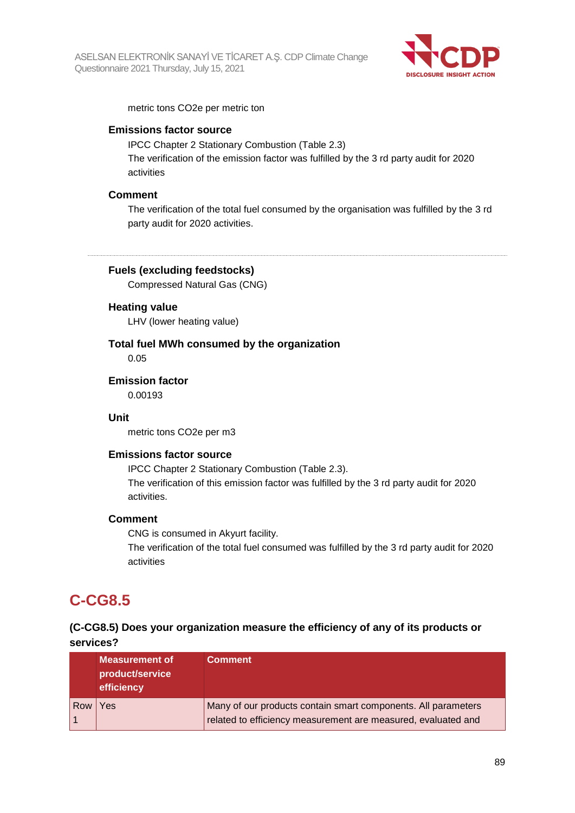

metric tons CO2e per metric ton

## **Emissions factor source**

IPCC Chapter 2 Stationary Combustion (Table 2.3) The verification of the emission factor was fulfilled by the 3 rd party audit for 2020 activities

#### **Comment**

The verification of the total fuel consumed by the organisation was fulfilled by the 3 rd party audit for 2020 activities.

## **Fuels (excluding feedstocks)**

Compressed Natural Gas (CNG)

#### **Heating value**

LHV (lower heating value)

**Total fuel MWh consumed by the organization** 0.05

**Emission factor** 0.00193

# **Unit**

metric tons CO2e per m3

#### **Emissions factor source**

IPCC Chapter 2 Stationary Combustion (Table 2.3). The verification of this emission factor was fulfilled by the 3 rd party audit for 2020 activities.

#### **Comment**

CNG is consumed in Akyurt facility.

The verification of the total fuel consumed was fulfilled by the 3 rd party audit for 2020 activities

# **C-CG8.5**

# **(C-CG8.5) Does your organization measure the efficiency of any of its products or services?**

|     | <b>Measurement of</b><br>product/service<br>efficiency | <b>Comment</b>                                                                                                                 |
|-----|--------------------------------------------------------|--------------------------------------------------------------------------------------------------------------------------------|
| Row | Yes                                                    | Many of our products contain smart components. All parameters<br>related to efficiency measurement are measured, evaluated and |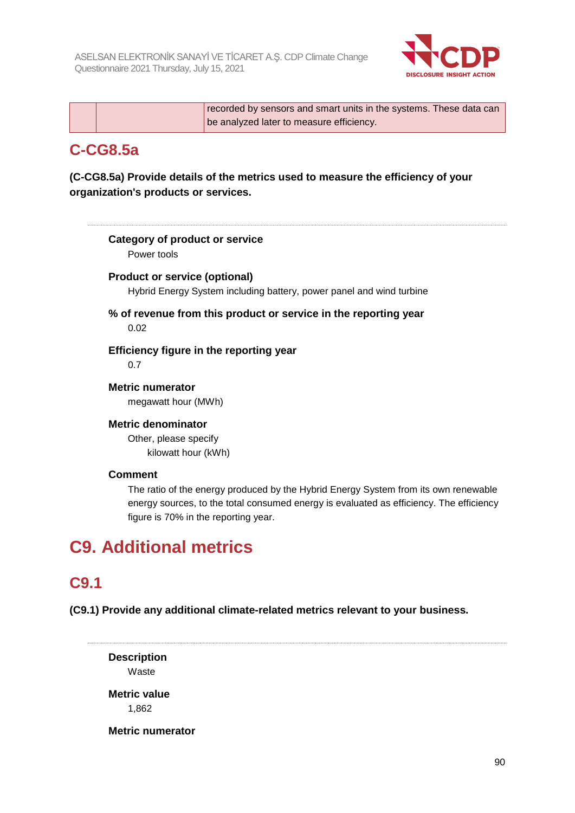

|  | recorded by sensors and smart units in the systems. These data can |
|--|--------------------------------------------------------------------|
|  | be analyzed later to measure efficiency.                           |

# **C-CG8.5a**

**(C-CG8.5a) Provide details of the metrics used to measure the efficiency of your organization's products or services.**

# **Category of product or service**

Power tools

# **Product or service (optional)**

Hybrid Energy System including battery, power panel and wind turbine

# **% of revenue from this product or service in the reporting year** 0.02

**Efficiency figure in the reporting year** 0.7

**Metric numerator** megawatt hour (MWh)

# **Metric denominator**

Other, please specify kilowatt hour (kWh)

# **Comment**

The ratio of the energy produced by the Hybrid Energy System from its own renewable energy sources, to the total consumed energy is evaluated as efficiency. The efficiency figure is 70% in the reporting year.

# **C9. Additional metrics**

# **C9.1**

**(C9.1) Provide any additional climate-related metrics relevant to your business.**

**Description** Waste **Metric value** 1,862

**Metric numerator**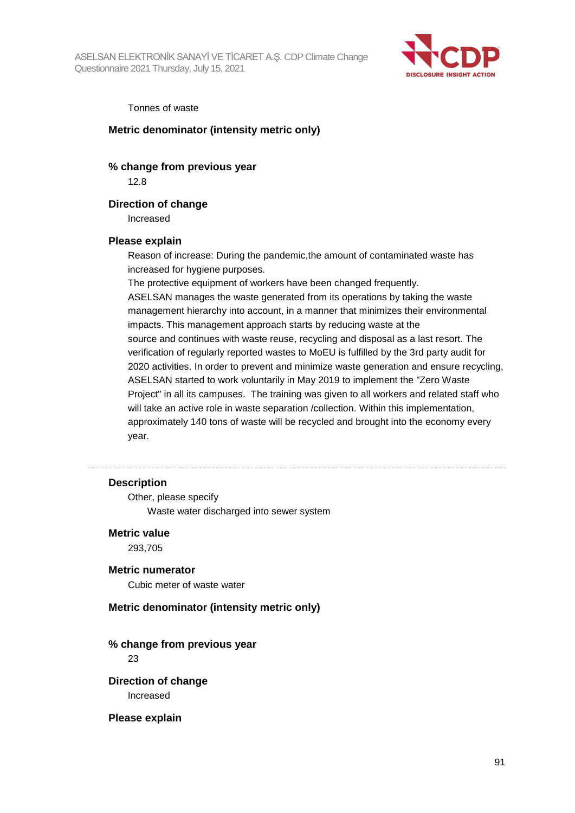

#### Tonnes of waste

#### **Metric denominator (intensity metric only)**

### **% change from previous year**

12.8

### **Direction of change**

Increased

#### **Please explain**

Reason of increase: During the pandemic,the amount of contaminated waste has increased for hygiene purposes.

The protective equipment of workers have been changed frequently.

ASELSAN manages the waste generated from its operations by taking the waste management hierarchy into account, in a manner that minimizes their environmental impacts. This management approach starts by reducing waste at the source and continues with waste reuse, recycling and disposal as a last resort. The verification of regularly reported wastes to MoEU is fulfilled by the 3rd party audit for 2020 activities. In order to prevent and minimize waste generation and ensure recycling, ASELSAN started to work voluntarily in May 2019 to implement the "Zero Waste Project" in all its campuses. The training was given to all workers and related staff who will take an active role in waste separation /collection. Within this implementation, approximately 140 tons of waste will be recycled and brought into the economy every year.

#### **Description**

Other, please specify Waste water discharged into sewer system

#### **Metric value**

293,705

### **Metric numerator**

Cubic meter of waste water

### **Metric denominator (intensity metric only)**

**% change from previous year**

23

**Direction of change** Increased

#### **Please explain**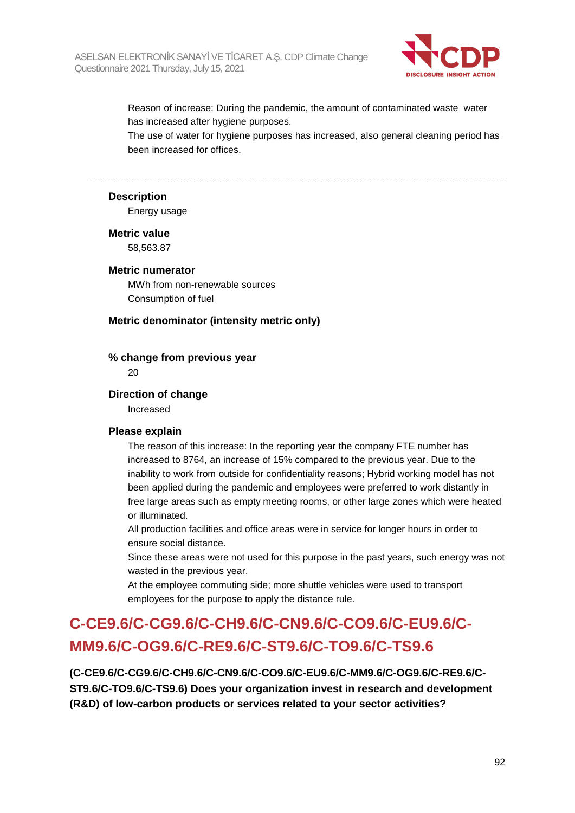

Reason of increase: During the pandemic, the amount of contaminated waste water has increased after hygiene purposes.

The use of water for hygiene purposes has increased, also general cleaning period has been increased for offices.

### **Description**

Energy usage

#### **Metric value**

58,563.87

### **Metric numerator**

MWh from non-renewable sources Consumption of fuel

#### **Metric denominator (intensity metric only)**

#### **% change from previous year**

20

#### **Direction of change**

Increased

#### **Please explain**

The reason of this increase: In the reporting year the company FTE number has increased to 8764, an increase of 15% compared to the previous year. Due to the inability to work from outside for confidentiality reasons; Hybrid working model has not been applied during the pandemic and employees were preferred to work distantly in free large areas such as empty meeting rooms, or other large zones which were heated or illuminated.

All production facilities and office areas were in service for longer hours in order to ensure social distance.

Since these areas were not used for this purpose in the past years, such energy was not wasted in the previous year.

At the employee commuting side; more shuttle vehicles were used to transport employees for the purpose to apply the distance rule.

# **C-CE9.6/C-CG9.6/C-CH9.6/C-CN9.6/C-CO9.6/C-EU9.6/C-MM9.6/C-OG9.6/C-RE9.6/C-ST9.6/C-TO9.6/C-TS9.6**

**(C-CE9.6/C-CG9.6/C-CH9.6/C-CN9.6/C-CO9.6/C-EU9.6/C-MM9.6/C-OG9.6/C-RE9.6/C-ST9.6/C-TO9.6/C-TS9.6) Does your organization invest in research and development (R&D) of low-carbon products or services related to your sector activities?**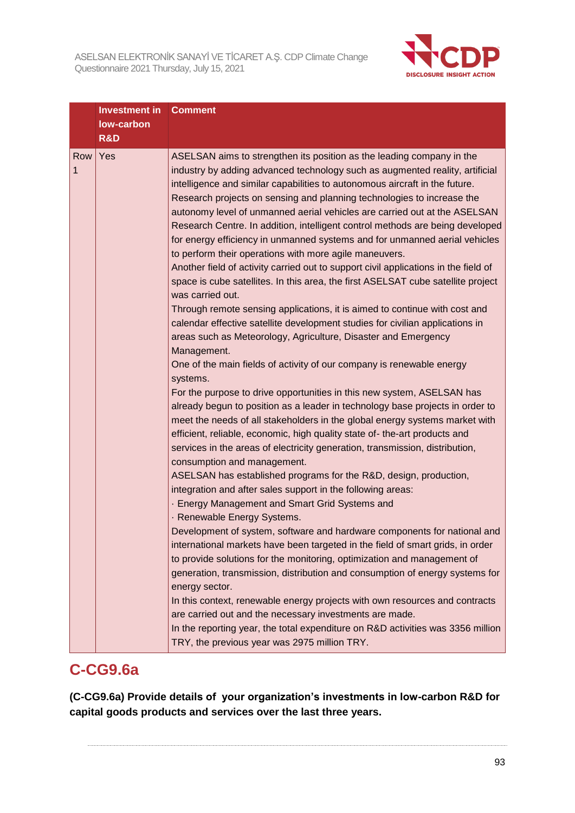

|          | Investment in<br>low-carbon<br><b>R&amp;D</b> | <b>Comment</b>                                                                                                                                                                                                                                                                                                                                                                                                                                                                                                                                                                                                                                                                                                                                                                                                                                                                                                                                                                                                                                                                                                                                                                                                                                                                                                                                                                                                                                                                                                                                                                                                                                                                                                                                                                                                                                                                                                                                                                                                                                                                                                                                                                                                                                                                                                                                                                              |
|----------|-----------------------------------------------|---------------------------------------------------------------------------------------------------------------------------------------------------------------------------------------------------------------------------------------------------------------------------------------------------------------------------------------------------------------------------------------------------------------------------------------------------------------------------------------------------------------------------------------------------------------------------------------------------------------------------------------------------------------------------------------------------------------------------------------------------------------------------------------------------------------------------------------------------------------------------------------------------------------------------------------------------------------------------------------------------------------------------------------------------------------------------------------------------------------------------------------------------------------------------------------------------------------------------------------------------------------------------------------------------------------------------------------------------------------------------------------------------------------------------------------------------------------------------------------------------------------------------------------------------------------------------------------------------------------------------------------------------------------------------------------------------------------------------------------------------------------------------------------------------------------------------------------------------------------------------------------------------------------------------------------------------------------------------------------------------------------------------------------------------------------------------------------------------------------------------------------------------------------------------------------------------------------------------------------------------------------------------------------------------------------------------------------------------------------------------------------------|
| Row<br>1 | Yes                                           | ASELSAN aims to strengthen its position as the leading company in the<br>industry by adding advanced technology such as augmented reality, artificial<br>intelligence and similar capabilities to autonomous aircraft in the future.<br>Research projects on sensing and planning technologies to increase the<br>autonomy level of unmanned aerial vehicles are carried out at the ASELSAN<br>Research Centre. In addition, intelligent control methods are being developed<br>for energy efficiency in unmanned systems and for unmanned aerial vehicles<br>to perform their operations with more agile maneuvers.<br>Another field of activity carried out to support civil applications in the field of<br>space is cube satellites. In this area, the first ASELSAT cube satellite project<br>was carried out.<br>Through remote sensing applications, it is aimed to continue with cost and<br>calendar effective satellite development studies for civilian applications in<br>areas such as Meteorology, Agriculture, Disaster and Emergency<br>Management.<br>One of the main fields of activity of our company is renewable energy<br>systems.<br>For the purpose to drive opportunities in this new system, ASELSAN has<br>already begun to position as a leader in technology base projects in order to<br>meet the needs of all stakeholders in the global energy systems market with<br>efficient, reliable, economic, high quality state of-the-art products and<br>services in the areas of electricity generation, transmission, distribution,<br>consumption and management.<br>ASELSAN has established programs for the R&D, design, production,<br>integration and after sales support in the following areas:<br>- Energy Management and Smart Grid Systems and<br>· Renewable Energy Systems.<br>Development of system, software and hardware components for national and<br>international markets have been targeted in the field of smart grids, in order<br>to provide solutions for the monitoring, optimization and management of<br>generation, transmission, distribution and consumption of energy systems for<br>energy sector.<br>In this context, renewable energy projects with own resources and contracts<br>are carried out and the necessary investments are made.<br>In the reporting year, the total expenditure on R&D activities was 3356 million |

# **C-CG9.6a**

**(C-CG9.6a) Provide details of your organization's investments in low-carbon R&D for capital goods products and services over the last three years.**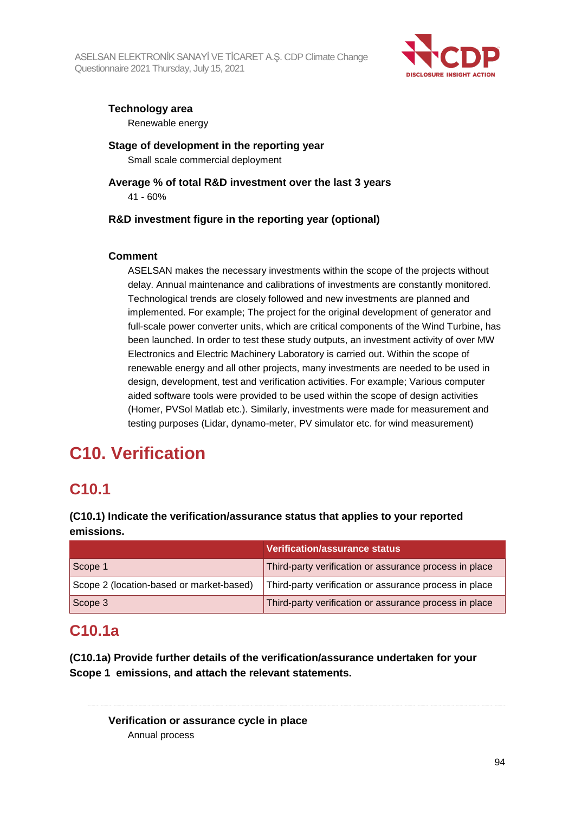

# **Technology area**

Renewable energy

**Stage of development in the reporting year** Small scale commercial deployment

**Average % of total R&D investment over the last 3 years** 41 - 60%

# **R&D investment figure in the reporting year (optional)**

# **Comment**

ASELSAN makes the necessary investments within the scope of the projects without delay. Annual maintenance and calibrations of investments are constantly monitored. Technological trends are closely followed and new investments are planned and implemented. For example; The project for the original development of generator and full-scale power converter units, which are critical components of the Wind Turbine, has been launched. In order to test these study outputs, an investment activity of over MW Electronics and Electric Machinery Laboratory is carried out. Within the scope of renewable energy and all other projects, many investments are needed to be used in design, development, test and verification activities. For example; Various computer aided software tools were provided to be used within the scope of design activities (Homer, PVSol Matlab etc.). Similarly, investments were made for measurement and testing purposes (Lidar, dynamo-meter, PV simulator etc. for wind measurement)

# **C10. Verification**

# **C10.1**

**(C10.1) Indicate the verification/assurance status that applies to your reported emissions.**

|                                          | Verification/assurance status                          |
|------------------------------------------|--------------------------------------------------------|
| Scope 1                                  | Third-party verification or assurance process in place |
| Scope 2 (location-based or market-based) | Third-party verification or assurance process in place |
| Scope 3                                  | Third-party verification or assurance process in place |

# **C10.1a**

**(C10.1a) Provide further details of the verification/assurance undertaken for your Scope 1 emissions, and attach the relevant statements.**

**Verification or assurance cycle in place** Annual process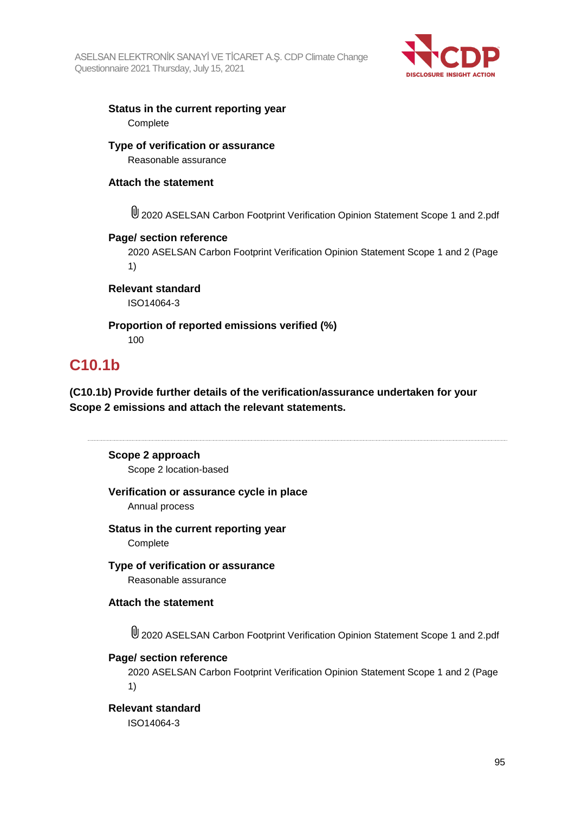

# **Status in the current reporting year Complete**

**Type of verification or assurance** Reasonable assurance

# **Attach the statement**

2020 ASELSAN Carbon Footprint Verification Opinion Statement Scope 1 and 2.pdf

# **Page/ section reference**

2020 ASELSAN Carbon Footprint Verification Opinion Statement Scope 1 and 2 (Page 1)

**Relevant standard** ISO14064-3

# **Proportion of reported emissions verified (%)** 100

# **C10.1b**

**(C10.1b) Provide further details of the verification/assurance undertaken for your Scope 2 emissions and attach the relevant statements.**

# **Scope 2 approach**

Scope 2 location-based

# **Verification or assurance cycle in place**

Annual process

# **Status in the current reporting year**

**Complete** 

**Type of verification or assurance** Reasonable assurance

# **Attach the statement**

2020 ASELSAN Carbon Footprint Verification Opinion Statement Scope 1 and 2.pdf

# **Page/ section reference**

2020 ASELSAN Carbon Footprint Verification Opinion Statement Scope 1 and 2 (Page 1)

# **Relevant standard**

ISO14064-3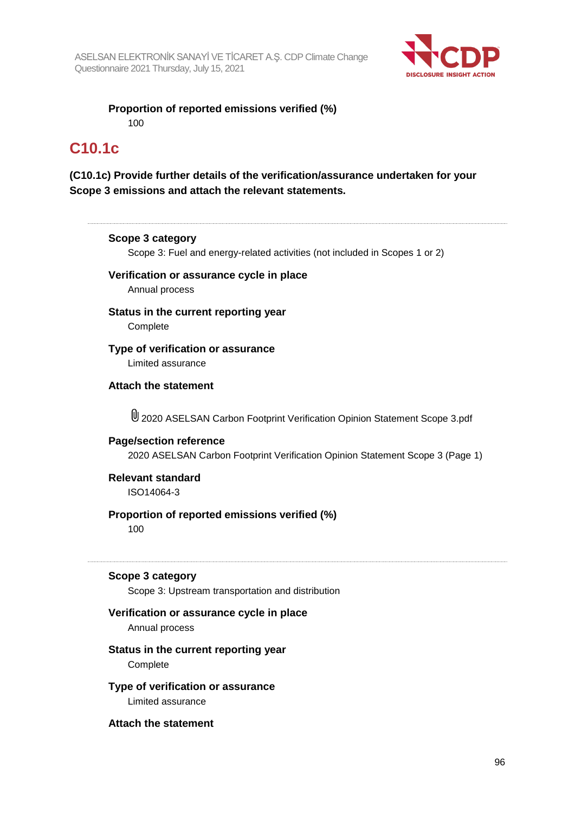

**Proportion of reported emissions verified (%)** 100

# **C10.1c**

# **(C10.1c) Provide further details of the verification/assurance undertaken for your Scope 3 emissions and attach the relevant statements.**

## **Scope 3 category**

Scope 3: Fuel and energy-related activities (not included in Scopes 1 or 2)

# **Verification or assurance cycle in place** Annual process

# **Status in the current reporting year Complete**

**Type of verification or assurance**

Limited assurance

# **Attach the statement**

2020 ASELSAN Carbon Footprint Verification Opinion Statement Scope 3.pdf

# **Page/section reference** 2020 ASELSAN Carbon Footprint Verification Opinion Statement Scope 3 (Page 1)

# **Relevant standard** ISO14064-3

# **Proportion of reported emissions verified (%)** 100

## **Scope 3 category**

Scope 3: Upstream transportation and distribution

# **Verification or assurance cycle in place**

Annual process

### **Status in the current reporting year Complete**

## **Type of verification or assurance** Limited assurance

**Attach the statement**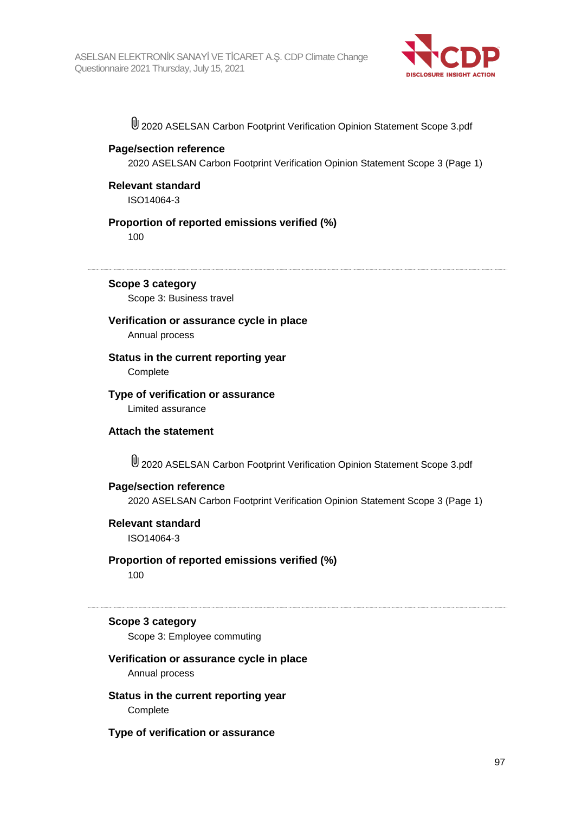

2020 ASELSAN Carbon Footprint Verification Opinion Statement Scope 3.pdf

## **Page/section reference**

2020 ASELSAN Carbon Footprint Verification Opinion Statement Scope 3 (Page 1)

**Relevant standard** ISO14064-3

## **Proportion of reported emissions verified (%)**

100

**Scope 3 category** Scope 3: Business travel

# **Verification or assurance cycle in place**

Annual process

# **Status in the current reporting year**

**Complete** 

## **Type of verification or assurance** Limited assurance

**Attach the statement**

2020 ASELSAN Carbon Footprint Verification Opinion Statement Scope 3.pdf

# **Page/section reference**

2020 ASELSAN Carbon Footprint Verification Opinion Statement Scope 3 (Page 1)

# **Relevant standard**

ISO14064-3

# **Proportion of reported emissions verified (%)**

100

#### **Scope 3 category**

Scope 3: Employee commuting

# **Verification or assurance cycle in place**

Annual process

**Status in the current reporting year Complete** 

**Type of verification or assurance**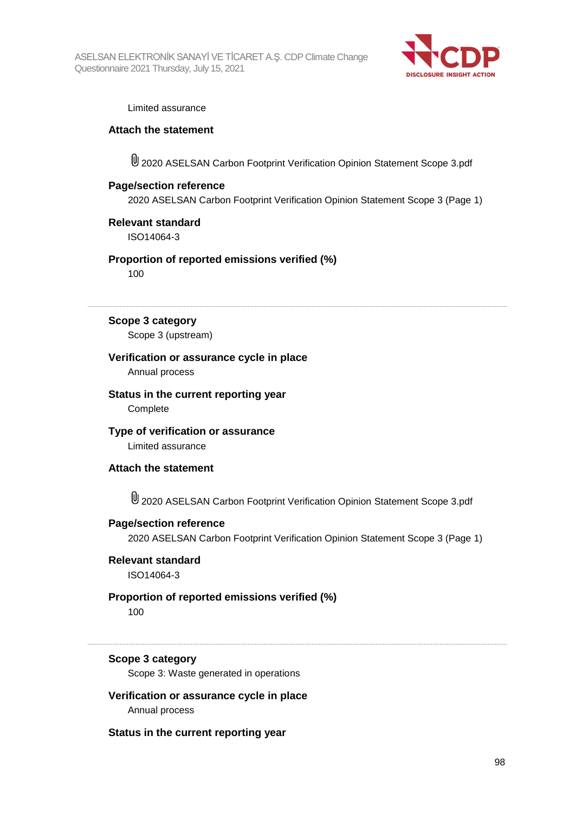

#### Limited assurance

### **Attach the statement**

2020 ASELSAN Carbon Footprint Verification Opinion Statement Scope 3.pdf

### **Page/section reference**

2020 ASELSAN Carbon Footprint Verification Opinion Statement Scope 3 (Page 1)

## **Relevant standard**

ISO14064-3

## **Proportion of reported emissions verified (%)**

100

#### **Scope 3 category**

Scope 3 (upstream)

## **Verification or assurance cycle in place**

Annual process

# **Status in the current reporting year**

**Complete** 

# **Type of verification or assurance**

Limited assurance

#### **Attach the statement**

2020 ASELSAN Carbon Footprint Verification Opinion Statement Scope 3.pdf

#### **Page/section reference**

2020 ASELSAN Carbon Footprint Verification Opinion Statement Scope 3 (Page 1)

#### **Relevant standard**

ISO14064-3

# **Proportion of reported emissions verified (%)**

100

### **Scope 3 category**

Scope 3: Waste generated in operations

**Verification or assurance cycle in place** Annual process

#### **Status in the current reporting year**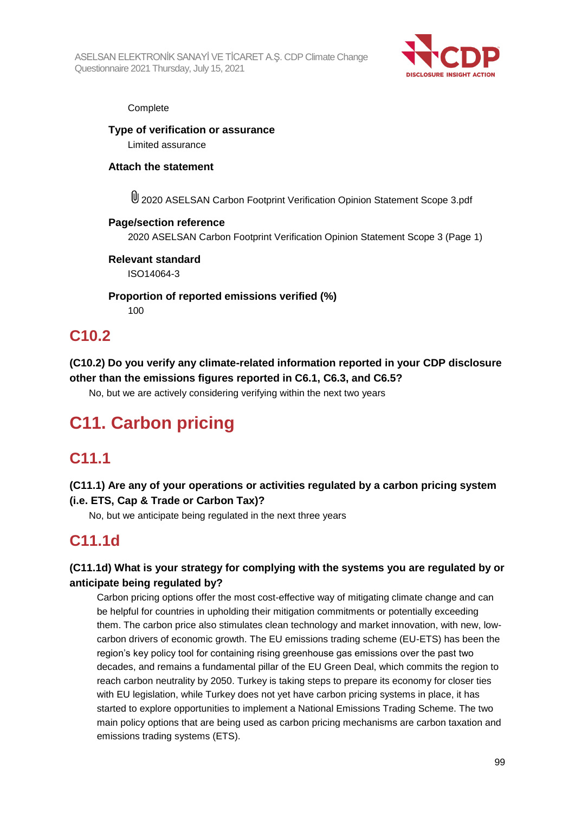

### **Complete**

**Type of verification or assurance** Limited assurance

# **Attach the statement**

2020 ASELSAN Carbon Footprint Verification Opinion Statement Scope 3.pdf

# **Page/section reference**

2020 ASELSAN Carbon Footprint Verification Opinion Statement Scope 3 (Page 1)

# **Relevant standard**

ISO14064-3

# **Proportion of reported emissions verified (%)**

100

# **C10.2**

**(C10.2) Do you verify any climate-related information reported in your CDP disclosure other than the emissions figures reported in C6.1, C6.3, and C6.5?**

No, but we are actively considering verifying within the next two years

# **C11. Carbon pricing**

# **C11.1**

# **(C11.1) Are any of your operations or activities regulated by a carbon pricing system (i.e. ETS, Cap & Trade or Carbon Tax)?**

No, but we anticipate being regulated in the next three years

# **C11.1d**

# **(C11.1d) What is your strategy for complying with the systems you are regulated by or anticipate being regulated by?**

Carbon pricing options offer the most cost-effective way of mitigating climate change and can be helpful for countries in upholding their mitigation commitments or potentially exceeding them. The carbon price also stimulates clean technology and market innovation, with new, lowcarbon drivers of economic growth. The EU emissions trading scheme (EU-ETS) has been the region's key policy tool for containing rising greenhouse gas emissions over the past two decades, and remains a fundamental pillar of the EU Green Deal, which commits the region to reach carbon neutrality by 2050. Turkey is taking steps to prepare its economy for closer ties with EU legislation, while Turkey does not yet have carbon pricing systems in place, it has started to explore opportunities to implement a National Emissions Trading Scheme. The two main policy options that are being used as carbon pricing mechanisms are carbon taxation and emissions trading systems (ETS).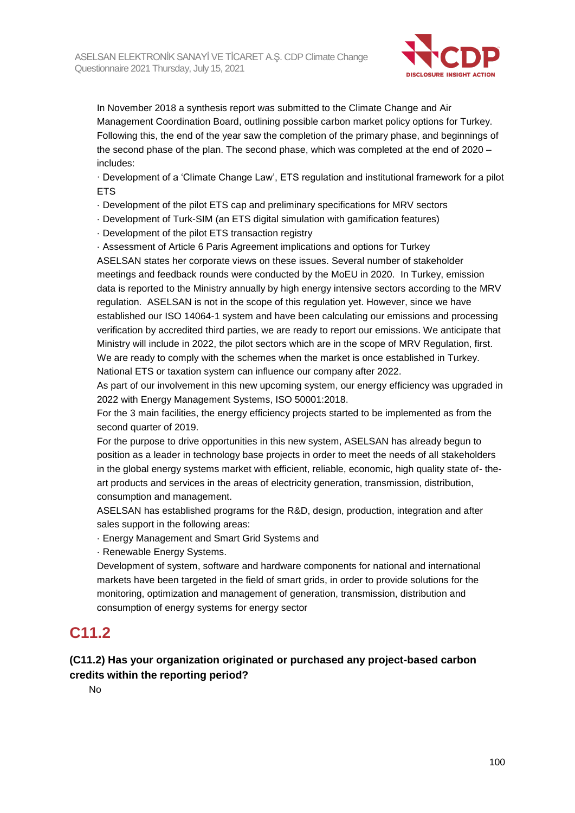

In November 2018 a synthesis report was submitted to the Climate Change and Air Management Coordination Board, outlining possible carbon market policy options for Turkey. Following this, the end of the year saw the completion of the primary phase, and beginnings of the second phase of the plan. The second phase, which was completed at the end of 2020 – includes:

· Development of a 'Climate Change Law', ETS regulation and institutional framework for a pilot **ETS** 

- · Development of the pilot ETS cap and preliminary specifications for MRV sectors
- · Development of Turk-SIM (an ETS digital simulation with gamification features)
- · Development of the pilot ETS transaction registry
- · Assessment of Article 6 Paris Agreement implications and options for Turkey

ASELSAN states her corporate views on these issues. Several number of stakeholder meetings and feedback rounds were conducted by the MoEU in 2020. In Turkey, emission data is reported to the Ministry annually by high energy intensive sectors according to the MRV regulation. ASELSAN is not in the scope of this regulation yet. However, since we have established our ISO 14064-1 system and have been calculating our emissions and processing verification by accredited third parties, we are ready to report our emissions. We anticipate that Ministry will include in 2022, the pilot sectors which are in the scope of MRV Regulation, first. We are ready to comply with the schemes when the market is once established in Turkey. National ETS or taxation system can influence our company after 2022.

As part of our involvement in this new upcoming system, our energy efficiency was upgraded in 2022 with Energy Management Systems, ISO 50001:2018.

For the 3 main facilities, the energy efficiency projects started to be implemented as from the second quarter of 2019.

For the purpose to drive opportunities in this new system, ASELSAN has already begun to position as a leader in technology base projects in order to meet the needs of all stakeholders in the global energy systems market with efficient, reliable, economic, high quality state of- theart products and services in the areas of electricity generation, transmission, distribution, consumption and management.

ASELSAN has established programs for the R&D, design, production, integration and after sales support in the following areas:

· Energy Management and Smart Grid Systems and

· Renewable Energy Systems.

Development of system, software and hardware components for national and international markets have been targeted in the field of smart grids, in order to provide solutions for the monitoring, optimization and management of generation, transmission, distribution and consumption of energy systems for energy sector

# **C11.2**

# **(C11.2) Has your organization originated or purchased any project-based carbon credits within the reporting period?**

No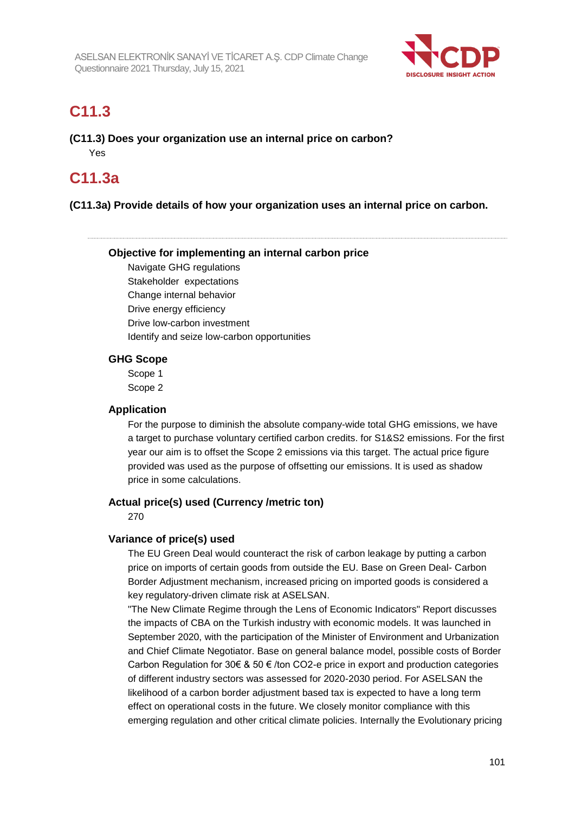

# **C11.3**

**(C11.3) Does your organization use an internal price on carbon?** Yes

# **C11.3a**

# **(C11.3a) Provide details of how your organization uses an internal price on carbon.**

## **Objective for implementing an internal carbon price**

Navigate GHG regulations Stakeholder expectations Change internal behavior Drive energy efficiency Drive low-carbon investment Identify and seize low-carbon opportunities

# **GHG Scope**

Scope 1 Scope 2

### **Application**

For the purpose to diminish the absolute company-wide total GHG emissions, we have a target to purchase voluntary certified carbon credits. for S1&S2 emissions. For the first year our aim is to offset the Scope 2 emissions via this target. The actual price figure provided was used as the purpose of offsetting our emissions. It is used as shadow price in some calculations.

# **Actual price(s) used (Currency /metric ton)**

270

# **Variance of price(s) used**

The EU Green Deal would counteract the risk of carbon leakage by putting a carbon price on imports of certain goods from outside the EU. Base on Green Deal- Carbon Border Adjustment mechanism, increased pricing on imported goods is considered a key regulatory-driven climate risk at ASELSAN.

"The New Climate Regime through the Lens of Economic Indicators" Report discusses the impacts of CBA on the Turkish industry with economic models. It was launched in September 2020, with the participation of the Minister of Environment and Urbanization and Chief Climate Negotiator. Base on general balance model, possible costs of Border Carbon Regulation for 30€ & 50 € /ton CO2-e price in export and production categories of different industry sectors was assessed for 2020-2030 period. For ASELSAN the likelihood of a carbon border adjustment based tax is expected to have a long term effect on operational costs in the future. We closely monitor compliance with this emerging regulation and other critical climate policies. Internally the Evolutionary pricing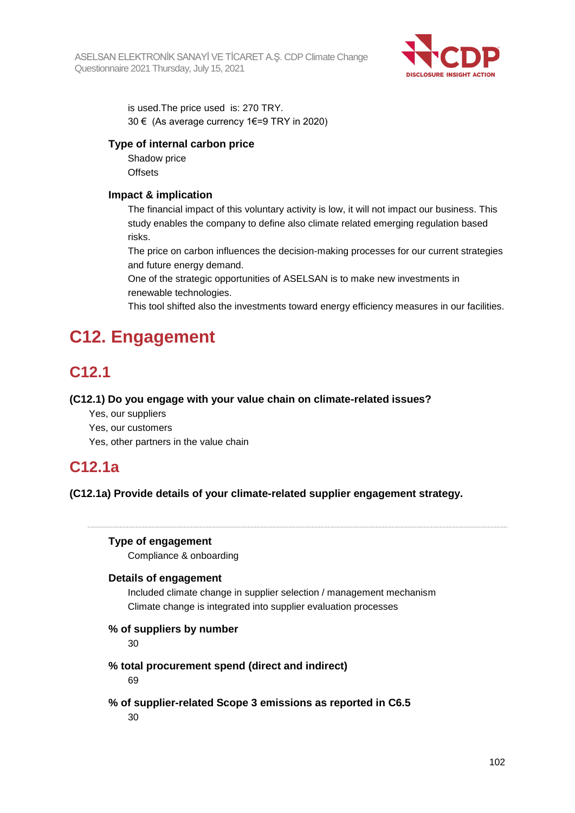

is used.The price used is: 270 TRY. 30 € (As average currency 1€=9 TRY in 2020)

# **Type of internal carbon price**

Shadow price **Offsets** 

# **Impact & implication**

The financial impact of this voluntary activity is low, it will not impact our business. This study enables the company to define also climate related emerging regulation based risks.

The price on carbon influences the decision-making processes for our current strategies and future energy demand.

One of the strategic opportunities of ASELSAN is to make new investments in renewable technologies.

This tool shifted also the investments toward energy efficiency measures in our facilities.

# **C12. Engagement**

# **C12.1**

# **(C12.1) Do you engage with your value chain on climate-related issues?**

- Yes, our suppliers
- Yes, our customers
- Yes, other partners in the value chain

# **C12.1a**

**(C12.1a) Provide details of your climate-related supplier engagement strategy.**

# **Type of engagement**

Compliance & onboarding

# **Details of engagement**

Included climate change in supplier selection / management mechanism Climate change is integrated into supplier evaluation processes

# **% of suppliers by number**

30

# **% total procurement spend (direct and indirect)**

69

# **% of supplier-related Scope 3 emissions as reported in C6.5**

30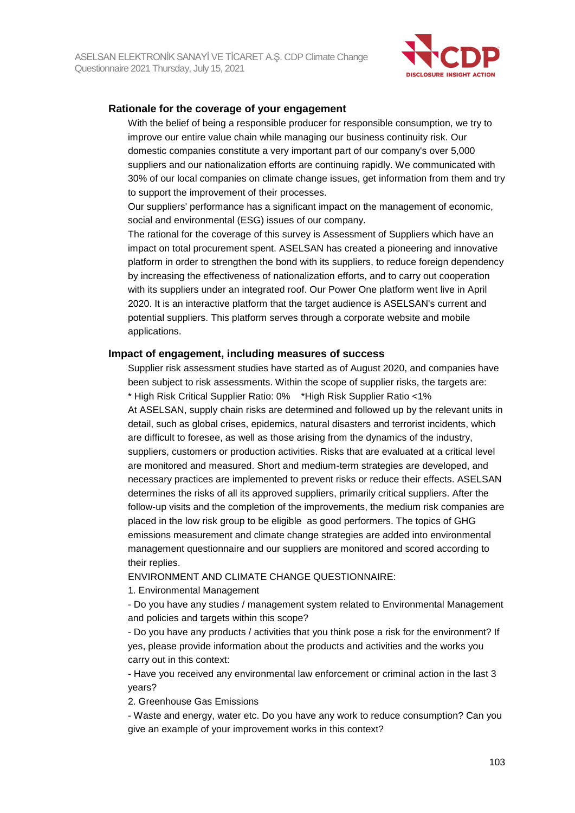

# **Rationale for the coverage of your engagement**

With the belief of being a responsible producer for responsible consumption, we try to improve our entire value chain while managing our business continuity risk. Our domestic companies constitute a very important part of our company's over 5,000 suppliers and our nationalization efforts are continuing rapidly. We communicated with 30% of our local companies on climate change issues, get information from them and try to support the improvement of their processes.

Our suppliers' performance has a significant impact on the management of economic, social and environmental (ESG) issues of our company.

The rational for the coverage of this survey is Assessment of Suppliers which have an impact on total procurement spent. ASELSAN has created a pioneering and innovative platform in order to strengthen the bond with its suppliers, to reduce foreign dependency by increasing the effectiveness of nationalization efforts, and to carry out cooperation with its suppliers under an integrated roof. Our Power One platform went live in April 2020. It is an interactive platform that the target audience is ASELSAN's current and potential suppliers. This platform serves through a corporate website and mobile applications.

#### **Impact of engagement, including measures of success**

Supplier risk assessment studies have started as of August 2020, and companies have been subject to risk assessments. Within the scope of supplier risks, the targets are: \* High Risk Critical Supplier Ratio: 0% \*High Risk Supplier Ratio <1% At ASELSAN, supply chain risks are determined and followed up by the relevant units in detail, such as global crises, epidemics, natural disasters and terrorist incidents, which are difficult to foresee, as well as those arising from the dynamics of the industry, suppliers, customers or production activities. Risks that are evaluated at a critical level are monitored and measured. Short and medium-term strategies are developed, and necessary practices are implemented to prevent risks or reduce their effects. ASELSAN determines the risks of all its approved suppliers, primarily critical suppliers. After the follow-up visits and the completion of the improvements, the medium risk companies are placed in the low risk group to be eligible as good performers. The topics of GHG emissions measurement and climate change strategies are added into environmental management questionnaire and our suppliers are monitored and scored according to their replies.

ENVIRONMENT AND CLIMATE CHANGE QUESTIONNAIRE:

1. Environmental Management

- Do you have any studies / management system related to Environmental Management and policies and targets within this scope?

- Do you have any products / activities that you think pose a risk for the environment? If yes, please provide information about the products and activities and the works you carry out in this context:

- Have you received any environmental law enforcement or criminal action in the last 3 years?

2. Greenhouse Gas Emissions

- Waste and energy, water etc. Do you have any work to reduce consumption? Can you give an example of your improvement works in this context?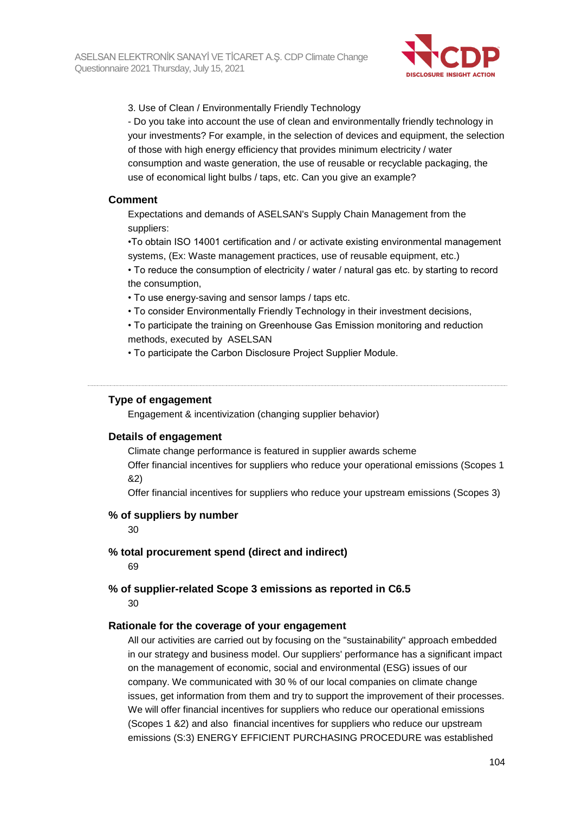

3. Use of Clean / Environmentally Friendly Technology

- Do you take into account the use of clean and environmentally friendly technology in your investments? For example, in the selection of devices and equipment, the selection of those with high energy efficiency that provides minimum electricity / water consumption and waste generation, the use of reusable or recyclable packaging, the use of economical light bulbs / taps, etc. Can you give an example?

#### **Comment**

Expectations and demands of ASELSAN's Supply Chain Management from the suppliers:

•To obtain ISO 14001 certification and / or activate existing environmental management systems, (Ex: Waste management practices, use of reusable equipment, etc.)

• To reduce the consumption of electricity / water / natural gas etc. by starting to record the consumption,

- To use energy-saving and sensor lamps / taps etc.
- To consider Environmentally Friendly Technology in their investment decisions,

• To participate the training on Greenhouse Gas Emission monitoring and reduction methods, executed by ASELSAN

• To participate the Carbon Disclosure Project Supplier Module.

#### **Type of engagement**

Engagement & incentivization (changing supplier behavior)

#### **Details of engagement**

Climate change performance is featured in supplier awards scheme

Offer financial incentives for suppliers who reduce your operational emissions (Scopes 1 &2)

Offer financial incentives for suppliers who reduce your upstream emissions (Scopes 3)

### **% of suppliers by number**

30

#### **% total procurement spend (direct and indirect)**

69

#### **% of supplier-related Scope 3 emissions as reported in C6.5** 30

### **Rationale for the coverage of your engagement**

All our activities are carried out by focusing on the "sustainability" approach embedded in our strategy and business model. Our suppliers' performance has a significant impact on the management of economic, social and environmental (ESG) issues of our company. We communicated with 30 % of our local companies on climate change issues, get information from them and try to support the improvement of their processes. We will offer financial incentives for suppliers who reduce our operational emissions (Scopes 1 &2) and also financial incentives for suppliers who reduce our upstream emissions (S:3) ENERGY EFFICIENT PURCHASING PROCEDURE was established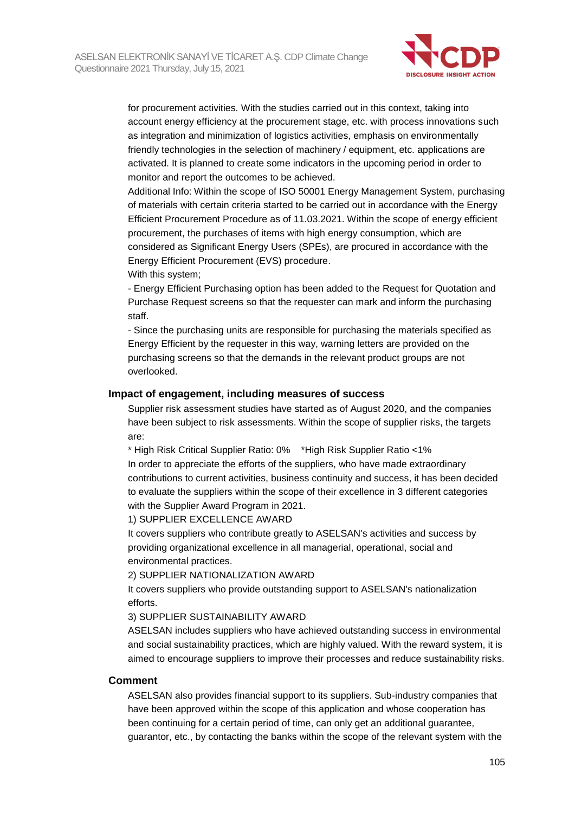

for procurement activities. With the studies carried out in this context, taking into account energy efficiency at the procurement stage, etc. with process innovations such as integration and minimization of logistics activities, emphasis on environmentally friendly technologies in the selection of machinery / equipment, etc. applications are activated. It is planned to create some indicators in the upcoming period in order to monitor and report the outcomes to be achieved.

Additional Info: Within the scope of ISO 50001 Energy Management System, purchasing of materials with certain criteria started to be carried out in accordance with the Energy Efficient Procurement Procedure as of 11.03.2021. Within the scope of energy efficient procurement, the purchases of items with high energy consumption, which are considered as Significant Energy Users (SPEs), are procured in accordance with the Energy Efficient Procurement (EVS) procedure.

With this system;

- Energy Efficient Purchasing option has been added to the Request for Quotation and Purchase Request screens so that the requester can mark and inform the purchasing staff.

- Since the purchasing units are responsible for purchasing the materials specified as Energy Efficient by the requester in this way, warning letters are provided on the purchasing screens so that the demands in the relevant product groups are not overlooked.

## **Impact of engagement, including measures of success**

Supplier risk assessment studies have started as of August 2020, and the companies have been subject to risk assessments. Within the scope of supplier risks, the targets are:

\* High Risk Critical Supplier Ratio: 0% \*High Risk Supplier Ratio <1%

In order to appreciate the efforts of the suppliers, who have made extraordinary contributions to current activities, business continuity and success, it has been decided to evaluate the suppliers within the scope of their excellence in 3 different categories with the Supplier Award Program in 2021.

1) SUPPLIER EXCELLENCE AWARD

It covers suppliers who contribute greatly to ASELSAN's activities and success by providing organizational excellence in all managerial, operational, social and environmental practices.

2) SUPPLIER NATIONALIZATION AWARD

It covers suppliers who provide outstanding support to ASELSAN's nationalization efforts.

3) SUPPLIER SUSTAINABILITY AWARD

ASELSAN includes suppliers who have achieved outstanding success in environmental and social sustainability practices, which are highly valued. With the reward system, it is aimed to encourage suppliers to improve their processes and reduce sustainability risks.

#### **Comment**

ASELSAN also provides financial support to its suppliers. Sub-industry companies that have been approved within the scope of this application and whose cooperation has been continuing for a certain period of time, can only get an additional guarantee, guarantor, etc., by contacting the banks within the scope of the relevant system with the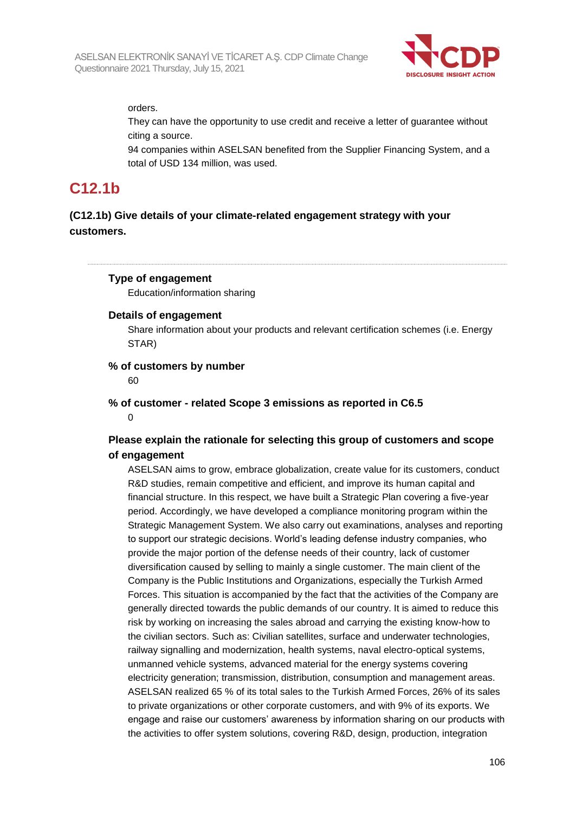

orders.

They can have the opportunity to use credit and receive a letter of guarantee without citing a source.

94 companies within ASELSAN benefited from the Supplier Financing System, and a total of USD 134 million, was used.

# **C12.1b**

# **(C12.1b) Give details of your climate-related engagement strategy with your customers.**

# **Type of engagement**

Education/information sharing

# **Details of engagement**

Share information about your products and relevant certification schemes (i.e. Energy STAR)

## **% of customers by number**

60

#### **% of customer - related Scope 3 emissions as reported in C6.5**  $\Omega$

# **Please explain the rationale for selecting this group of customers and scope of engagement**

ASELSAN aims to grow, embrace globalization, create value for its customers, conduct R&D studies, remain competitive and efficient, and improve its human capital and financial structure. In this respect, we have built a Strategic Plan covering a five-year period. Accordingly, we have developed a compliance monitoring program within the Strategic Management System. We also carry out examinations, analyses and reporting to support our strategic decisions. World's leading defense industry companies, who provide the major portion of the defense needs of their country, lack of customer diversification caused by selling to mainly a single customer. The main client of the Company is the Public Institutions and Organizations, especially the Turkish Armed Forces. This situation is accompanied by the fact that the activities of the Company are generally directed towards the public demands of our country. It is aimed to reduce this risk by working on increasing the sales abroad and carrying the existing know-how to the civilian sectors. Such as: Civilian satellites, surface and underwater technologies, railway signalling and modernization, health systems, naval electro-optical systems, unmanned vehicle systems, advanced material for the energy systems covering electricity generation; transmission, distribution, consumption and management areas. ASELSAN realized 65 % of its total sales to the Turkish Armed Forces, 26% of its sales to private organizations or other corporate customers, and with 9% of its exports. We engage and raise our customers' awareness by information sharing on our products with the activities to offer system solutions, covering R&D, design, production, integration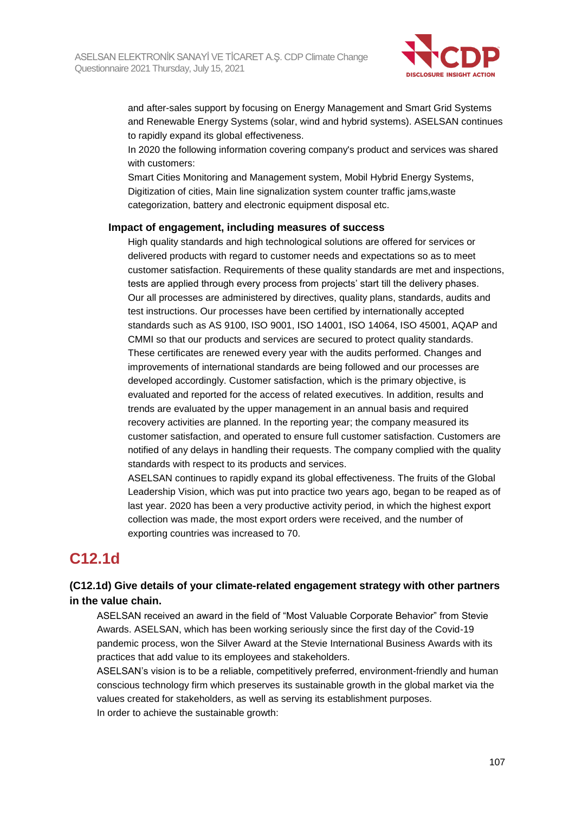

and after-sales support by focusing on Energy Management and Smart Grid Systems and Renewable Energy Systems (solar, wind and hybrid systems). ASELSAN continues to rapidly expand its global effectiveness.

In 2020 the following information covering company's product and services was shared with customers:

Smart Cities Monitoring and Management system, Mobil Hybrid Energy Systems, Digitization of cities, Main line signalization system counter traffic jams,waste categorization, battery and electronic equipment disposal etc.

#### **Impact of engagement, including measures of success**

High quality standards and high technological solutions are offered for services or delivered products with regard to customer needs and expectations so as to meet customer satisfaction. Requirements of these quality standards are met and inspections, tests are applied through every process from projects' start till the delivery phases. Our all processes are administered by directives, quality plans, standards, audits and test instructions. Our processes have been certified by internationally accepted standards such as AS 9100, ISO 9001, ISO 14001, ISO 14064, ISO 45001, AQAP and CMMI so that our products and services are secured to protect quality standards. These certificates are renewed every year with the audits performed. Changes and improvements of international standards are being followed and our processes are developed accordingly. Customer satisfaction, which is the primary objective, is evaluated and reported for the access of related executives. In addition, results and trends are evaluated by the upper management in an annual basis and required recovery activities are planned. In the reporting year; the company measured its customer satisfaction, and operated to ensure full customer satisfaction. Customers are notified of any delays in handling their requests. The company complied with the quality standards with respect to its products and services.

ASELSAN continues to rapidly expand its global effectiveness. The fruits of the Global Leadership Vision, which was put into practice two years ago, began to be reaped as of last year. 2020 has been a very productive activity period, in which the highest export collection was made, the most export orders were received, and the number of exporting countries was increased to 70.

# **C12.1d**

# **(C12.1d) Give details of your climate-related engagement strategy with other partners in the value chain.**

ASELSAN received an award in the field of "Most Valuable Corporate Behavior" from Stevie Awards. ASELSAN, which has been working seriously since the first day of the Covid-19 pandemic process, won the Silver Award at the Stevie International Business Awards with its practices that add value to its employees and stakeholders.

ASELSAN's vision is to be a reliable, competitively preferred, environment-friendly and human conscious technology firm which preserves its sustainable growth in the global market via the values created for stakeholders, as well as serving its establishment purposes. In order to achieve the sustainable growth: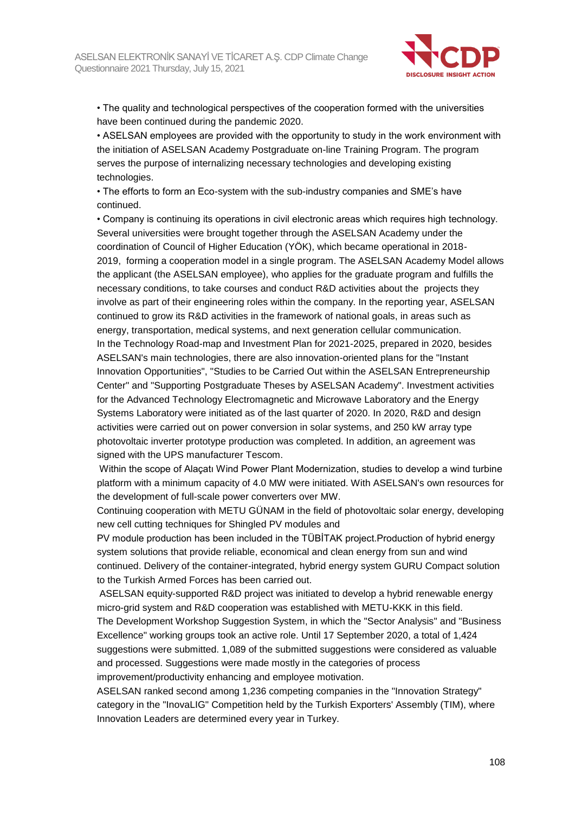

• The quality and technological perspectives of the cooperation formed with the universities have been continued during the pandemic 2020.

• ASELSAN employees are provided with the opportunity to study in the work environment with the initiation of ASELSAN Academy Postgraduate on-line Training Program. The program serves the purpose of internalizing necessary technologies and developing existing technologies.

• The efforts to form an Eco-system with the sub-industry companies and SME's have continued.

• Company is continuing its operations in civil electronic areas which requires high technology. Several universities were brought together through the ASELSAN Academy under the coordination of Council of Higher Education (YÖK), which became operational in 2018- 2019, forming a cooperation model in a single program. The ASELSAN Academy Model allows the applicant (the ASELSAN employee), who applies for the graduate program and fulfills the necessary conditions, to take courses and conduct R&D activities about the projects they involve as part of their engineering roles within the company. In the reporting year, ASELSAN continued to grow its R&D activities in the framework of national goals, in areas such as energy, transportation, medical systems, and next generation cellular communication. In the Technology Road-map and Investment Plan for 2021-2025, prepared in 2020, besides ASELSAN's main technologies, there are also innovation-oriented plans for the "Instant Innovation Opportunities", "Studies to be Carried Out within the ASELSAN Entrepreneurship Center" and "Supporting Postgraduate Theses by ASELSAN Academy". Investment activities for the Advanced Technology Electromagnetic and Microwave Laboratory and the Energy Systems Laboratory were initiated as of the last quarter of 2020. In 2020, R&D and design activities were carried out on power conversion in solar systems, and 250 kW array type photovoltaic inverter prototype production was completed. In addition, an agreement was signed with the UPS manufacturer Tescom.

Within the scope of Alaçatı Wind Power Plant Modernization, studies to develop a wind turbine platform with a minimum capacity of 4.0 MW were initiated. With ASELSAN's own resources for the development of full-scale power converters over MW.

Continuing cooperation with METU GÜNAM in the field of photovoltaic solar energy, developing new cell cutting techniques for Shingled PV modules and

PV module production has been included in the TÜBİTAK project.Production of hybrid energy system solutions that provide reliable, economical and clean energy from sun and wind continued. Delivery of the container-integrated, hybrid energy system GURU Compact solution to the Turkish Armed Forces has been carried out.

ASELSAN equity-supported R&D project was initiated to develop a hybrid renewable energy micro-grid system and R&D cooperation was established with METU-KKK in this field. The Development Workshop Suggestion System, in which the "Sector Analysis" and "Business Excellence" working groups took an active role. Until 17 September 2020, a total of 1,424 suggestions were submitted. 1,089 of the submitted suggestions were considered as valuable and processed. Suggestions were made mostly in the categories of process improvement/productivity enhancing and employee motivation.

ASELSAN ranked second among 1,236 competing companies in the "Innovation Strategy" category in the "InovaLIG" Competition held by the Turkish Exporters' Assembly (TIM), where Innovation Leaders are determined every year in Turkey.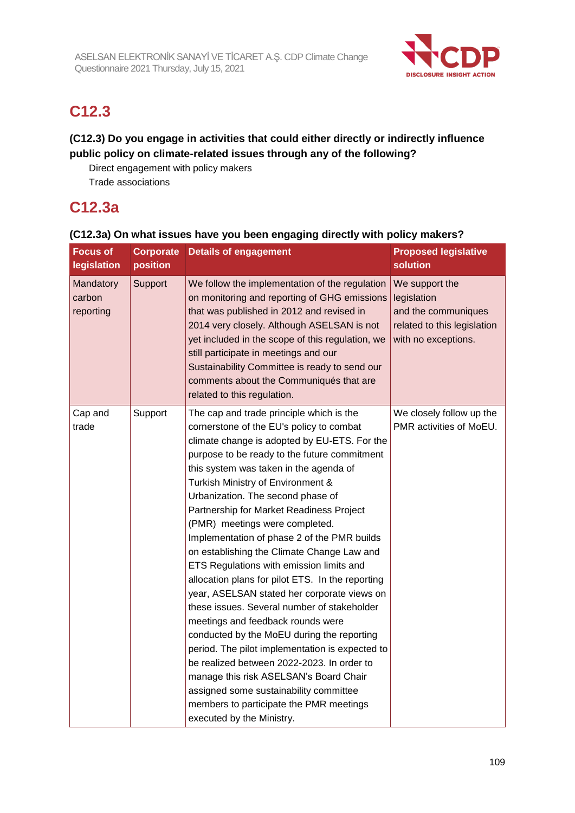

# **C12.3**

### **(C12.3) Do you engage in activities that could either directly or indirectly influence public policy on climate-related issues through any of the following?**

Direct engagement with policy makers Trade associations

# **C12.3a**

| <b>Focus of</b>                  | <b>Corporate</b> | <b>Details of engagement</b>                                                                                                                                                                                                                                                                                                                                                                                                                                                                                                                                                                                                                                                                                                                                                                                                                                                                                                                                                                                                      | <b>Proposed legislative</b><br>solution                                                                    |
|----------------------------------|------------------|-----------------------------------------------------------------------------------------------------------------------------------------------------------------------------------------------------------------------------------------------------------------------------------------------------------------------------------------------------------------------------------------------------------------------------------------------------------------------------------------------------------------------------------------------------------------------------------------------------------------------------------------------------------------------------------------------------------------------------------------------------------------------------------------------------------------------------------------------------------------------------------------------------------------------------------------------------------------------------------------------------------------------------------|------------------------------------------------------------------------------------------------------------|
| legislation                      | position         |                                                                                                                                                                                                                                                                                                                                                                                                                                                                                                                                                                                                                                                                                                                                                                                                                                                                                                                                                                                                                                   |                                                                                                            |
| Mandatory<br>carbon<br>reporting | Support          | We follow the implementation of the regulation<br>on monitoring and reporting of GHG emissions<br>that was published in 2012 and revised in<br>2014 very closely. Although ASELSAN is not<br>yet included in the scope of this regulation, we<br>still participate in meetings and our<br>Sustainability Committee is ready to send our<br>comments about the Communiqués that are<br>related to this regulation.                                                                                                                                                                                                                                                                                                                                                                                                                                                                                                                                                                                                                 | We support the<br>legislation<br>and the communiques<br>related to this legislation<br>with no exceptions. |
| Cap and<br>trade                 | Support          | The cap and trade principle which is the<br>cornerstone of the EU's policy to combat<br>climate change is adopted by EU-ETS. For the<br>purpose to be ready to the future commitment<br>this system was taken in the agenda of<br>Turkish Ministry of Environment &<br>Urbanization. The second phase of<br>Partnership for Market Readiness Project<br>(PMR) meetings were completed.<br>Implementation of phase 2 of the PMR builds<br>on establishing the Climate Change Law and<br>ETS Regulations with emission limits and<br>allocation plans for pilot ETS. In the reporting<br>year, ASELSAN stated her corporate views on<br>these issues. Several number of stakeholder<br>meetings and feedback rounds were<br>conducted by the MoEU during the reporting<br>period. The pilot implementation is expected to<br>be realized between 2022-2023. In order to<br>manage this risk ASELSAN's Board Chair<br>assigned some sustainability committee<br>members to participate the PMR meetings<br>executed by the Ministry. | We closely follow up the<br>PMR activities of MoEU.                                                        |

#### **(C12.3a) On what issues have you been engaging directly with policy makers?**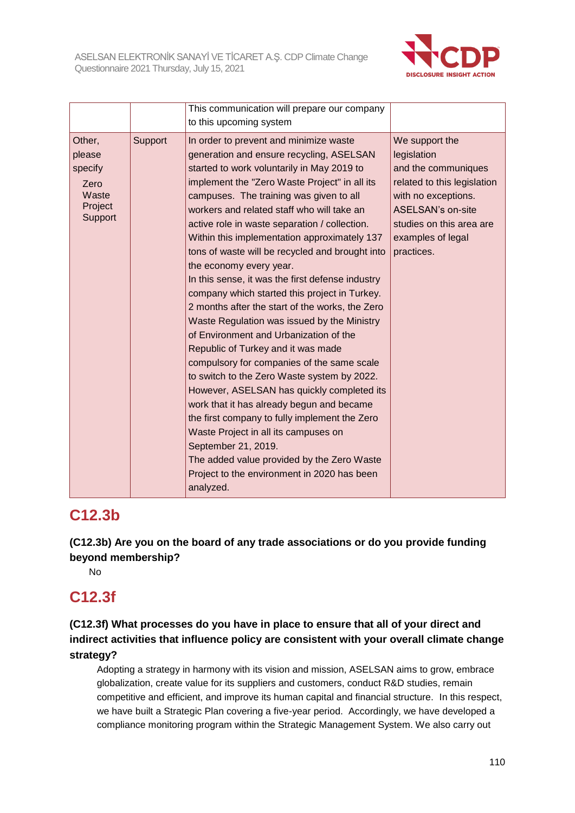

|                                                                    |         | This communication will prepare our company<br>to this upcoming system                                                                                                                                                                                                                                                                                                                                                                                                                                                                                                                                                                                                                                                                                                                                                                                                                                                                                                                                                                                                                                                                                             |                                                                                                                                                                                                       |
|--------------------------------------------------------------------|---------|--------------------------------------------------------------------------------------------------------------------------------------------------------------------------------------------------------------------------------------------------------------------------------------------------------------------------------------------------------------------------------------------------------------------------------------------------------------------------------------------------------------------------------------------------------------------------------------------------------------------------------------------------------------------------------------------------------------------------------------------------------------------------------------------------------------------------------------------------------------------------------------------------------------------------------------------------------------------------------------------------------------------------------------------------------------------------------------------------------------------------------------------------------------------|-------------------------------------------------------------------------------------------------------------------------------------------------------------------------------------------------------|
| Other,<br>please<br>specify<br>Zero<br>Waste<br>Project<br>Support | Support | In order to prevent and minimize waste<br>generation and ensure recycling, ASELSAN<br>started to work voluntarily in May 2019 to<br>implement the "Zero Waste Project" in all its<br>campuses. The training was given to all<br>workers and related staff who will take an<br>active role in waste separation / collection.<br>Within this implementation approximately 137<br>tons of waste will be recycled and brought into<br>the economy every year.<br>In this sense, it was the first defense industry<br>company which started this project in Turkey.<br>2 months after the start of the works, the Zero<br>Waste Regulation was issued by the Ministry<br>of Environment and Urbanization of the<br>Republic of Turkey and it was made<br>compulsory for companies of the same scale<br>to switch to the Zero Waste system by 2022.<br>However, ASELSAN has quickly completed its<br>work that it has already begun and became<br>the first company to fully implement the Zero<br>Waste Project in all its campuses on<br>September 21, 2019.<br>The added value provided by the Zero Waste<br>Project to the environment in 2020 has been<br>analyzed. | We support the<br>legislation<br>and the communiques<br>related to this legislation<br>with no exceptions.<br><b>ASELSAN's on-site</b><br>studies on this area are<br>examples of legal<br>practices. |

# **C12.3b**

**(C12.3b) Are you on the board of any trade associations or do you provide funding beyond membership?**

No

# **C12.3f**

**(C12.3f) What processes do you have in place to ensure that all of your direct and indirect activities that influence policy are consistent with your overall climate change strategy?**

Adopting a strategy in harmony with its vision and mission, ASELSAN aims to grow, embrace globalization, create value for its suppliers and customers, conduct R&D studies, remain competitive and efficient, and improve its human capital and financial structure. In this respect, we have built a Strategic Plan covering a five-year period. Accordingly, we have developed a compliance monitoring program within the Strategic Management System. We also carry out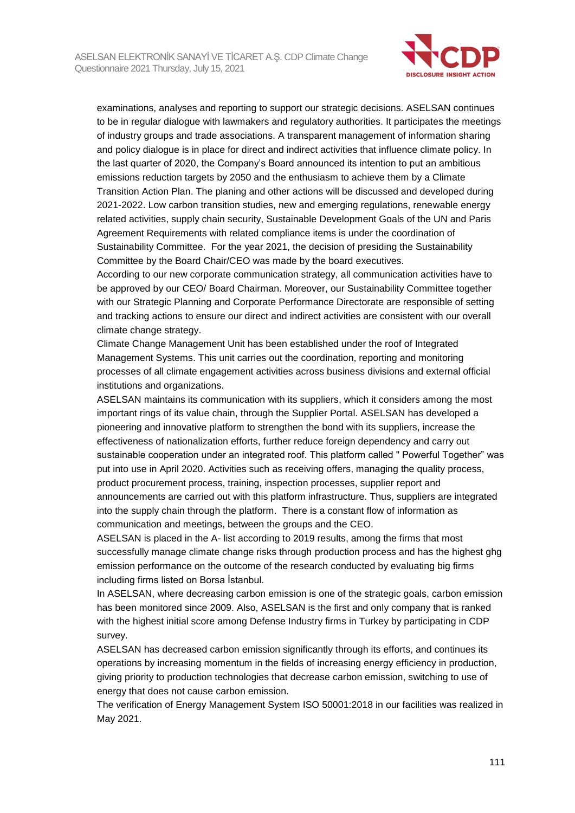

examinations, analyses and reporting to support our strategic decisions. ASELSAN continues to be in regular dialogue with lawmakers and regulatory authorities. It participates the meetings of industry groups and trade associations. A transparent management of information sharing and policy dialogue is in place for direct and indirect activities that influence climate policy. In the last quarter of 2020, the Company's Board announced its intention to put an ambitious emissions reduction targets by 2050 and the enthusiasm to achieve them by a Climate Transition Action Plan. The planing and other actions will be discussed and developed during 2021-2022. Low carbon transition studies, new and emerging regulations, renewable energy related activities, supply chain security, Sustainable Development Goals of the UN and Paris Agreement Requirements with related compliance items is under the coordination of Sustainability Committee. For the year 2021, the decision of presiding the Sustainability Committee by the Board Chair/CEO was made by the board executives.

According to our new corporate communication strategy, all communication activities have to be approved by our CEO/ Board Chairman. Moreover, our Sustainability Committee together with our Strategic Planning and Corporate Performance Directorate are responsible of setting and tracking actions to ensure our direct and indirect activities are consistent with our overall climate change strategy.

Climate Change Management Unit has been established under the roof of Integrated Management Systems. This unit carries out the coordination, reporting and monitoring processes of all climate engagement activities across business divisions and external official institutions and organizations.

ASELSAN maintains its communication with its suppliers, which it considers among the most important rings of its value chain, through the Supplier Portal. ASELSAN has developed a pioneering and innovative platform to strengthen the bond with its suppliers, increase the effectiveness of nationalization efforts, further reduce foreign dependency and carry out sustainable cooperation under an integrated roof. This platform called " Powerful Together" was put into use in April 2020. Activities such as receiving offers, managing the quality process, product procurement process, training, inspection processes, supplier report and announcements are carried out with this platform infrastructure. Thus, suppliers are integrated into the supply chain through the platform. There is a constant flow of information as communication and meetings, between the groups and the CEO.

ASELSAN is placed in the A- list according to 2019 results, among the firms that most successfully manage climate change risks through production process and has the highest ghg emission performance on the outcome of the research conducted by evaluating big firms including firms listed on Borsa İstanbul.

In ASELSAN, where decreasing carbon emission is one of the strategic goals, carbon emission has been monitored since 2009. Also, ASELSAN is the first and only company that is ranked with the highest initial score among Defense Industry firms in Turkey by participating in CDP survey.

ASELSAN has decreased carbon emission significantly through its efforts, and continues its operations by increasing momentum in the fields of increasing energy efficiency in production, giving priority to production technologies that decrease carbon emission, switching to use of energy that does not cause carbon emission.

The verification of Energy Management System ISO 50001:2018 in our facilities was realized in May 2021.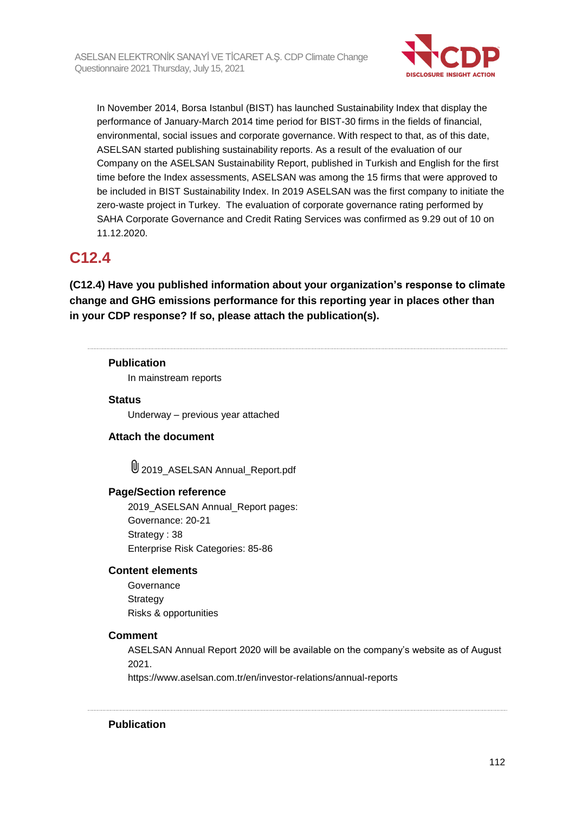

In November 2014, Borsa Istanbul (BIST) has launched Sustainability Index that display the performance of January-March 2014 time period for BIST-30 firms in the fields of financial, environmental, social issues and corporate governance. With respect to that, as of this date, ASELSAN started publishing sustainability reports. As a result of the evaluation of our Company on the ASELSAN Sustainability Report, published in Turkish and English for the first time before the Index assessments, ASELSAN was among the 15 firms that were approved to be included in BIST Sustainability Index. In 2019 ASELSAN was the first company to initiate the zero-waste project in Turkey. The evaluation of corporate governance rating performed by SAHA Corporate Governance and Credit Rating Services was confirmed as 9.29 out of 10 on 11.12.2020.

# **C12.4**

**(C12.4) Have you published information about your organization's response to climate change and GHG emissions performance for this reporting year in places other than in your CDP response? If so, please attach the publication(s).**

#### **Publication**

In mainstream reports

#### **Status**

Underway – previous year attached

#### **Attach the document**

2019\_ASELSAN Annual\_Report.pdf

#### **Page/Section reference**

2019\_ASELSAN Annual\_Report pages: Governance: 20-21 Strategy: 38 Enterprise Risk Categories: 85-86

#### **Content elements**

**Governance Strategy** Risks & opportunities

#### **Comment**

ASELSAN Annual Report 2020 will be available on the company's website as of August 2021.

https://www.aselsan.com.tr/en/investor-relations/annual-reports

**Publication**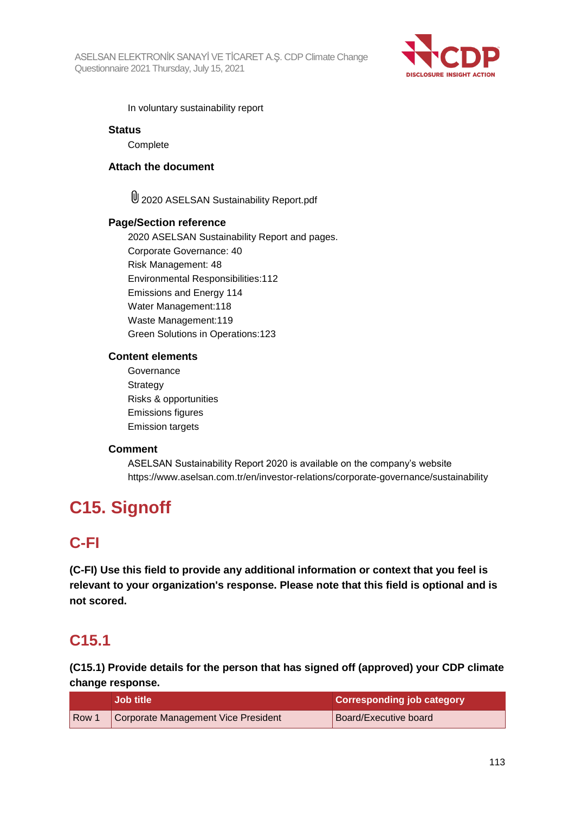

In voluntary sustainability report

#### **Status**

**Complete** 

#### **Attach the document**

2020 ASELSAN Sustainability Report.pdf

#### **Page/Section reference**

2020 ASELSAN Sustainability Report and pages. Corporate Governance: 40 Risk Management: 48 Environmental Responsibilities:112 Emissions and Energy 114 Water Management:118 Waste Management:119 Green Solutions in Operations:123

#### **Content elements**

Governance **Strategy** Risks & opportunities Emissions figures Emission targets

#### **Comment**

ASELSAN Sustainability Report 2020 is available on the company's website https://www.aselsan.com.tr/en/investor-relations/corporate-governance/sustainability

# **C15. Signoff**

# **C-FI**

**(C-FI) Use this field to provide any additional information or context that you feel is relevant to your organization's response. Please note that this field is optional and is not scored.**

# **C15.1**

**(C15.1) Provide details for the person that has signed off (approved) your CDP climate change response.**

|       | Job title                           | <b>Corresponding job category</b> |
|-------|-------------------------------------|-----------------------------------|
| Row 1 | Corporate Management Vice President | Board/Executive board             |